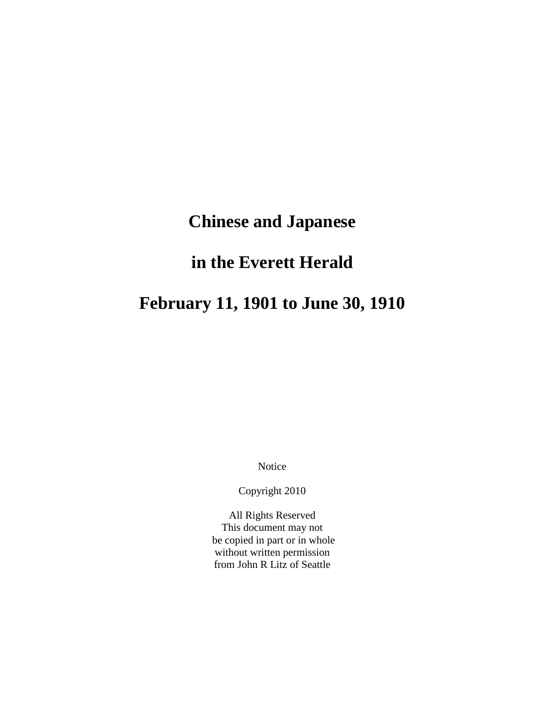# **Chinese and Japanese**

# **in the Everett Herald**

# **February 11, 1901 to June 30, 1910**

Notice

Copyright 2010

All Rights Reserved This document may not be copied in part or in whole without written permission from John R Litz of Seattle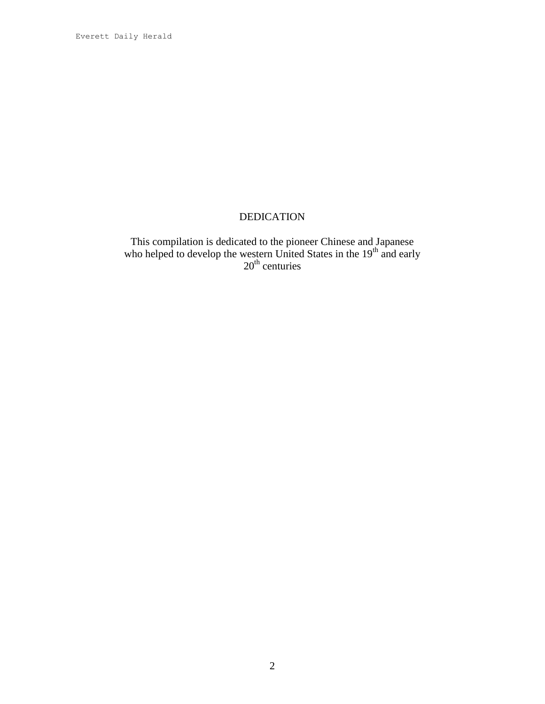Everett Daily Herald

# DEDICATION

This compilation is dedicated to the pioneer Chinese and Japanese who helped to develop the western United States in the  $19<sup>th</sup>$  and early 20<sup>th</sup> centuries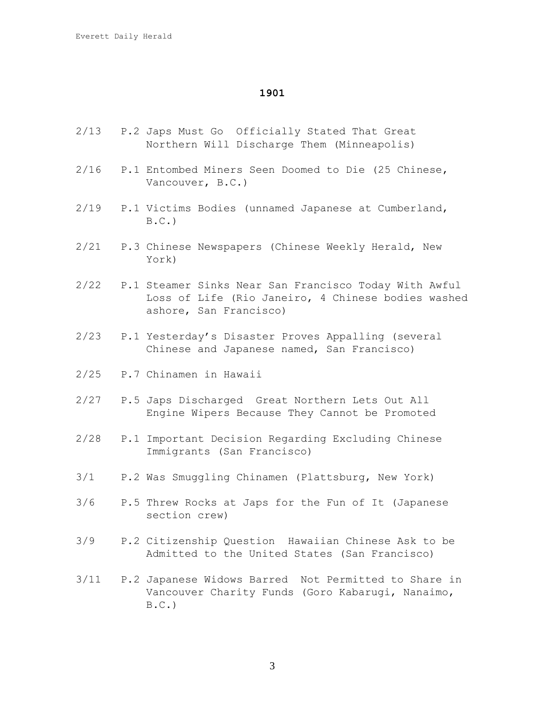- 2/13 P.2 Japs Must Go Officially Stated That Great Northern Will Discharge Them (Minneapolis)
- 2/16 P.1 Entombed Miners Seen Doomed to Die (25 Chinese, Vancouver, B.C.)
- 2/19 P.1 Victims Bodies (unnamed Japanese at Cumberland,  $B.C.$ )
- 2/21 P.3 Chinese Newspapers (Chinese Weekly Herald, New York)
- 2/22 P.1 Steamer Sinks Near San Francisco Today With Awful Loss of Life (Rio Janeiro, 4 Chinese bodies washed ashore, San Francisco)
- 2/23 P.1 Yesterday's Disaster Proves Appalling (several Chinese and Japanese named, San Francisco)
- 2/25 P.7 Chinamen in Hawaii
- 2/27 P.5 Japs Discharged Great Northern Lets Out All Engine Wipers Because They Cannot be Promoted
- 2/28 P.1 Important Decision Regarding Excluding Chinese Immigrants (San Francisco)
- 3/1 P.2 Was Smuggling Chinamen (Plattsburg, New York)
- 3/6 P.5 Threw Rocks at Japs for the Fun of It (Japanese section crew)
- 3/9 P.2 Citizenship Question Hawaiian Chinese Ask to be Admitted to the United States (San Francisco)
- 3/11 P.2 Japanese Widows Barred Not Permitted to Share in Vancouver Charity Funds (Goro Kabarugi, Nanaimo,  $B.C.$ )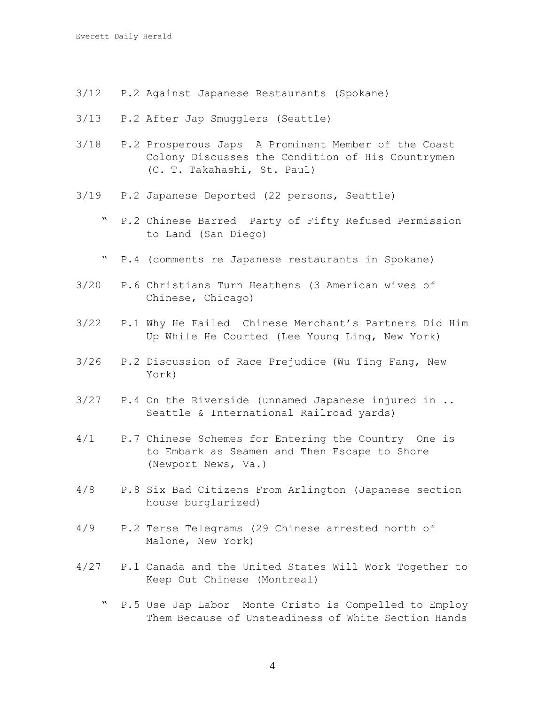- 3/12 P.2 Against Japanese Restaurants (Spokane)
- 3/13 P.2 After Jap Smugglers (Seattle)
- 3/18 P.2 Prosperous Japs A Prominent Member of the Coast Colony Discusses the Condition of His Countrymen (C. T. Takahashi, St. Paul)
- 3/19 P.2 Japanese Deported (22 persons, Seattle)
	- " P.2 Chinese Barred Party of Fifty Refused Permission to Land (San Diego)
	- " P.4 (comments re Japanese restaurants in Spokane)
- 3/20 P.6 Christians Turn Heathens (3 American wives of Chinese, Chicago)
- 3/22 P.1 Why He Failed Chinese Merchant's Partners Did Him Up While He Courted (Lee Young Ling, New York)
- 3/26 P.2 Discussion of Race Prejudice (Wu Ting Fang, New York)
- 3/27 P.4 On the Riverside (unnamed Japanese injured in .. Seattle & International Railroad yards)
- 4/1 P.7 Chinese Schemes for Entering the Country One is to Embark as Seamen and Then Escape to Shore (Newport News, Va.)
- 4/8 P.8 Six Bad Citizens From Arlington (Japanese section house burglarized)
- 4/9 P.2 Terse Telegrams (29 Chinese arrested north of Malone, New York)
- 4/27 P.1 Canada and the United States Will Work Together to Keep Out Chinese (Montreal)
	- P.5 Use Jap Labor Monte Cristo is Compelled to Employ Them Because of Unsteadiness of White Section Hands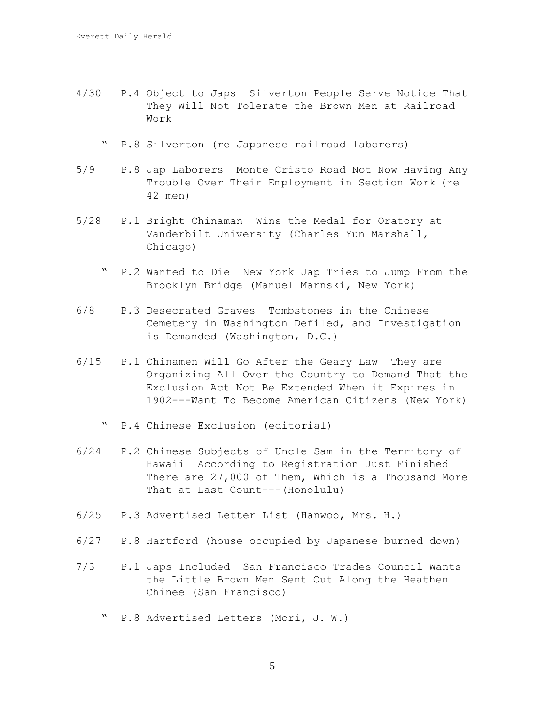- 4/30 P.4 Object to Japs Silverton People Serve Notice That They Will Not Tolerate the Brown Men at Railroad Work
	- " P.8 Silverton (re Japanese railroad laborers)
- 5/9 P.8 Jap Laborers Monte Cristo Road Not Now Having Any Trouble Over Their Employment in Section Work (re 42 men)
- 5/28 P.1 Bright Chinaman Wins the Medal for Oratory at Vanderbilt University (Charles Yun Marshall, Chicago)
	- " P.2 Wanted to Die New York Jap Tries to Jump From the Brooklyn Bridge (Manuel Marnski, New York)
- 6/8 P.3 Desecrated Graves Tombstones in the Chinese Cemetery in Washington Defiled, and Investigation is Demanded (Washington, D.C.)
- 6/15 P.1 Chinamen Will Go After the Geary Law They are Organizing All Over the Country to Demand That the Exclusion Act Not Be Extended When it Expires in 1902---Want To Become American Citizens (New York)
	- " P.4 Chinese Exclusion (editorial)
- 6/24 P.2 Chinese Subjects of Uncle Sam in the Territory of Hawaii According to Registration Just Finished There are 27,000 of Them, Which is a Thousand More That at Last Count---(Honolulu)
- 6/25 P.3 Advertised Letter List (Hanwoo, Mrs. H.)
- 6/27 P.8 Hartford (house occupied by Japanese burned down)
- 7/3 P.1 Japs Included San Francisco Trades Council Wants the Little Brown Men Sent Out Along the Heathen Chinee (San Francisco)
	- " P.8 Advertised Letters (Mori, J. W.)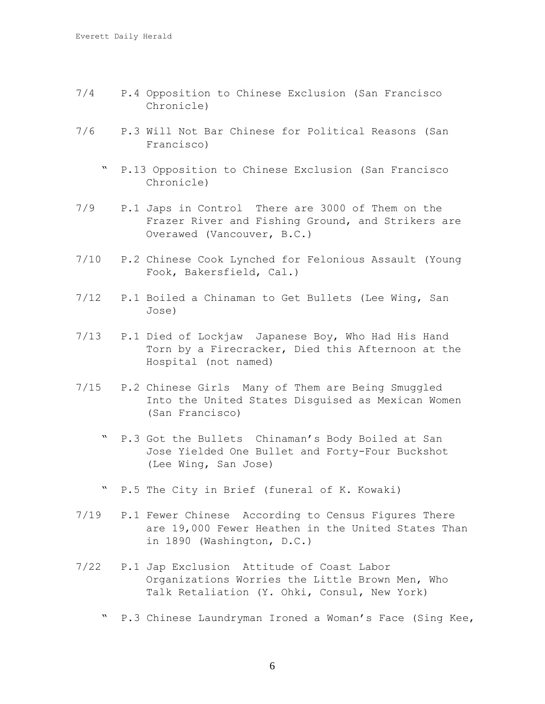- 7/4 P.4 Opposition to Chinese Exclusion (San Francisco Chronicle)
- 7/6 P.3 Will Not Bar Chinese for Political Reasons (San Francisco)
	- " P.13 Opposition to Chinese Exclusion (San Francisco Chronicle)
- 7/9 P.1 Japs in Control There are 3000 of Them on the Frazer River and Fishing Ground, and Strikers are Overawed (Vancouver, B.C.)
- 7/10 P.2 Chinese Cook Lynched for Felonious Assault (Young Fook, Bakersfield, Cal.)
- 7/12 P.1 Boiled a Chinaman to Get Bullets (Lee Wing, San Jose)
- 7/13 P.1 Died of Lockjaw Japanese Boy, Who Had His Hand Torn by a Firecracker, Died this Afternoon at the Hospital (not named)
- 7/15 P.2 Chinese Girls Many of Them are Being Smuggled Into the United States Disguised as Mexican Women (San Francisco)
	- " P.3 Got the Bullets Chinaman's Body Boiled at San Jose Yielded One Bullet and Forty-Four Buckshot (Lee Wing, San Jose)
	- " P.5 The City in Brief (funeral of K. Kowaki)
- 7/19 P.1 Fewer Chinese According to Census Figures There are 19,000 Fewer Heathen in the United States Than in 1890 (Washington, D.C.)
- 7/22 P.1 Jap Exclusion Attitude of Coast Labor Organizations Worries the Little Brown Men, Who Talk Retaliation (Y. Ohki, Consul, New York)
	- " P.3 Chinese Laundryman Ironed a Woman's Face (Sing Kee,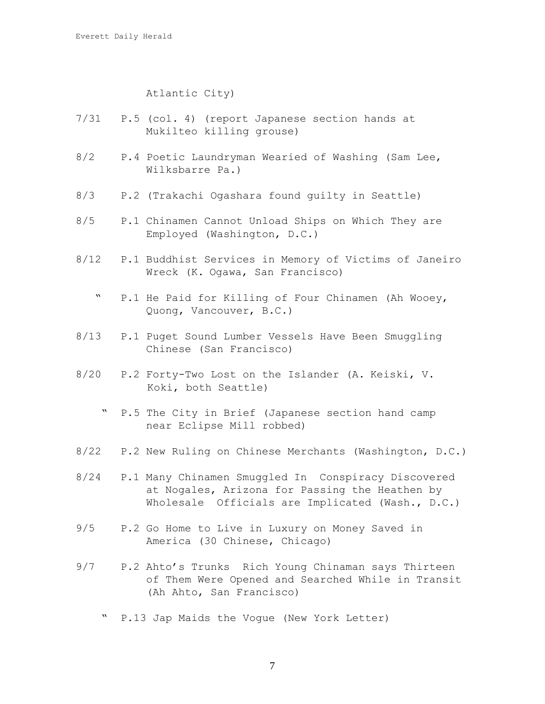## Atlantic City)

- 7/31 P.5 (col. 4) (report Japanese section hands at Mukilteo killing grouse)
- 8/2 P.4 Poetic Laundryman Wearied of Washing (Sam Lee, Wilksbarre Pa.)
- 8/3 P.2 (Trakachi Ogashara found guilty in Seattle)
- 8/5 P.1 Chinamen Cannot Unload Ships on Which They are Employed (Washington, D.C.)
- 8/12 P.1 Buddhist Services in Memory of Victims of Janeiro Wreck (K. Ogawa, San Francisco)
	- " P.1 He Paid for Killing of Four Chinamen (Ah Wooey, Quong, Vancouver, B.C.)
- 8/13 P.1 Puget Sound Lumber Vessels Have Been Smuggling Chinese (San Francisco)
- 8/20 P.2 Forty-Two Lost on the Islander (A. Keiski, V. Koki, both Seattle)
	- " P.5 The City in Brief (Japanese section hand camp near Eclipse Mill robbed)
- 8/22 P.2 New Ruling on Chinese Merchants (Washington, D.C.)
- 8/24 P.1 Many Chinamen Smuggled In Conspiracy Discovered at Nogales, Arizona for Passing the Heathen by Wholesale Officials are Implicated (Wash., D.C.)
- 9/5 P.2 Go Home to Live in Luxury on Money Saved in America (30 Chinese, Chicago)
- 9/7 P.2 Ahto's Trunks Rich Young Chinaman says Thirteen of Them Were Opened and Searched While in Transit (Ah Ahto, San Francisco)
	- P.13 Jap Maids the Vogue (New York Letter)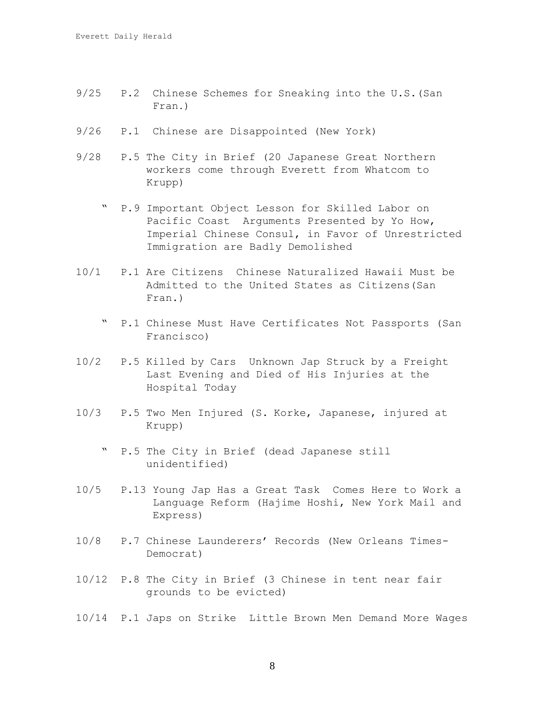- 9/25 P.2 Chinese Schemes for Sneaking into the U.S.(San Fran.)
- 9/26 P.1 Chinese are Disappointed (New York)
- 9/28 P.5 The City in Brief (20 Japanese Great Northern workers come through Everett from Whatcom to Krupp)
	- P.9 Important Object Lesson for Skilled Labor on Pacific Coast Arguments Presented by Yo How, Imperial Chinese Consul, in Favor of Unrestricted Immigration are Badly Demolished
- 10/1 P.1 Are Citizens Chinese Naturalized Hawaii Must be Admitted to the United States as Citizens(San Fran.)
	- " P.1 Chinese Must Have Certificates Not Passports (San Francisco)
- 10/2 P.5 Killed by Cars Unknown Jap Struck by a Freight Last Evening and Died of His Injuries at the Hospital Today
- 10/3 P.5 Two Men Injured (S. Korke, Japanese, injured at Krupp)
	- " P.5 The City in Brief (dead Japanese still unidentified)
- 10/5 P.13 Young Jap Has a Great Task Comes Here to Work a Language Reform (Hajime Hoshi, New York Mail and Express)
- 10/8 P.7 Chinese Launderers' Records (New Orleans Times- Democrat)
- 10/12 P.8 The City in Brief (3 Chinese in tent near fair grounds to be evicted)
- 10/14 P.1 Japs on Strike Little Brown Men Demand More Wages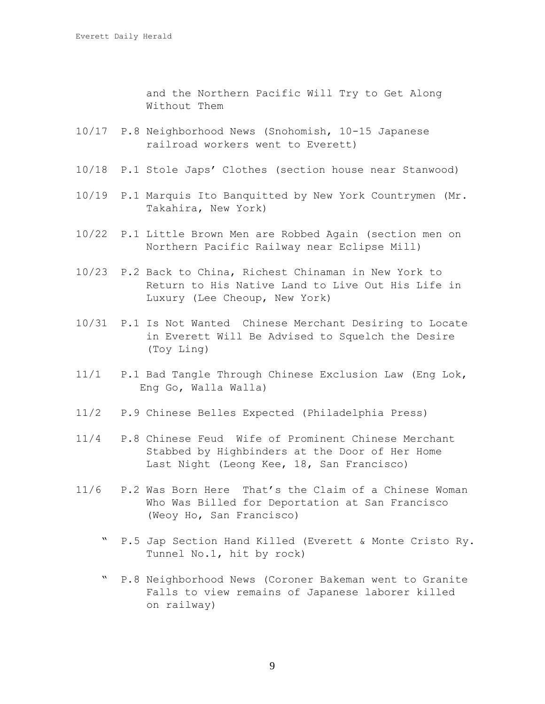and the Northern Pacific Will Try to Get Along Without Them

- 10/17 P.8 Neighborhood News (Snohomish, 10-15 Japanese railroad workers went to Everett)
- 10/18 P.1 Stole Japs' Clothes (section house near Stanwood)
- 10/19 P.1 Marquis Ito Banquitted by New York Countrymen (Mr. Takahira, New York)
- 10/22 P.1 Little Brown Men are Robbed Again (section men on Northern Pacific Railway near Eclipse Mill)
- 10/23 P.2 Back to China, Richest Chinaman in New York to Return to His Native Land to Live Out His Life in Luxury (Lee Cheoup, New York)
- 10/31 P.1 Is Not Wanted Chinese Merchant Desiring to Locate in Everett Will Be Advised to Squelch the Desire (Toy Ling)
- 11/1 P.1 Bad Tangle Through Chinese Exclusion Law (Eng Lok, Eng Go, Walla Walla)
- 11/2 P.9 Chinese Belles Expected (Philadelphia Press)
- 11/4 P.8 Chinese Feud Wife of Prominent Chinese Merchant Stabbed by Highbinders at the Door of Her Home Last Night (Leong Kee, 18, San Francisco)
- 11/6 P.2 Was Born Here That's the Claim of a Chinese Woman Who Was Billed for Deportation at San Francisco (Weoy Ho, San Francisco)
	- " P.5 Jap Section Hand Killed (Everett & Monte Cristo Ry. Tunnel No.1, hit by rock)
	- " P.8 Neighborhood News (Coroner Bakeman went to Granite Falls to view remains of Japanese laborer killed on railway)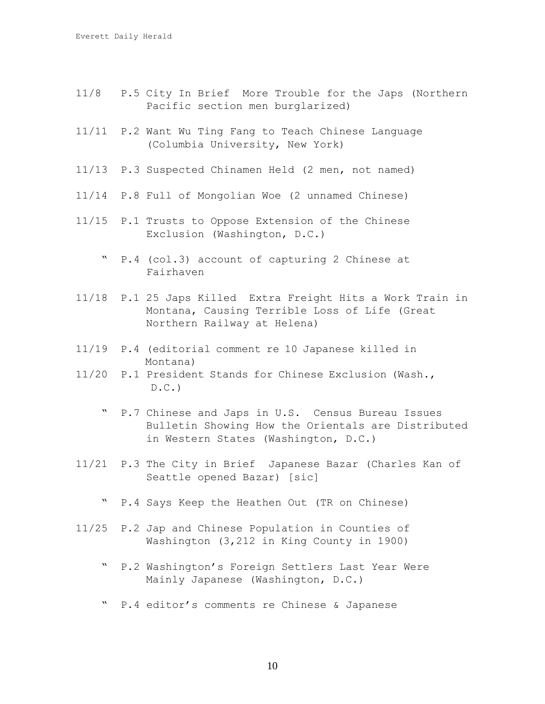- 11/8 P.5 City In Brief More Trouble for the Japs (Northern Pacific section men burglarized)
- 11/11 P.2 Want Wu Ting Fang to Teach Chinese Language (Columbia University, New York)
- 11/13 P.3 Suspected Chinamen Held (2 men, not named)
- 11/14 P.8 Full of Mongolian Woe (2 unnamed Chinese)
- 11/15 P.1 Trusts to Oppose Extension of the Chinese Exclusion (Washington, D.C.)
	- " P.4 (col.3) account of capturing 2 Chinese at Fairhaven
- 11/18 P.1 25 Japs Killed Extra Freight Hits a Work Train in Montana, Causing Terrible Loss of Life (Great Northern Railway at Helena)
- 11/19 P.4 (editorial comment re 10 Japanese killed in Montana)
- 11/20 P.1 President Stands for Chinese Exclusion (Wash.,  $D.C.$ 
	- " P.7 Chinese and Japs in U.S. Census Bureau Issues Bulletin Showing How the Orientals are Distributed in Western States (Washington, D.C.)
- 11/21 P.3 The City in Brief Japanese Bazar (Charles Kan of Seattle opened Bazar) [sic]
	- " P.4 Says Keep the Heathen Out (TR on Chinese)
- 11/25 P.2 Jap and Chinese Population in Counties of Washington (3,212 in King County in 1900)
	- " P.2 Washington's Foreign Settlers Last Year Were Mainly Japanese (Washington, D.C.)
	- " P.4 editor's comments re Chinese & Japanese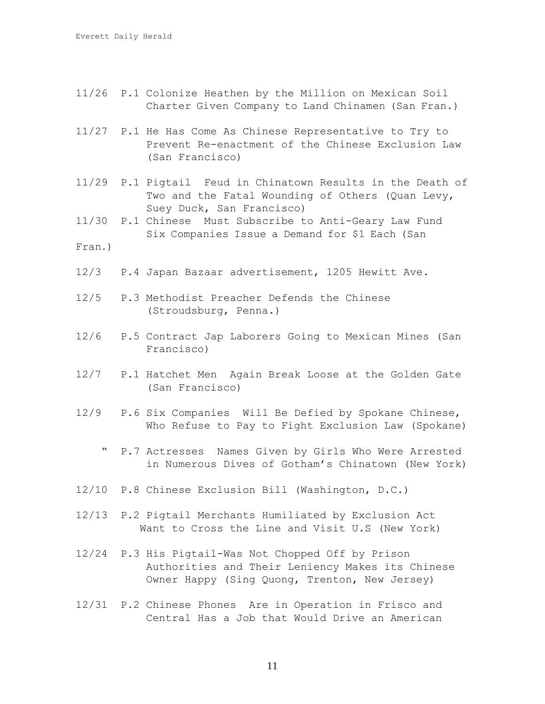- 11/26 P.1 Colonize Heathen by the Million on Mexican Soil Charter Given Company to Land Chinamen (San Fran.)
- 11/27 P.1 He Has Come As Chinese Representative to Try to Prevent Re-enactment of the Chinese Exclusion Law (San Francisco)
- 11/29 P.1 Pigtail Feud in Chinatown Results in the Death of Two and the Fatal Wounding of Others (Quan Levy, Suey Duck, San Francisco)
- 11/30 P.1 Chinese Must Subscribe to Anti-Geary Law Fund Six Companies Issue a Demand for \$1 Each (San
- Fran.)
- 12/3 P.4 Japan Bazaar advertisement, 1205 Hewitt Ave.
- 12/5 P.3 Methodist Preacher Defends the Chinese (Stroudsburg, Penna.)
- 12/6 P.5 Contract Jap Laborers Going to Mexican Mines (San Francisco)
- 12/7 P.1 Hatchet Men Again Break Loose at the Golden Gate (San Francisco)
- 12/9 P.6 Six Companies Will Be Defied by Spokane Chinese, Who Refuse to Pay to Fight Exclusion Law (Spokane)
	- " P.7 Actresses Names Given by Girls Who Were Arrested in Numerous Dives of Gotham's Chinatown (New York)
- 12/10 P.8 Chinese Exclusion Bill (Washington, D.C.)
- 12/13 P.2 Pigtail Merchants Humiliated by Exclusion Act Want to Cross the Line and Visit U.S (New York)
- 12/24 P.3 His Pigtail-Was Not Chopped Off by Prison Authorities and Their Leniency Makes its Chinese Owner Happy (Sing Quong, Trenton, New Jersey)
- 12/31 P.2 Chinese Phones Are in Operation in Frisco and Central Has a Job that Would Drive an American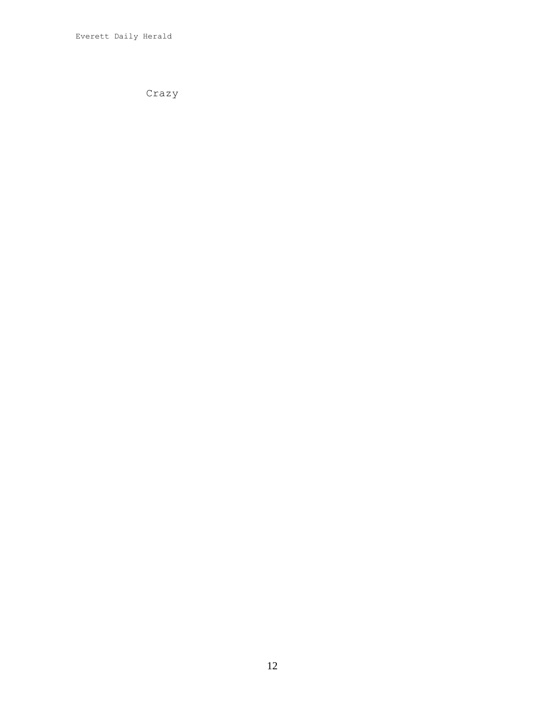Crazy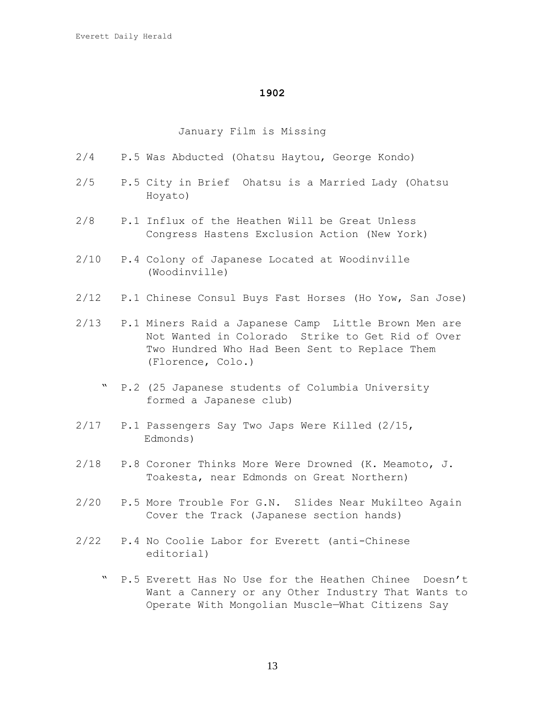## January Film is Missing

|      | 2/4 P.5 Was Abducted (Ohatsu Haytou, George Kondo)                                                                                                                                  |
|------|-------------------------------------------------------------------------------------------------------------------------------------------------------------------------------------|
|      | 2/5 P.5 City in Brief Ohatsu is a Married Lady (Ohatsu<br>Hoyato)                                                                                                                   |
| 2/8  | P.1 Influx of the Heathen Will be Great Unless<br>Congress Hastens Exclusion Action (New York)                                                                                      |
|      | 2/10 P.4 Colony of Japanese Located at Woodinville<br>(Woodinville)                                                                                                                 |
|      | 2/12 P.1 Chinese Consul Buys Fast Horses (Ho Yow, San Jose)                                                                                                                         |
|      | 2/13 P.1 Miners Raid a Japanese Camp Little Brown Men are<br>Not Wanted in Colorado Strike to Get Rid of Over<br>Two Hundred Who Had Been Sent to Replace Them<br>(Florence, Colo.) |
|      | " P.2 (25 Japanese students of Columbia University<br>formed a Japanese club)                                                                                                       |
|      | 2/17 P.1 Passengers Say Two Japs Were Killed (2/15,<br>Edmonds)                                                                                                                     |
| 2/18 | P.8 Coroner Thinks More Were Drowned (K. Meamoto, J.<br>Toakesta, near Edmonds on Great Northern)                                                                                   |

- 2/20 P.5 More Trouble For G.N. Slides Near Mukilteo Again Cover the Track (Japanese section hands)
- 2/22 P.4 No Coolie Labor for Everett (anti-Chinese editorial)
	- " P.5 Everett Has No Use for the Heathen Chinee Doesn't Want a Cannery or any Other Industry That Wants to Operate With Mongolian Muscle—What Citizens Say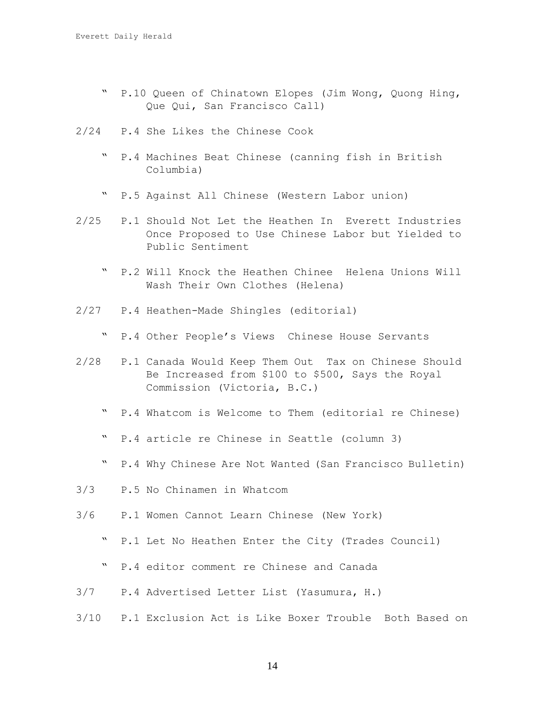- " P.10 Queen of Chinatown Elopes (Jim Wong, Quong Hing, Que Qui, San Francisco Call)
- 2/24 P.4 She Likes the Chinese Cook
	- " P.4 Machines Beat Chinese (canning fish in British Columbia)
	- " P.5 Against All Chinese (Western Labor union)
- 2/25 P.1 Should Not Let the Heathen In Everett Industries Once Proposed to Use Chinese Labor but Yielded to Public Sentiment
	- " P.2 Will Knock the Heathen Chinee Helena Unions Will Wash Their Own Clothes (Helena)
- 2/27 P.4 Heathen-Made Shingles (editorial)
	- " P.4 Other People's Views Chinese House Servants
- 2/28 P.1 Canada Would Keep Them Out Tax on Chinese Should Be Increased from \$100 to \$500, Says the Royal Commission (Victoria, B.C.)
	- " P.4 Whatcom is Welcome to Them (editorial re Chinese)
	- " P.4 article re Chinese in Seattle (column 3)
	- " P.4 Why Chinese Are Not Wanted (San Francisco Bulletin)
- 3/3 P.5 No Chinamen in Whatcom
- 3/6 P.1 Women Cannot Learn Chinese (New York)
	- " P.1 Let No Heathen Enter the City (Trades Council)
	- " P.4 editor comment re Chinese and Canada
- 3/7 P.4 Advertised Letter List (Yasumura, H.)
- 3/10 P.1 Exclusion Act is Like Boxer Trouble Both Based on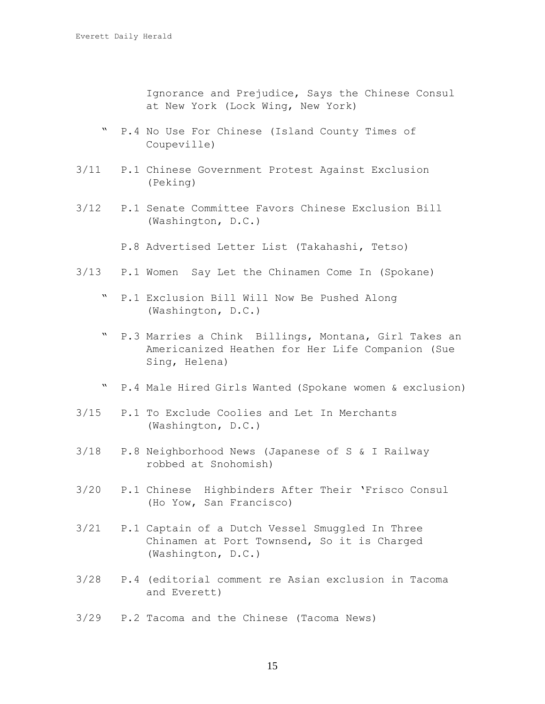Ignorance and Prejudice, Says the Chinese Consul at New York (Lock Wing, New York)

- P.4 No Use For Chinese (Island County Times of Coupeville)
- 3/11 P.1 Chinese Government Protest Against Exclusion (Peking)
- 3/12 P.1 Senate Committee Favors Chinese Exclusion Bill (Washington, D.C.)
	- P.8 Advertised Letter List (Takahashi, Tetso)
- 3/13 P.1 Women Say Let the Chinamen Come In (Spokane)
	- " P.1 Exclusion Bill Will Now Be Pushed Along (Washington, D.C.)
	- " P.3 Marries a Chink Billings, Montana, Girl Takes an Americanized Heathen for Her Life Companion (Sue Sing, Helena)
	- " P.4 Male Hired Girls Wanted (Spokane women & exclusion)
- 3/15 P.1 To Exclude Coolies and Let In Merchants (Washington, D.C.)
- 3/18 P.8 Neighborhood News (Japanese of S & I Railway robbed at Snohomish)
- 3/20 P.1 Chinese Highbinders After Their 'Frisco Consul (Ho Yow, San Francisco)
- 3/21 P.1 Captain of a Dutch Vessel Smuggled In Three Chinamen at Port Townsend, So it is Charged (Washington, D.C.)
- 3/28 P.4 (editorial comment re Asian exclusion in Tacoma and Everett)
- 3/29 P.2 Tacoma and the Chinese (Tacoma News)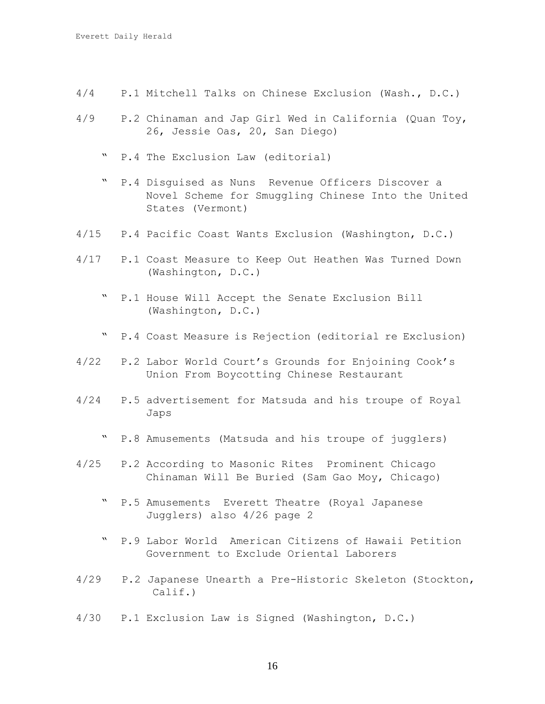- 4/4 P.1 Mitchell Talks on Chinese Exclusion (Wash., D.C.)
- 4/9 P.2 Chinaman and Jap Girl Wed in California (Quan Toy, 26, Jessie Oas, 20, San Diego)
	- " P.4 The Exclusion Law (editorial)
	- " P.4 Disguised as Nuns Revenue Officers Discover a Novel Scheme for Smuggling Chinese Into the United States (Vermont)
- 4/15 P.4 Pacific Coast Wants Exclusion (Washington, D.C.)
- 4/17 P.1 Coast Measure to Keep Out Heathen Was Turned Down (Washington, D.C.)
	- " P.1 House Will Accept the Senate Exclusion Bill (Washington, D.C.)
	- " P.4 Coast Measure is Rejection (editorial re Exclusion)
- 4/22 P.2 Labor World Court's Grounds for Enjoining Cook's Union From Boycotting Chinese Restaurant
- 4/24 P.5 advertisement for Matsuda and his troupe of Royal Japs
	- " P.8 Amusements (Matsuda and his troupe of jugglers)
- 4/25 P.2 According to Masonic Rites Prominent Chicago Chinaman Will Be Buried (Sam Gao Moy, Chicago)
	- " P.5 Amusements Everett Theatre (Royal Japanese Jugglers) also 4/26 page 2
	- " P.9 Labor World American Citizens of Hawaii Petition Government to Exclude Oriental Laborers
- 4/29 P.2 Japanese Unearth a Pre-Historic Skeleton (Stockton, Calif.)
- 4/30 P.1 Exclusion Law is Signed (Washington, D.C.)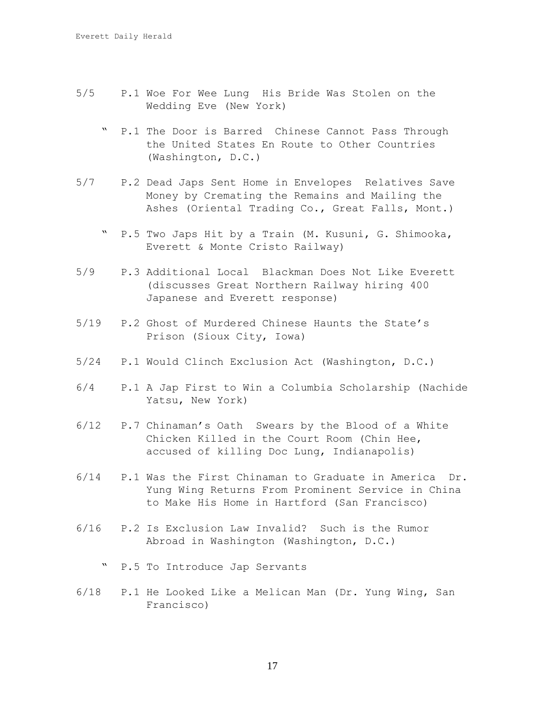- 5/5 P.1 Woe For Wee Lung His Bride Was Stolen on the Wedding Eve (New York)
	- " P.1 The Door is Barred Chinese Cannot Pass Through the United States En Route to Other Countries (Washington, D.C.)
- 5/7 P.2 Dead Japs Sent Home in Envelopes Relatives Save Money by Cremating the Remains and Mailing the Ashes (Oriental Trading Co., Great Falls, Mont.)
	- " P.5 Two Japs Hit by a Train (M. Kusuni, G. Shimooka, Everett & Monte Cristo Railway)
- 5/9 P.3 Additional Local Blackman Does Not Like Everett (discusses Great Northern Railway hiring 400 Japanese and Everett response)
- 5/19 P.2 Ghost of Murdered Chinese Haunts the State's Prison (Sioux City, Iowa)
- 5/24 P.1 Would Clinch Exclusion Act (Washington, D.C.)
- 6/4 P.1 A Jap First to Win a Columbia Scholarship (Nachide Yatsu, New York)
- 6/12 P.7 Chinaman's Oath Swears by the Blood of a White Chicken Killed in the Court Room (Chin Hee, accused of killing Doc Lung, Indianapolis)
- 6/14 P.1 Was the First Chinaman to Graduate in America Dr. Yung Wing Returns From Prominent Service in China to Make His Home in Hartford (San Francisco)
- 6/16 P.2 Is Exclusion Law Invalid? Such is the Rumor Abroad in Washington (Washington, D.C.)
	- " P.5 To Introduce Jap Servants
- 6/18 P.1 He Looked Like a Melican Man (Dr. Yung Wing, San Francisco)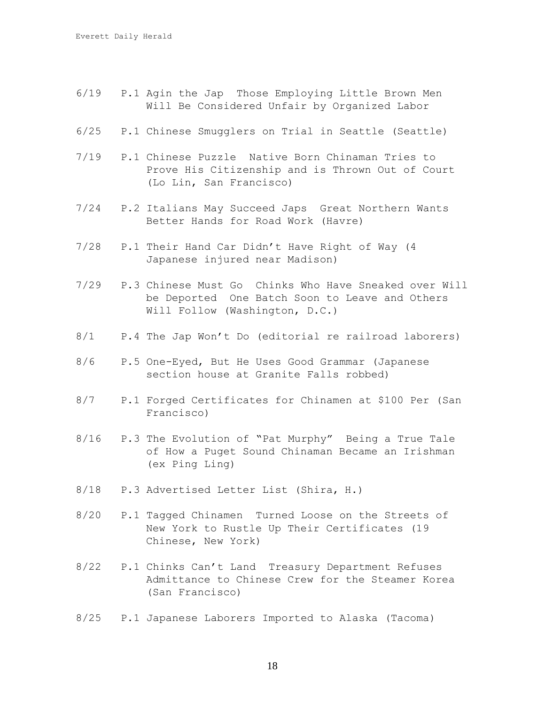- 6/19 P.1 Agin the Jap Those Employing Little Brown Men Will Be Considered Unfair by Organized Labor
- 6/25 P.1 Chinese Smugglers on Trial in Seattle (Seattle)
- 7/19 P.1 Chinese Puzzle Native Born Chinaman Tries to Prove His Citizenship and is Thrown Out of Court (Lo Lin, San Francisco)
- 7/24 P.2 Italians May Succeed Japs Great Northern Wants Better Hands for Road Work (Havre)
- 7/28 P.1 Their Hand Car Didn't Have Right of Way (4 Japanese injured near Madison)
- 7/29 P.3 Chinese Must Go Chinks Who Have Sneaked over Will be Deported One Batch Soon to Leave and Others Will Follow (Washington, D.C.)
- 8/1 P.4 The Jap Won't Do (editorial re railroad laborers)
- 8/6 P.5 One-Eyed, But He Uses Good Grammar (Japanese section house at Granite Falls robbed)
- 8/7 P.1 Forged Certificates for Chinamen at \$100 Per (San Francisco)
- 8/16 P.3 The Evolution of "Pat Murphy" Being a True Tale of How a Puget Sound Chinaman Became an Irishman (ex Ping Ling)
- 8/18 P.3 Advertised Letter List (Shira, H.)
- 8/20 P.1 Tagged Chinamen Turned Loose on the Streets of New York to Rustle Up Their Certificates (19 Chinese, New York)
- 8/22 P.1 Chinks Can't Land Treasury Department Refuses Admittance to Chinese Crew for the Steamer Korea (San Francisco)
- 8/25 P.1 Japanese Laborers Imported to Alaska (Tacoma)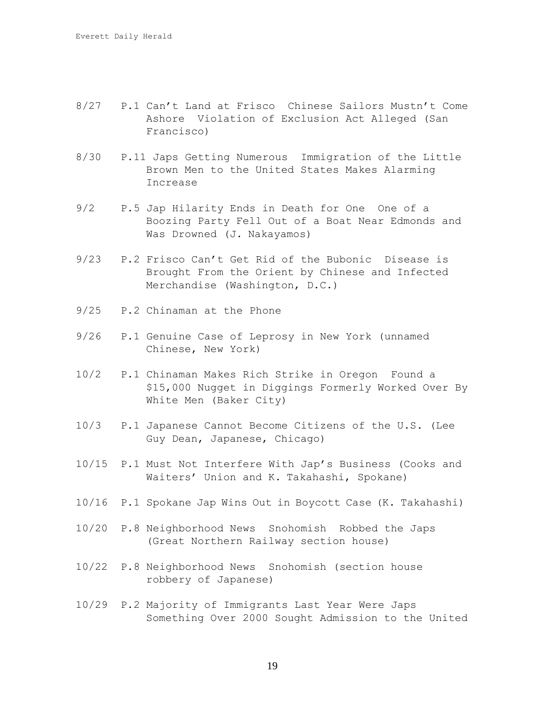- 8/27 P.1 Can't Land at Frisco Chinese Sailors Mustn't Come Ashore Violation of Exclusion Act Alleged (San Francisco)
- 8/30 P.11 Japs Getting Numerous Immigration of the Little Brown Men to the United States Makes Alarming Increase
- 9/2 P.5 Jap Hilarity Ends in Death for One One of a Boozing Party Fell Out of a Boat Near Edmonds and Was Drowned (J. Nakayamos)
- 9/23 P.2 Frisco Can't Get Rid of the Bubonic Disease is Brought From the Orient by Chinese and Infected Merchandise (Washington, D.C.)
- 9/25 P.2 Chinaman at the Phone
- 9/26 P.1 Genuine Case of Leprosy in New York (unnamed Chinese, New York)
- 10/2 P.1 Chinaman Makes Rich Strike in Oregon Found a \$15,000 Nugget in Diggings Formerly Worked Over By White Men (Baker City)
- 10/3 P.1 Japanese Cannot Become Citizens of the U.S. (Lee Guy Dean, Japanese, Chicago)
- 10/15 P.1 Must Not Interfere With Jap's Business (Cooks and Waiters' Union and K. Takahashi, Spokane)
- 10/16 P.1 Spokane Jap Wins Out in Boycott Case (K. Takahashi)
- 10/20 P.8 Neighborhood News Snohomish Robbed the Japs (Great Northern Railway section house)
- 10/22 P.8 Neighborhood News Snohomish (section house robbery of Japanese)
- 10/29 P.2 Majority of Immigrants Last Year Were Japs Something Over 2000 Sought Admission to the United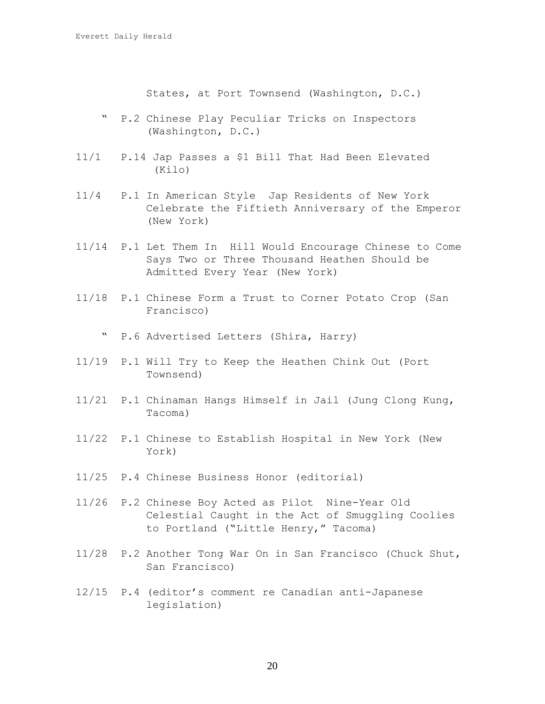States, at Port Townsend (Washington, D.C.)

- " P.2 Chinese Play Peculiar Tricks on Inspectors (Washington, D.C.)
- 11/1 P.14 Jap Passes a \$1 Bill That Had Been Elevated (Kilo)
- 11/4 P.1 In American Style Jap Residents of New York Celebrate the Fiftieth Anniversary of the Emperor (New York)
- 11/14 P.1 Let Them In Hill Would Encourage Chinese to Come Says Two or Three Thousand Heathen Should be Admitted Every Year (New York)
- 11/18 P.1 Chinese Form a Trust to Corner Potato Crop (San Francisco)
	- " P.6 Advertised Letters (Shira, Harry)
- 11/19 P.1 Will Try to Keep the Heathen Chink Out (Port Townsend)
- 11/21 P.1 Chinaman Hangs Himself in Jail (Jung Clong Kung, Tacoma)
- 11/22 P.1 Chinese to Establish Hospital in New York (New York)
- 11/25 P.4 Chinese Business Honor (editorial)
- 11/26 P.2 Chinese Boy Acted as Pilot Nine-Year Old Celestial Caught in the Act of Smuggling Coolies to Portland ("Little Henry," Tacoma)
- 11/28 P.2 Another Tong War On in San Francisco (Chuck Shut, San Francisco)
- 12/15 P.4 (editor's comment re Canadian anti-Japanese legislation)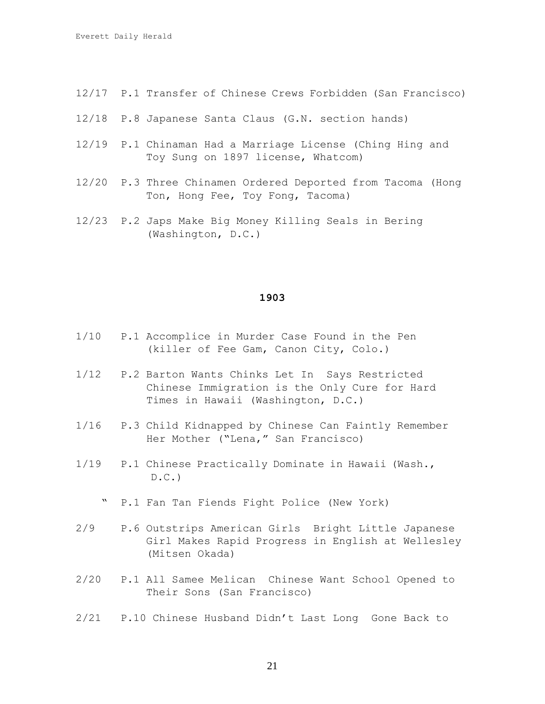- 12/17 P.1 Transfer of Chinese Crews Forbidden (San Francisco)
- 12/18 P.8 Japanese Santa Claus (G.N. section hands)
- 12/19 P.1 Chinaman Had a Marriage License (Ching Hing and Toy Sung on 1897 license, Whatcom)
- 12/20 P.3 Three Chinamen Ordered Deported from Tacoma (Hong Ton, Hong Fee, Toy Fong, Tacoma)
- 12/23 P.2 Japs Make Big Money Killing Seals in Bering (Washington, D.C.)

- 1/10 P.1 Accomplice in Murder Case Found in the Pen (killer of Fee Gam, Canon City, Colo.)
- 1/12 P.2 Barton Wants Chinks Let In Says Restricted Chinese Immigration is the Only Cure for Hard Times in Hawaii (Washington, D.C.)
- 1/16 P.3 Child Kidnapped by Chinese Can Faintly Remember Her Mother ("Lena," San Francisco)
- 1/19 P.1 Chinese Practically Dominate in Hawaii (Wash.,  $D.C.$ 
	- " P.1 Fan Tan Fiends Fight Police (New York)
- 2/9 P.6 Outstrips American Girls Bright Little Japanese Girl Makes Rapid Progress in English at Wellesley (Mitsen Okada)
- 2/20 P.1 All Samee Melican Chinese Want School Opened to Their Sons (San Francisco)
- 2/21 P.10 Chinese Husband Didn't Last Long Gone Back to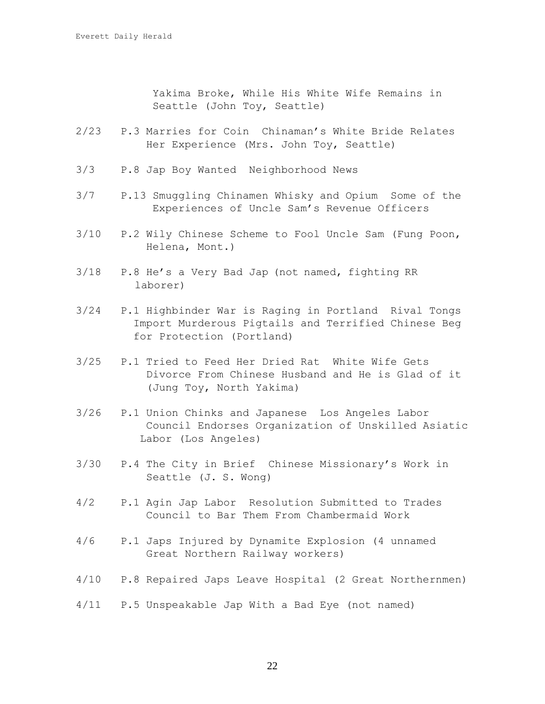Yakima Broke, While His White Wife Remains in Seattle (John Toy, Seattle)

- 2/23 P.3 Marries for Coin Chinaman's White Bride Relates Her Experience (Mrs. John Toy, Seattle)
- 3/3 P.8 Jap Boy Wanted Neighborhood News
- 3/7 P.13 Smuggling Chinamen Whisky and Opium Some of the Experiences of Uncle Sam's Revenue Officers
- 3/10 P.2 Wily Chinese Scheme to Fool Uncle Sam (Fung Poon, Helena, Mont.)
- 3/18 P.8 He's a Very Bad Jap (not named, fighting RR laborer)
- 3/24 P.1 Highbinder War is Raging in Portland Rival Tongs Import Murderous Pigtails and Terrified Chinese Beg for Protection (Portland)
- 3/25 P.1 Tried to Feed Her Dried Rat White Wife Gets Divorce From Chinese Husband and He is Glad of it (Jung Toy, North Yakima)
- 3/26 P.1 Union Chinks and Japanese Los Angeles Labor Council Endorses Organization of Unskilled Asiatic Labor (Los Angeles)
- 3/30 P.4 The City in Brief Chinese Missionary's Work in Seattle (J. S. Wong)
- 4/2 P.1 Agin Jap Labor Resolution Submitted to Trades Council to Bar Them From Chambermaid Work
- 4/6 P.1 Japs Injured by Dynamite Explosion (4 unnamed Great Northern Railway workers)
- 4/10 P.8 Repaired Japs Leave Hospital (2 Great Northernmen)

4/11 P.5 Unspeakable Jap With a Bad Eye (not named)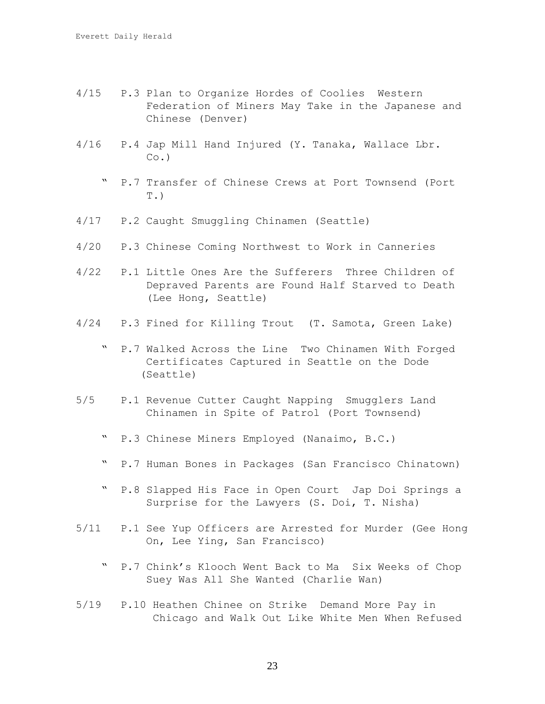- 4/15 P.3 Plan to Organize Hordes of Coolies Western Federation of Miners May Take in the Japanese and Chinese (Denver)
- 4/16 P.4 Jap Mill Hand Injured (Y. Tanaka, Wallace Lbr.  $CO.$ )
	- " P.7 Transfer of Chinese Crews at Port Townsend (Port  $T.$
- 4/17 P.2 Caught Smuggling Chinamen (Seattle)
- 4/20 P.3 Chinese Coming Northwest to Work in Canneries
- 4/22 P.1 Little Ones Are the Sufferers Three Children of Depraved Parents are Found Half Starved to Death (Lee Hong, Seattle)
- 4/24 P.3 Fined for Killing Trout (T. Samota, Green Lake)
	- " P.7 Walked Across the Line Two Chinamen With Forged Certificates Captured in Seattle on the Dode (Seattle)
- 5/5 P.1 Revenue Cutter Caught Napping Smugglers Land Chinamen in Spite of Patrol (Port Townsend)
	- " P.3 Chinese Miners Employed (Nanaimo, B.C.)
	- " P.7 Human Bones in Packages (San Francisco Chinatown)
	- " P.8 Slapped His Face in Open Court Jap Doi Springs a Surprise for the Lawyers (S. Doi, T. Nisha)
- 5/11 P.1 See Yup Officers are Arrested for Murder (Gee Hong On, Lee Ying, San Francisco)
	- " P.7 Chink's Klooch Went Back to Ma Six Weeks of Chop Suey Was All She Wanted (Charlie Wan)
- 5/19 P.10 Heathen Chinee on Strike Demand More Pay in Chicago and Walk Out Like White Men When Refused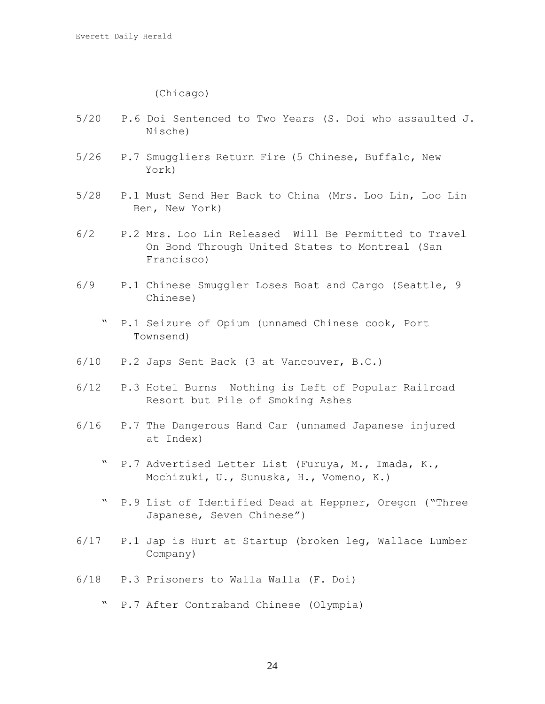(Chicago)

- 5/20 P.6 Doi Sentenced to Two Years (S. Doi who assaulted J. Nische)
- 5/26 P.7 Smuggliers Return Fire (5 Chinese, Buffalo, New York)
- 5/28 P.1 Must Send Her Back to China (Mrs. Loo Lin, Loo Lin Ben, New York)
- 6/2 P.2 Mrs. Loo Lin Released Will Be Permitted to Travel On Bond Through United States to Montreal (San Francisco)
- 6/9 P.1 Chinese Smuggler Loses Boat and Cargo (Seattle, 9 Chinese)
	- " P.1 Seizure of Opium (unnamed Chinese cook, Port Townsend)
- 6/10 P.2 Japs Sent Back (3 at Vancouver, B.C.)
- 6/12 P.3 Hotel Burns Nothing is Left of Popular Railroad Resort but Pile of Smoking Ashes
- 6/16 P.7 The Dangerous Hand Car (unnamed Japanese injured at Index)
	- " P.7 Advertised Letter List (Furuya, M., Imada, K., Mochizuki, U., Sunuska, H., Vomeno, K.)
	- " P.9 List of Identified Dead at Heppner, Oregon ("Three Japanese, Seven Chinese")
- 6/17 P.1 Jap is Hurt at Startup (broken leg, Wallace Lumber Company)
- 6/18 P.3 Prisoners to Walla Walla (F. Doi)
	- " P.7 After Contraband Chinese (Olympia)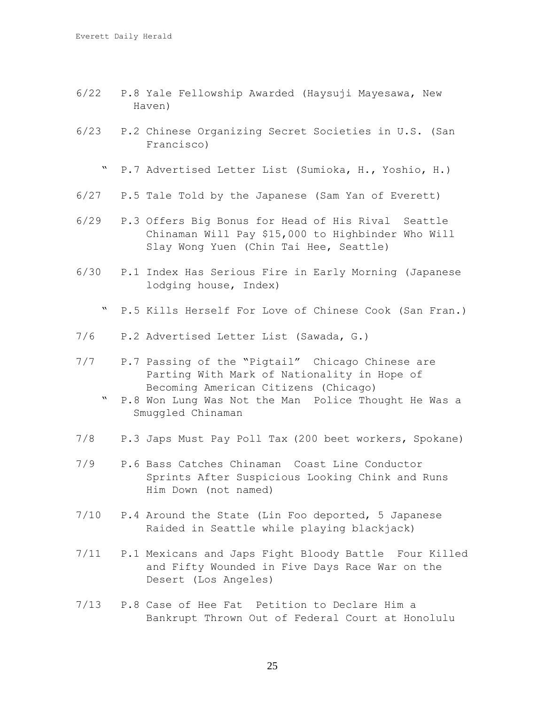- 6/22 P.8 Yale Fellowship Awarded (Haysuji Mayesawa, New Haven)
- 6/23 P.2 Chinese Organizing Secret Societies in U.S. (San Francisco)
	- " P.7 Advertised Letter List (Sumioka, H., Yoshio, H.)
- 6/27 P.5 Tale Told by the Japanese (Sam Yan of Everett)
- 6/29 P.3 Offers Big Bonus for Head of His Rival Seattle Chinaman Will Pay \$15,000 to Highbinder Who Will Slay Wong Yuen (Chin Tai Hee, Seattle)
- 6/30 P.1 Index Has Serious Fire in Early Morning (Japanese lodging house, Index)
	- " P.5 Kills Herself For Love of Chinese Cook (San Fran.)
- 7/6 P.2 Advertised Letter List (Sawada, G.)
- 7/7 P.7 Passing of the "Pigtail" Chicago Chinese are Parting With Mark of Nationality in Hope of Becoming American Citizens (Chicago)
	- " P.8 Won Lung Was Not the Man Police Thought He Was a Smuggled Chinaman
- 7/8 P.3 Japs Must Pay Poll Tax (200 beet workers, Spokane)
- 7/9 P.6 Bass Catches Chinaman Coast Line Conductor Sprints After Suspicious Looking Chink and Runs Him Down (not named)
- 7/10 P.4 Around the State (Lin Foo deported, 5 Japanese Raided in Seattle while playing blackjack)
- 7/11 P.1 Mexicans and Japs Fight Bloody Battle Four Killed and Fifty Wounded in Five Days Race War on the Desert (Los Angeles)
- 7/13 P.8 Case of Hee Fat Petition to Declare Him a Bankrupt Thrown Out of Federal Court at Honolulu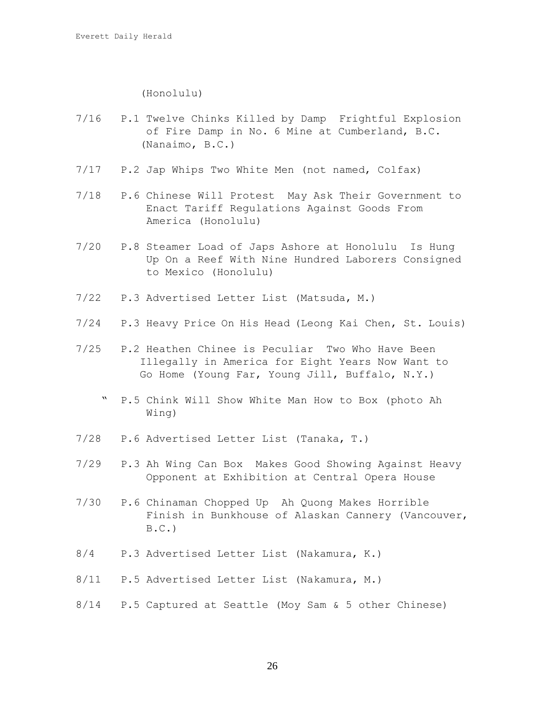(Honolulu)

- 7/16 P.1 Twelve Chinks Killed by Damp Frightful Explosion of Fire Damp in No. 6 Mine at Cumberland, B.C. (Nanaimo, B.C.)
- 7/17 P.2 Jap Whips Two White Men (not named, Colfax)
- 7/18 P.6 Chinese Will Protest May Ask Their Government to Enact Tariff Regulations Against Goods From America (Honolulu)
- 7/20 P.8 Steamer Load of Japs Ashore at Honolulu Is Hung Up On a Reef With Nine Hundred Laborers Consigned to Mexico (Honolulu)
- 7/22 P.3 Advertised Letter List (Matsuda, M.)
- 7/24 P.3 Heavy Price On His Head (Leong Kai Chen, St. Louis)
- 7/25 P.2 Heathen Chinee is Peculiar Two Who Have Been Illegally in America for Eight Years Now Want to Go Home (Young Far, Young Jill, Buffalo, N.Y.)
	- " P.5 Chink Will Show White Man How to Box (photo Ah Wing)
- 7/28 P.6 Advertised Letter List (Tanaka, T.)
- 7/29 P.3 Ah Wing Can Box Makes Good Showing Against Heavy Opponent at Exhibition at Central Opera House
- 7/30 P.6 Chinaman Chopped Up Ah Quong Makes Horrible Finish in Bunkhouse of Alaskan Cannery (Vancouver,  $B.C.$ )
- 8/4 P.3 Advertised Letter List (Nakamura, K.)
- 8/11 P.5 Advertised Letter List (Nakamura, M.)
- 8/14 P.5 Captured at Seattle (Moy Sam & 5 other Chinese)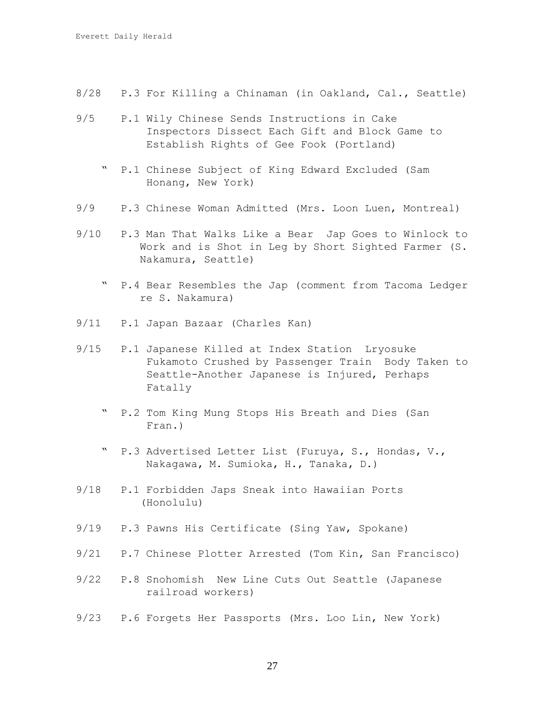- 8/28 P.3 For Killing a Chinaman (in Oakland, Cal., Seattle)
- 9/5 P.1 Wily Chinese Sends Instructions in Cake Inspectors Dissect Each Gift and Block Game to Establish Rights of Gee Fook (Portland)
	- " P.1 Chinese Subject of King Edward Excluded (Sam Honang, New York)
- 9/9 P.3 Chinese Woman Admitted (Mrs. Loon Luen, Montreal)
- 9/10 P.3 Man That Walks Like a Bear Jap Goes to Winlock to Work and is Shot in Leg by Short Sighted Farmer (S. Nakamura, Seattle)
	- " P.4 Bear Resembles the Jap (comment from Tacoma Ledger re S. Nakamura)
- 9/11 P.1 Japan Bazaar (Charles Kan)
- 9/15 P.1 Japanese Killed at Index Station Lryosuke Fukamoto Crushed by Passenger Train Body Taken to Seattle-Another Japanese is Injured, Perhaps Fatally
	- " P.2 Tom King Mung Stops His Breath and Dies (San Fran.)
	- P.3 Advertised Letter List (Furuya, S., Hondas, V., Nakagawa, M. Sumioka, H., Tanaka, D.)
- 9/18 P.1 Forbidden Japs Sneak into Hawaiian Ports (Honolulu)
- 9/19 P.3 Pawns His Certificate (Sing Yaw, Spokane)
- 9/21 P.7 Chinese Plotter Arrested (Tom Kin, San Francisco)
- 9/22 P.8 Snohomish New Line Cuts Out Seattle (Japanese railroad workers)
- 9/23 P.6 Forgets Her Passports (Mrs. Loo Lin, New York)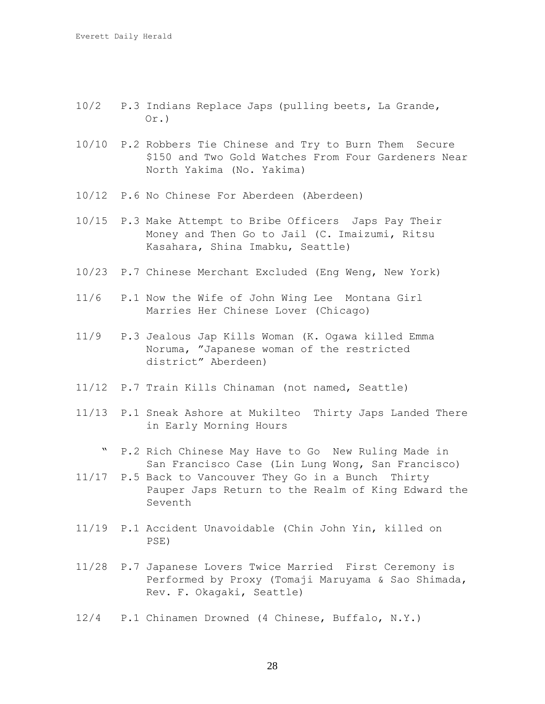- 10/2 P.3 Indians Replace Japs (pulling beets, La Grande, Or.)
- 10/10 P.2 Robbers Tie Chinese and Try to Burn Them Secure \$150 and Two Gold Watches From Four Gardeners Near North Yakima (No. Yakima)
- 10/12 P.6 No Chinese For Aberdeen (Aberdeen)
- 10/15 P.3 Make Attempt to Bribe Officers Japs Pay Their Money and Then Go to Jail (C. Imaizumi, Ritsu Kasahara, Shina Imabku, Seattle)
- 10/23 P.7 Chinese Merchant Excluded (Eng Weng, New York)
- 11/6 P.1 Now the Wife of John Wing Lee Montana Girl Marries Her Chinese Lover (Chicago)
- 11/9 P.3 Jealous Jap Kills Woman (K. Ogawa killed Emma Noruma, "Japanese woman of the restricted district" Aberdeen)
- 11/12 P.7 Train Kills Chinaman (not named, Seattle)
- 11/13 P.1 Sneak Ashore at Mukilteo Thirty Japs Landed There in Early Morning Hours
	- " P.2 Rich Chinese May Have to Go New Ruling Made in San Francisco Case (Lin Lung Wong, San Francisco)
- 11/17 P.5 Back to Vancouver They Go in a Bunch Thirty Pauper Japs Return to the Realm of King Edward the Seventh
- 11/19 P.1 Accident Unavoidable (Chin John Yin, killed on PSE)
- 11/28 P.7 Japanese Lovers Twice Married First Ceremony is Performed by Proxy (Tomaji Maruyama & Sao Shimada, Rev. F. Okagaki, Seattle)
- 12/4 P.1 Chinamen Drowned (4 Chinese, Buffalo, N.Y.)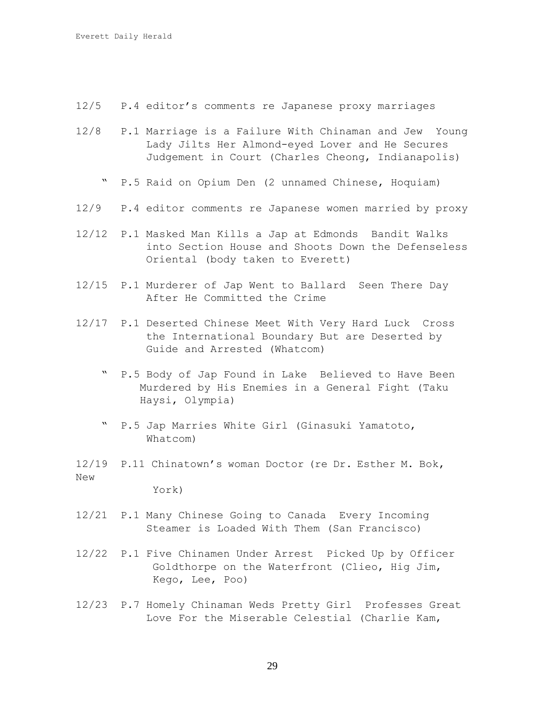- 12/5 P.4 editor's comments re Japanese proxy marriages
- 12/8 P.1 Marriage is a Failure With Chinaman and Jew Young Lady Jilts Her Almond-eyed Lover and He Secures Judgement in Court (Charles Cheong, Indianapolis)
	- " P.5 Raid on Opium Den (2 unnamed Chinese, Hoquiam)
- 12/9 P.4 editor comments re Japanese women married by proxy
- 12/12 P.1 Masked Man Kills a Jap at Edmonds Bandit Walks into Section House and Shoots Down the Defenseless Oriental (body taken to Everett)
- 12/15 P.1 Murderer of Jap Went to Ballard Seen There Day After He Committed the Crime
- 12/17 P.1 Deserted Chinese Meet With Very Hard Luck Cross the International Boundary But are Deserted by Guide and Arrested (Whatcom)
	- " P.5 Body of Jap Found in Lake Believed to Have Been Murdered by His Enemies in a General Fight (Taku Haysi, Olympia)
	- " P.5 Jap Marries White Girl (Ginasuki Yamatoto, Whatcom)
- 12/19 P.11 Chinatown's woman Doctor (re Dr. Esther M. Bok, New

York)

- 12/21 P.1 Many Chinese Going to Canada Every Incoming Steamer is Loaded With Them (San Francisco)
- 12/22 P.1 Five Chinamen Under Arrest Picked Up by Officer Goldthorpe on the Waterfront (Clieo, Hig Jim, Kego, Lee, Poo)
- 12/23 P.7 Homely Chinaman Weds Pretty Girl Professes Great Love For the Miserable Celestial (Charlie Kam,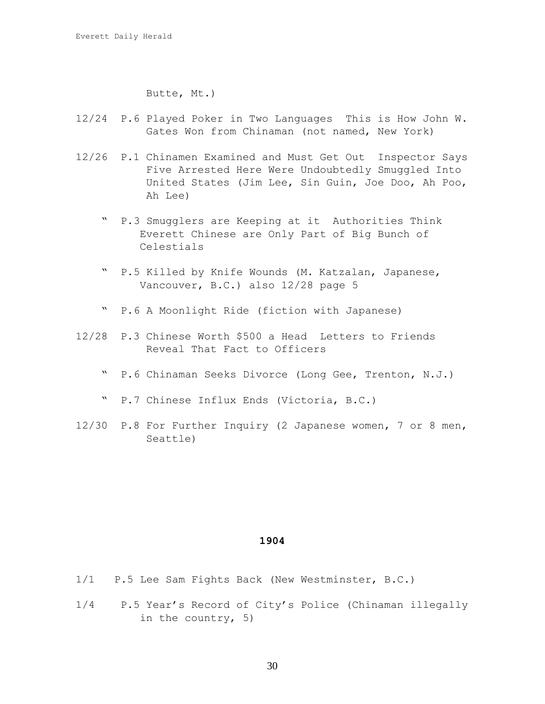Butte, Mt.)

- 12/24 P.6 Played Poker in Two Languages This is How John W. Gates Won from Chinaman (not named, New York)
- 12/26 P.1 Chinamen Examined and Must Get Out Inspector Says Five Arrested Here Were Undoubtedly Smuggled Into United States (Jim Lee, Sin Guin, Joe Doo, Ah Poo, Ah Lee)
	- " P.3 Smugglers are Keeping at it Authorities Think Everett Chinese are Only Part of Big Bunch of Celestials
	- P.5 Killed by Knife Wounds (M. Katzalan, Japanese, Vancouver, B.C.) also 12/28 page 5
	- " P.6 A Moonlight Ride (fiction with Japanese)
- 12/28 P.3 Chinese Worth \$500 a Head Letters to Friends Reveal That Fact to Officers
	- " P.6 Chinaman Seeks Divorce (Long Gee, Trenton, N.J.)
	- " P.7 Chinese Influx Ends (Victoria, B.C.)
- 12/30 P.8 For Further Inquiry (2 Japanese women, 7 or 8 men, Seattle)

- 1/1 P.5 Lee Sam Fights Back (New Westminster, B.C.)
- 1/4 P.5 Year's Record of City's Police (Chinaman illegally in the country, 5)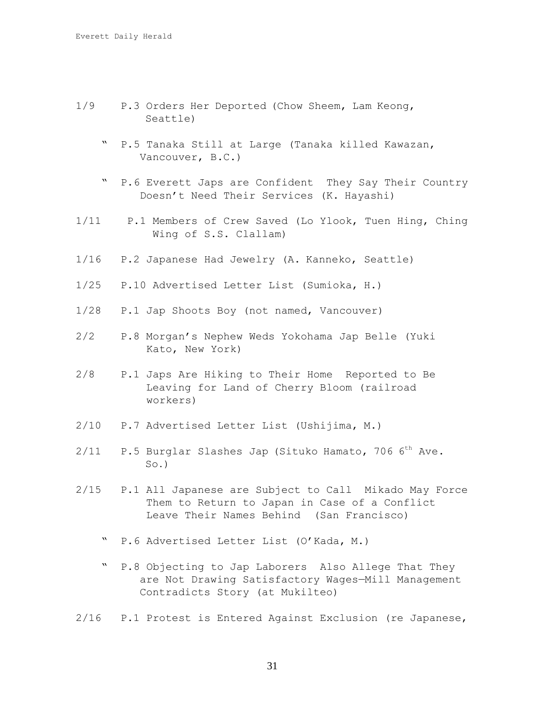- 1/9 P.3 Orders Her Deported (Chow Sheem, Lam Keong, Seattle)
	- " P.5 Tanaka Still at Large (Tanaka killed Kawazan, Vancouver, B.C.)
	- " P.6 Everett Japs are Confident They Say Their Country Doesn't Need Their Services (K. Hayashi)
- 1/11 P.1 Members of Crew Saved (Lo Ylook, Tuen Hing, Ching Wing of S.S. Clallam)
- 1/16 P.2 Japanese Had Jewelry (A. Kanneko, Seattle)
- 1/25 P.10 Advertised Letter List (Sumioka, H.)
- 1/28 P.1 Jap Shoots Boy (not named, Vancouver)
- 2/2 P.8 Morgan's Nephew Weds Yokohama Jap Belle (Yuki Kato, New York)
- 2/8 P.1 Japs Are Hiking to Their Home Reported to Be Leaving for Land of Cherry Bloom (railroad workers)
- 2/10 P.7 Advertised Letter List (Ushijima, M.)
- $2/11$  P.5 Burglar Slashes Jap (Situko Hamato, 706 6<sup>th</sup> Ave. So.)
- 2/15 P.1 All Japanese are Subject to Call Mikado May Force Them to Return to Japan in Case of a Conflict Leave Their Names Behind (San Francisco)
	- " P.6 Advertised Letter List (O'Kada, M.)
	- " P.8 Objecting to Jap Laborers Also Allege That They are Not Drawing Satisfactory Wages—Mill Management Contradicts Story (at Mukilteo)
- 2/16 P.1 Protest is Entered Against Exclusion (re Japanese,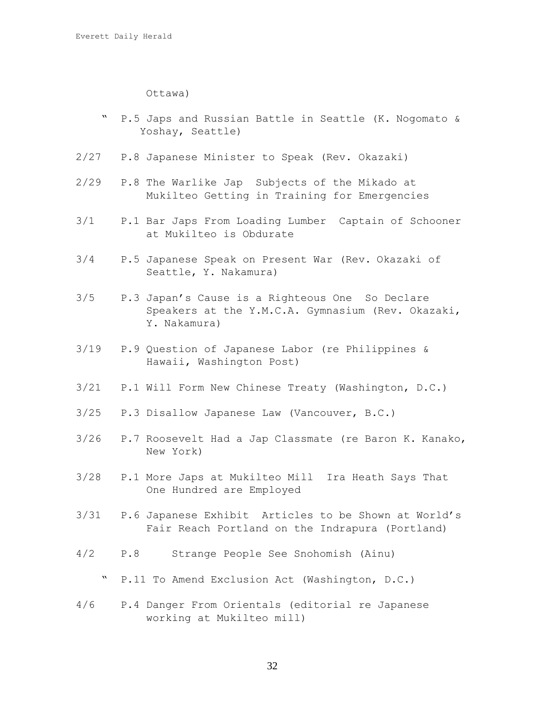Ottawa)

- " P.5 Japs and Russian Battle in Seattle (K. Nogomato & Yoshay, Seattle)
- 2/27 P.8 Japanese Minister to Speak (Rev. Okazaki)
- 2/29 P.8 The Warlike Jap Subjects of the Mikado at Mukilteo Getting in Training for Emergencies
- 3/1 P.1 Bar Japs From Loading Lumber Captain of Schooner at Mukilteo is Obdurate
- 3/4 P.5 Japanese Speak on Present War (Rev. Okazaki of Seattle, Y. Nakamura)
- 3/5 P.3 Japan's Cause is a Righteous One So Declare Speakers at the Y.M.C.A. Gymnasium (Rev. Okazaki, Y. Nakamura)
- 3/19 P.9 Question of Japanese Labor (re Philippines & Hawaii, Washington Post)
- 3/21 P.1 Will Form New Chinese Treaty (Washington, D.C.)
- 3/25 P.3 Disallow Japanese Law (Vancouver, B.C.)
- 3/26 P.7 Roosevelt Had a Jap Classmate (re Baron K. Kanako, New York)
- 3/28 P.1 More Japs at Mukilteo Mill Ira Heath Says That One Hundred are Employed
- 3/31 P.6 Japanese Exhibit Articles to be Shown at World's Fair Reach Portland on the Indrapura (Portland)
- 4/2 P.8 Strange People See Snohomish (Ainu)
	- " P.11 To Amend Exclusion Act (Washington, D.C.)
- 4/6 P.4 Danger From Orientals (editorial re Japanese working at Mukilteo mill)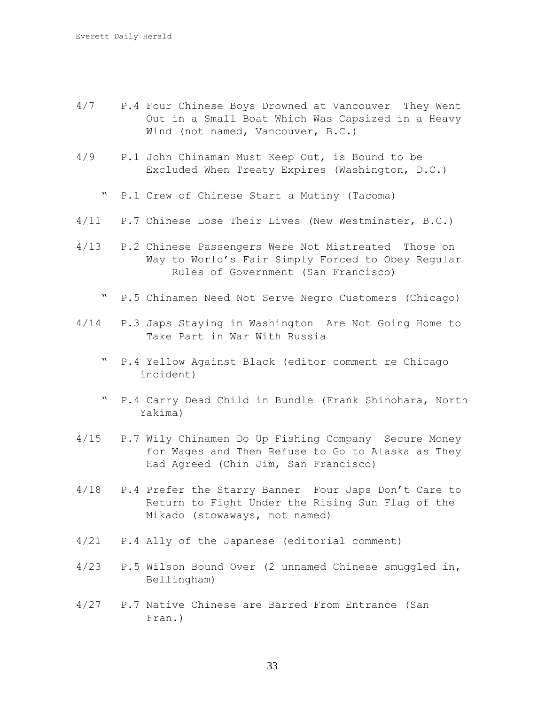- 4/7 P.4 Four Chinese Boys Drowned at Vancouver They Went Out in a Small Boat Which Was Capsized in a Heavy Wind (not named, Vancouver, B.C.)
- 4/9 P.1 John Chinaman Must Keep Out, is Bound to be Excluded When Treaty Expires (Washington, D.C.)
	- " P.1 Crew of Chinese Start a Mutiny (Tacoma)
- 4/11 P.7 Chinese Lose Their Lives (New Westminster, B.C.)
- 4/13 P.2 Chinese Passengers Were Not Mistreated Those on Way to World's Fair Simply Forced to Obey Regular Rules of Government (San Francisco)
	- " P.5 Chinamen Need Not Serve Negro Customers (Chicago)
- 4/14 P.3 Japs Staying in Washington Are Not Going Home to Take Part in War With Russia
	- " P.4 Yellow Against Black (editor comment re Chicago incident)
	- " P.4 Carry Dead Child in Bundle (Frank Shinohara, North Yakima)
- 4/15 P.7 Wily Chinamen Do Up Fishing Company Secure Money for Wages and Then Refuse to Go to Alaska as They Had Agreed (Chin Jim, San Francisco)
- 4/18 P.4 Prefer the Starry Banner Four Japs Don't Care to Return to Fight Under the Rising Sun Flag of the Mikado (stowaways, not named)
- 4/21 P.4 Ally of the Japanese (editorial comment)
- 4/23 P.5 Wilson Bound Over (2 unnamed Chinese smuggled in, Bellingham)
- 4/27 P.7 Native Chinese are Barred From Entrance (San Fran.)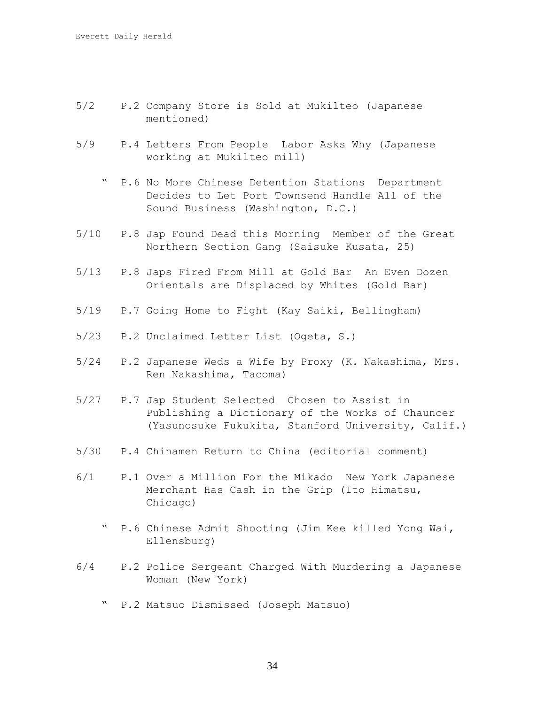- 5/2 P.2 Company Store is Sold at Mukilteo (Japanese mentioned)
- 5/9 P.4 Letters From People Labor Asks Why (Japanese working at Mukilteo mill)
	- " P.6 No More Chinese Detention Stations Department Decides to Let Port Townsend Handle All of the Sound Business (Washington, D.C.)
- 5/10 P.8 Jap Found Dead this Morning Member of the Great Northern Section Gang (Saisuke Kusata, 25)
- 5/13 P.8 Japs Fired From Mill at Gold Bar An Even Dozen Orientals are Displaced by Whites (Gold Bar)
- 5/19 P.7 Going Home to Fight (Kay Saiki, Bellingham)
- 5/23 P.2 Unclaimed Letter List (Ogeta, S.)
- 5/24 P.2 Japanese Weds a Wife by Proxy (K. Nakashima, Mrs. Ren Nakashima, Tacoma)
- 5/27 P.7 Jap Student Selected Chosen to Assist in Publishing a Dictionary of the Works of Chauncer (Yasunosuke Fukukita, Stanford University, Calif.)
- 5/30 P.4 Chinamen Return to China (editorial comment)
- 6/1 P.1 Over a Million For the Mikado New York Japanese Merchant Has Cash in the Grip (Ito Himatsu, Chicago)
	- P.6 Chinese Admit Shooting (Jim Kee killed Yong Wai, Ellensburg)
- 6/4 P.2 Police Sergeant Charged With Murdering a Japanese Woman (New York)
	- " P.2 Matsuo Dismissed (Joseph Matsuo)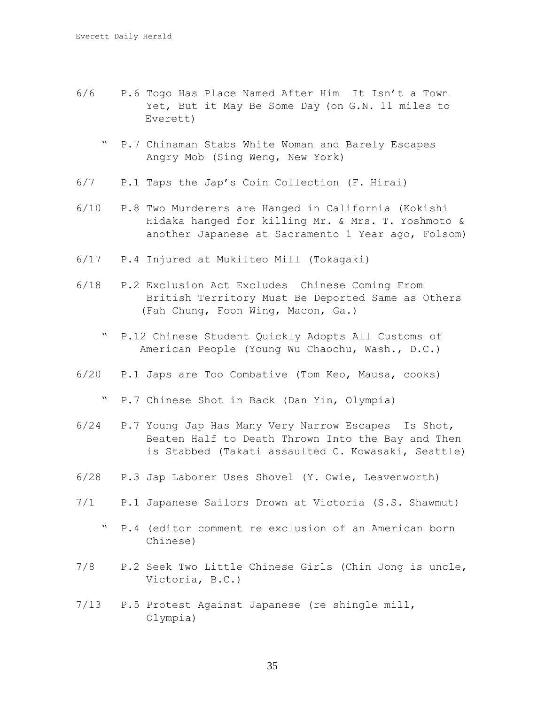- 6/6 P.6 Togo Has Place Named After Him It Isn't a Town Yet, But it May Be Some Day (on G.N. 11 miles to Everett)
	- " P.7 Chinaman Stabs White Woman and Barely Escapes Angry Mob (Sing Weng, New York)
- 6/7 P.1 Taps the Jap's Coin Collection (F. Hirai)
- 6/10 P.8 Two Murderers are Hanged in California (Kokishi Hidaka hanged for killing Mr. & Mrs. T. Yoshmoto & another Japanese at Sacramento 1 Year ago, Folsom)
- 6/17 P.4 Injured at Mukilteo Mill (Tokagaki)
- 6/18 P.2 Exclusion Act Excludes Chinese Coming From British Territory Must Be Deported Same as Others (Fah Chung, Foon Wing, Macon, Ga.)
	- " P.12 Chinese Student Quickly Adopts All Customs of American People (Young Wu Chaochu, Wash., D.C.)
- 6/20 P.1 Japs are Too Combative (Tom Keo, Mausa, cooks)

" P.7 Chinese Shot in Back (Dan Yin, Olympia)

- 6/24 P.7 Young Jap Has Many Very Narrow Escapes Is Shot, Beaten Half to Death Thrown Into the Bay and Then is Stabbed (Takati assaulted C. Kowasaki, Seattle)
- 6/28 P.3 Jap Laborer Uses Shovel (Y. Owie, Leavenworth)
- 7/1 P.1 Japanese Sailors Drown at Victoria (S.S. Shawmut)
	- " P.4 (editor comment re exclusion of an American born Chinese)
- 7/8 P.2 Seek Two Little Chinese Girls (Chin Jong is uncle, Victoria, B.C.)
- 7/13 P.5 Protest Against Japanese (re shingle mill, Olympia)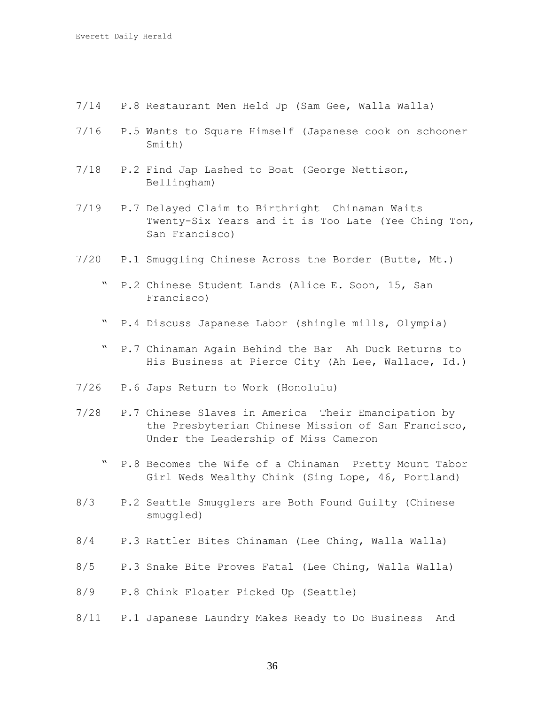- 7/14 P.8 Restaurant Men Held Up (Sam Gee, Walla Walla)
- 7/16 P.5 Wants to Square Himself (Japanese cook on schooner Smith)
- 7/18 P.2 Find Jap Lashed to Boat (George Nettison, Bellingham)
- 7/19 P.7 Delayed Claim to Birthright Chinaman Waits Twenty-Six Years and it is Too Late (Yee Ching Ton, San Francisco)
- 7/20 P.1 Smuggling Chinese Across the Border (Butte, Mt.)
	- " P.2 Chinese Student Lands (Alice E. Soon, 15, San Francisco)
	- " P.4 Discuss Japanese Labor (shingle mills, Olympia)
	- " P.7 Chinaman Again Behind the Bar Ah Duck Returns to His Business at Pierce City (Ah Lee, Wallace, Id.)
- 7/26 P.6 Japs Return to Work (Honolulu)
- 7/28 P.7 Chinese Slaves in America Their Emancipation by the Presbyterian Chinese Mission of San Francisco, Under the Leadership of Miss Cameron
	- P.8 Becomes the Wife of a Chinaman Pretty Mount Tabor Girl Weds Wealthy Chink (Sing Lope, 46, Portland)
- 8/3 P.2 Seattle Smugglers are Both Found Guilty (Chinese smuggled)
- 8/4 P.3 Rattler Bites Chinaman (Lee Ching, Walla Walla)
- 8/5 P.3 Snake Bite Proves Fatal (Lee Ching, Walla Walla)
- 8/9 P.8 Chink Floater Picked Up (Seattle)
- 8/11 P.1 Japanese Laundry Makes Ready to Do Business And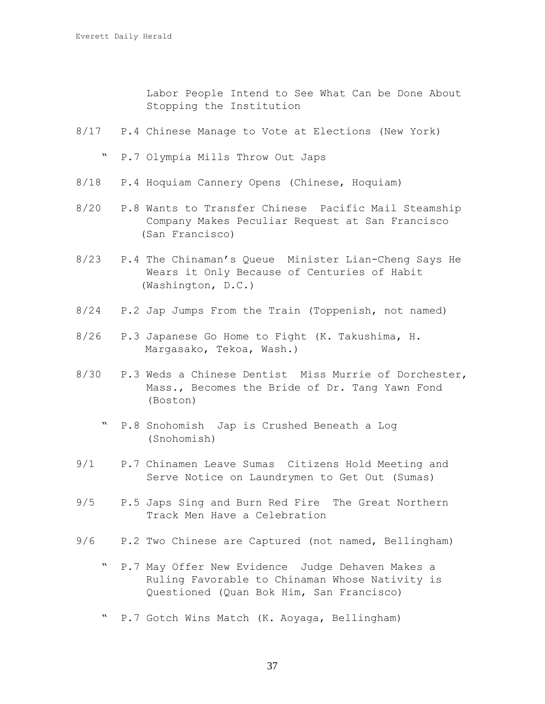Labor People Intend to See What Can be Done About Stopping the Institution

8/17 P.4 Chinese Manage to Vote at Elections (New York)

" P.7 Olympia Mills Throw Out Japs

- 8/18 P.4 Hoquiam Cannery Opens (Chinese, Hoquiam)
- 8/20 P.8 Wants to Transfer Chinese Pacific Mail Steamship Company Makes Peculiar Request at San Francisco (San Francisco)
- 8/23 P.4 The Chinaman's Queue Minister Lian-Cheng Says He Wears it Only Because of Centuries of Habit (Washington, D.C.)
- 8/24 P.2 Jap Jumps From the Train (Toppenish, not named)
- 8/26 P.3 Japanese Go Home to Fight (K. Takushima, H. Margasako, Tekoa, Wash.)
- 8/30 P.3 Weds a Chinese Dentist Miss Murrie of Dorchester, Mass., Becomes the Bride of Dr. Tang Yawn Fond (Boston)
	- " P.8 Snohomish Jap is Crushed Beneath a Log (Snohomish)
- 9/1 P.7 Chinamen Leave Sumas Citizens Hold Meeting and Serve Notice on Laundrymen to Get Out (Sumas)
- 9/5 P.5 Japs Sing and Burn Red Fire The Great Northern Track Men Have a Celebration
- 9/6 P.2 Two Chinese are Captured (not named, Bellingham)
	- " P.7 May Offer New Evidence Judge Dehaven Makes a Ruling Favorable to Chinaman Whose Nativity is Questioned (Quan Bok Him, San Francisco)
	- " P.7 Gotch Wins Match (K. Aoyaga, Bellingham)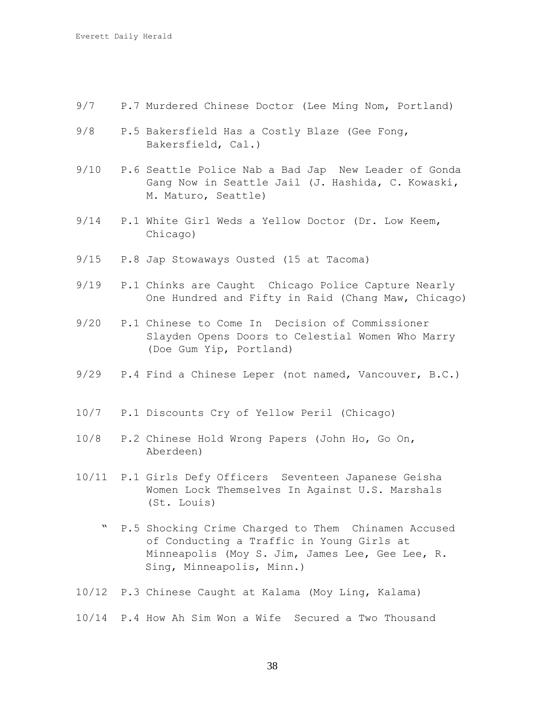- 9/7 P.7 Murdered Chinese Doctor (Lee Ming Nom, Portland)
- 9/8 P.5 Bakersfield Has a Costly Blaze (Gee Fong, Bakersfield, Cal.)
- 9/10 P.6 Seattle Police Nab a Bad Jap New Leader of Gonda Gang Now in Seattle Jail (J. Hashida, C. Kowaski, M. Maturo, Seattle)
- 9/14 P.1 White Girl Weds a Yellow Doctor (Dr. Low Keem, Chicago)
- 9/15 P.8 Jap Stowaways Ousted (15 at Tacoma)
- 9/19 P.1 Chinks are Caught Chicago Police Capture Nearly One Hundred and Fifty in Raid (Chang Maw, Chicago)
- 9/20 P.1 Chinese to Come In Decision of Commissioner Slayden Opens Doors to Celestial Women Who Marry (Doe Gum Yip, Portland)
- 9/29 P.4 Find a Chinese Leper (not named, Vancouver, B.C.)
- 10/7 P.1 Discounts Cry of Yellow Peril (Chicago)
- 10/8 P.2 Chinese Hold Wrong Papers (John Ho, Go On, Aberdeen)
- 10/11 P.1 Girls Defy Officers Seventeen Japanese Geisha Women Lock Themselves In Against U.S. Marshals (St. Louis)
	- " P.5 Shocking Crime Charged to Them Chinamen Accused of Conducting a Traffic in Young Girls at Minneapolis (Moy S. Jim, James Lee, Gee Lee, R. Sing, Minneapolis, Minn.)
- 10/12 P.3 Chinese Caught at Kalama (Moy Ling, Kalama)
- 10/14 P.4 How Ah Sim Won a Wife Secured a Two Thousand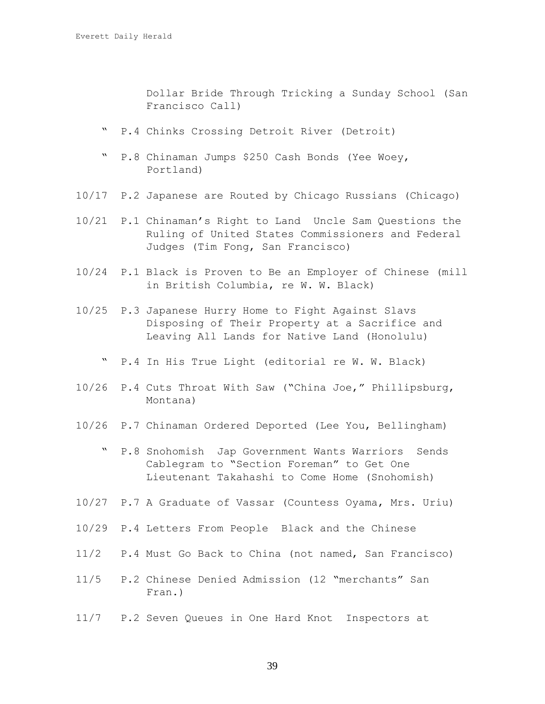Dollar Bride Through Tricking a Sunday School (San Francisco Call)

- " P.4 Chinks Crossing Detroit River (Detroit)
- " P.8 Chinaman Jumps \$250 Cash Bonds (Yee Woey, Portland)
- 10/17 P.2 Japanese are Routed by Chicago Russians (Chicago)
- 10/21 P.1 Chinaman's Right to Land Uncle Sam Questions the Ruling of United States Commissioners and Federal Judges (Tim Fong, San Francisco)
- 10/24 P.1 Black is Proven to Be an Employer of Chinese (mill in British Columbia, re W. W. Black)
- 10/25 P.3 Japanese Hurry Home to Fight Against Slavs Disposing of Their Property at a Sacrifice and Leaving All Lands for Native Land (Honolulu)
	- " P.4 In His True Light (editorial re W. W. Black)
- 10/26 P.4 Cuts Throat With Saw ("China Joe," Phillipsburg, Montana)
- 10/26 P.7 Chinaman Ordered Deported (Lee You, Bellingham)
	- " P.8 Snohomish Jap Government Wants Warriors Sends Cablegram to "Section Foreman" to Get One Lieutenant Takahashi to Come Home (Snohomish)
- 10/27 P.7 A Graduate of Vassar (Countess Oyama, Mrs. Uriu)
- 10/29 P.4 Letters From People Black and the Chinese
- 11/2 P.4 Must Go Back to China (not named, San Francisco)
- 11/5 P.2 Chinese Denied Admission (12 "merchants" San Fran.)
- 11/7 P.2 Seven Queues in One Hard Knot Inspectors at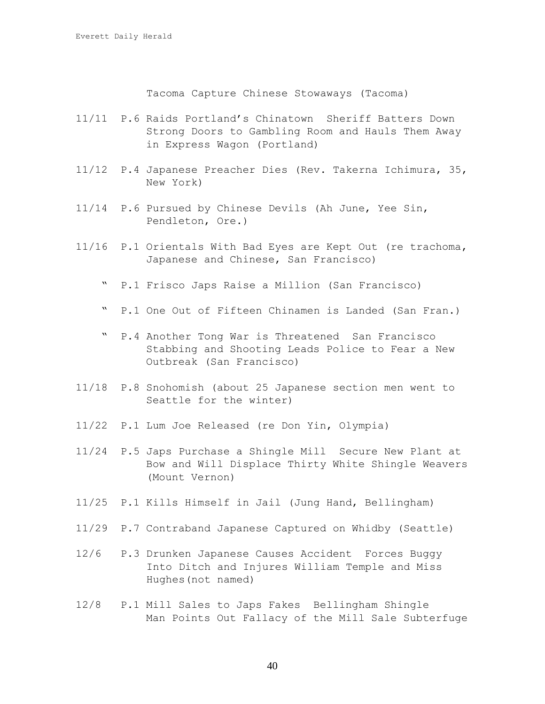Tacoma Capture Chinese Stowaways (Tacoma)

- 11/11 P.6 Raids Portland's Chinatown Sheriff Batters Down Strong Doors to Gambling Room and Hauls Them Away in Express Wagon (Portland)
- 11/12 P.4 Japanese Preacher Dies (Rev. Takerna Ichimura, 35, New York)
- 11/14 P.6 Pursued by Chinese Devils (Ah June, Yee Sin, Pendleton, Ore.)
- 11/16 P.1 Orientals With Bad Eyes are Kept Out (re trachoma, Japanese and Chinese, San Francisco)
	- " P.1 Frisco Japs Raise a Million (San Francisco)
	- " P.1 One Out of Fifteen Chinamen is Landed (San Fran.)
	- " P.4 Another Tong War is Threatened San Francisco Stabbing and Shooting Leads Police to Fear a New Outbreak (San Francisco)
- 11/18 P.8 Snohomish (about 25 Japanese section men went to Seattle for the winter)
- 11/22 P.1 Lum Joe Released (re Don Yin, Olympia)
- 11/24 P.5 Japs Purchase a Shingle Mill Secure New Plant at Bow and Will Displace Thirty White Shingle Weavers (Mount Vernon)
- 11/25 P.1 Kills Himself in Jail (Jung Hand, Bellingham)
- 11/29 P.7 Contraband Japanese Captured on Whidby (Seattle)
- 12/6 P.3 Drunken Japanese Causes Accident Forces Buggy Into Ditch and Injures William Temple and Miss Hughes(not named)
- 12/8 P.1 Mill Sales to Japs Fakes Bellingham Shingle Man Points Out Fallacy of the Mill Sale Subterfuge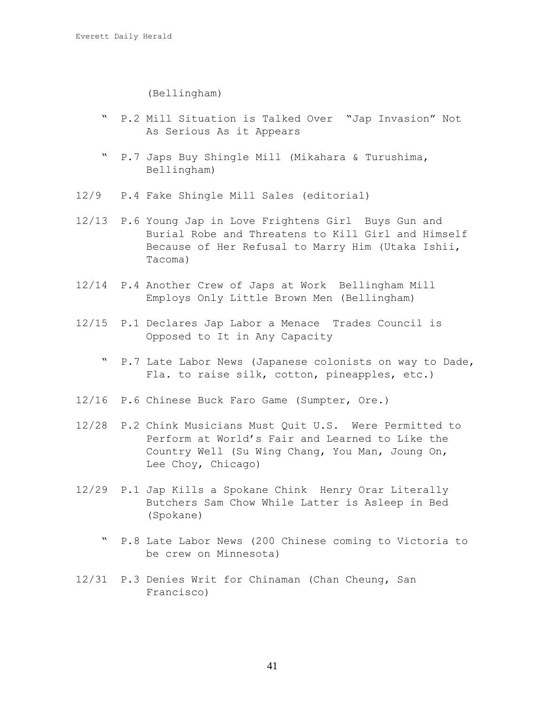(Bellingham)

- " P.2 Mill Situation is Talked Over "Jap Invasion" Not As Serious As it Appears
- " P.7 Japs Buy Shingle Mill (Mikahara & Turushima, Bellingham)
- 12/9 P.4 Fake Shingle Mill Sales (editorial)
- 12/13 P.6 Young Jap in Love Frightens Girl Buys Gun and Burial Robe and Threatens to Kill Girl and Himself Because of Her Refusal to Marry Him (Utaka Ishii, Tacoma)
- 12/14 P.4 Another Crew of Japs at Work Bellingham Mill Employs Only Little Brown Men (Bellingham)
- 12/15 P.1 Declares Jap Labor a Menace Trades Council is Opposed to It in Any Capacity
	- " P.7 Late Labor News (Japanese colonists on way to Dade, Fla. to raise silk, cotton, pineapples, etc.)
- 12/16 P.6 Chinese Buck Faro Game (Sumpter, Ore.)
- 12/28 P.2 Chink Musicians Must Quit U.S. Were Permitted to Perform at World's Fair and Learned to Like the Country Well (Su Wing Chang, You Man, Joung On, Lee Choy, Chicago)
- 12/29 P.1 Jap Kills a Spokane Chink Henry Orar Literally Butchers Sam Chow While Latter is Asleep in Bed (Spokane)
	- " P.8 Late Labor News (200 Chinese coming to Victoria to be crew on Minnesota)
- 12/31 P.3 Denies Writ for Chinaman (Chan Cheung, San Francisco)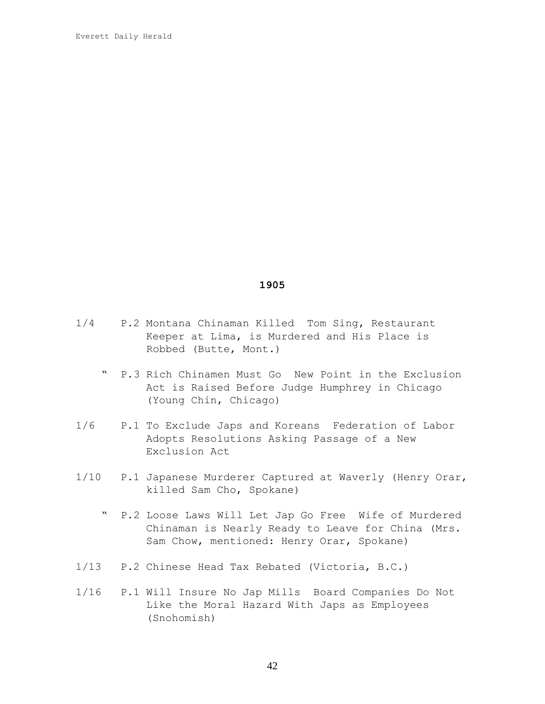- 1/4 P.2 Montana Chinaman Killed Tom Sing, Restaurant Keeper at Lima, is Murdered and His Place is Robbed (Butte, Mont.)
	- " P.3 Rich Chinamen Must Go New Point in the Exclusion Act is Raised Before Judge Humphrey in Chicago (Young Chin, Chicago)
- 1/6 P.1 To Exclude Japs and Koreans Federation of Labor Adopts Resolutions Asking Passage of a New Exclusion Act
- 1/10 P.1 Japanese Murderer Captured at Waverly (Henry Orar, killed Sam Cho, Spokane)
	- " P.2 Loose Laws Will Let Jap Go Free Wife of Murdered Chinaman is Nearly Ready to Leave for China (Mrs. Sam Chow, mentioned: Henry Orar, Spokane)
- 1/13 P.2 Chinese Head Tax Rebated (Victoria, B.C.)
- 1/16 P.1 Will Insure No Jap Mills Board Companies Do Not Like the Moral Hazard With Japs as Employees (Snohomish)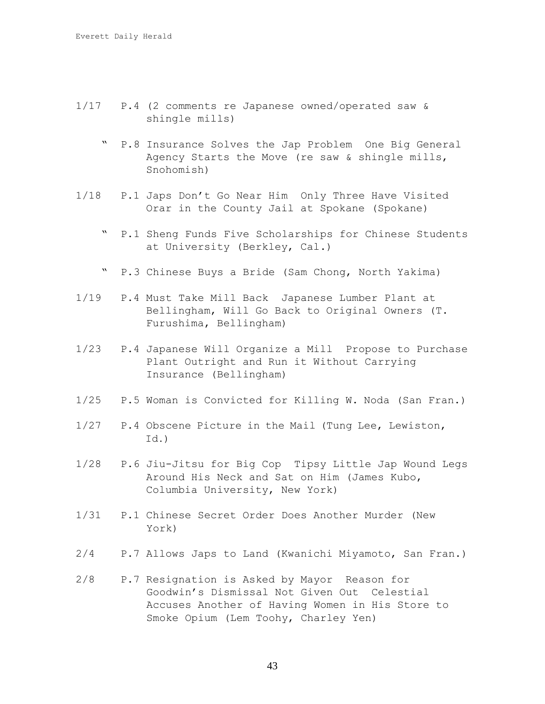- 1/17 P.4 (2 comments re Japanese owned/operated saw & shingle mills)
	- " P.8 Insurance Solves the Jap Problem One Big General Agency Starts the Move (re saw & shingle mills, Snohomish)
- 1/18 P.1 Japs Don't Go Near Him Only Three Have Visited Orar in the County Jail at Spokane (Spokane)
	- P.1 Sheng Funds Five Scholarships for Chinese Students at University (Berkley, Cal.)
	- " P.3 Chinese Buys a Bride (Sam Chong, North Yakima)
- 1/19 P.4 Must Take Mill Back Japanese Lumber Plant at Bellingham, Will Go Back to Original Owners (T. Furushima, Bellingham)
- 1/23 P.4 Japanese Will Organize a Mill Propose to Purchase Plant Outright and Run it Without Carrying Insurance (Bellingham)
- 1/25 P.5 Woman is Convicted for Killing W. Noda (San Fran.)
- 1/27 P.4 Obscene Picture in the Mail (Tung Lee, Lewiston,  $Id.$ )
- 1/28 P.6 Jiu-Jitsu for Big Cop Tipsy Little Jap Wound Legs Around His Neck and Sat on Him (James Kubo, Columbia University, New York)
- 1/31 P.1 Chinese Secret Order Does Another Murder (New York)
- 2/4 P.7 Allows Japs to Land (Kwanichi Miyamoto, San Fran.)
- 2/8 P.7 Resignation is Asked by Mayor Reason for Goodwin's Dismissal Not Given Out Celestial Accuses Another of Having Women in His Store to Smoke Opium (Lem Toohy, Charley Yen)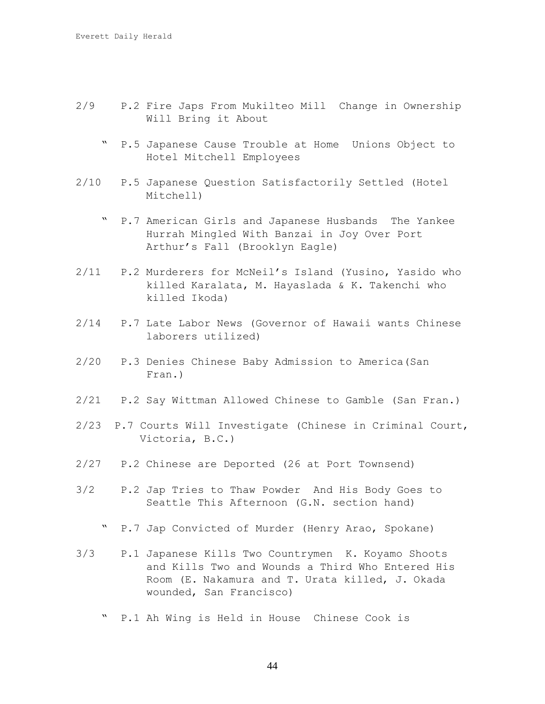- 2/9 P.2 Fire Japs From Mukilteo Mill Change in Ownership Will Bring it About
	- " P.5 Japanese Cause Trouble at Home Unions Object to Hotel Mitchell Employees
- 2/10 P.5 Japanese Question Satisfactorily Settled (Hotel Mitchell)
	- " P.7 American Girls and Japanese Husbands The Yankee Hurrah Mingled With Banzai in Joy Over Port Arthur's Fall (Brooklyn Eagle)
- 2/11 P.2 Murderers for McNeil's Island (Yusino, Yasido who killed Karalata, M. Hayaslada & K. Takenchi who killed Ikoda)
- 2/14 P.7 Late Labor News (Governor of Hawaii wants Chinese laborers utilized)
- 2/20 P.3 Denies Chinese Baby Admission to America(San Fran.)
- 2/21 P.2 Say Wittman Allowed Chinese to Gamble (San Fran.)
- 2/23 P.7 Courts Will Investigate (Chinese in Criminal Court, Victoria, B.C.)
- 2/27 P.2 Chinese are Deported (26 at Port Townsend)
- 3/2 P.2 Jap Tries to Thaw Powder And His Body Goes to Seattle This Afternoon (G.N. section hand)
	- " P.7 Jap Convicted of Murder (Henry Arao, Spokane)
- 3/3 P.1 Japanese Kills Two Countrymen K. Koyamo Shoots and Kills Two and Wounds a Third Who Entered His Room (E. Nakamura and T. Urata killed, J. Okada wounded, San Francisco)
	- " P.1 Ah Wing is Held in House Chinese Cook is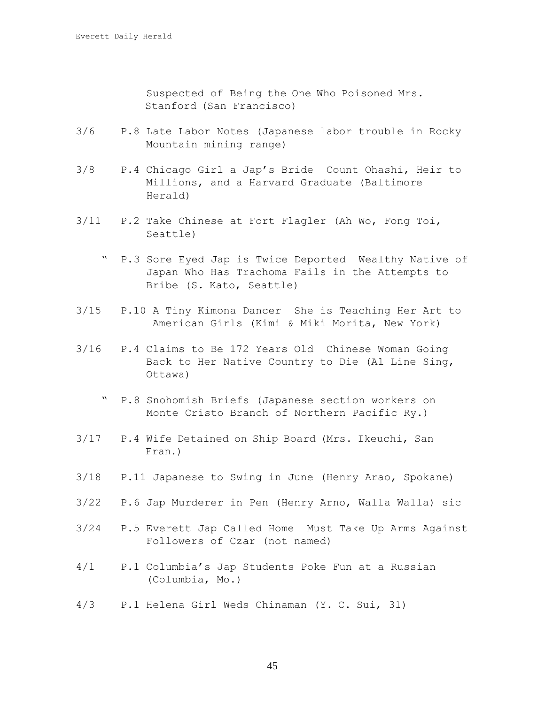Suspected of Being the One Who Poisoned Mrs. Stanford (San Francisco)

- 3/6 P.8 Late Labor Notes (Japanese labor trouble in Rocky Mountain mining range)
- 3/8 P.4 Chicago Girl a Jap's Bride Count Ohashi, Heir to Millions, and a Harvard Graduate (Baltimore Herald)
- 3/11 P.2 Take Chinese at Fort Flagler (Ah Wo, Fong Toi, Seattle)
	- " P.3 Sore Eyed Jap is Twice Deported Wealthy Native of Japan Who Has Trachoma Fails in the Attempts to Bribe (S. Kato, Seattle)
- 3/15 P.10 A Tiny Kimona Dancer She is Teaching Her Art to American Girls (Kimi & Miki Morita, New York)
- 3/16 P.4 Claims to Be 172 Years Old Chinese Woman Going Back to Her Native Country to Die (Al Line Sing, Ottawa)
	- " P.8 Snohomish Briefs (Japanese section workers on Monte Cristo Branch of Northern Pacific Ry.)
- 3/17 P.4 Wife Detained on Ship Board (Mrs. Ikeuchi, San Fran.)
- 3/18 P.11 Japanese to Swing in June (Henry Arao, Spokane)
- 3/22 P.6 Jap Murderer in Pen (Henry Arno, Walla Walla) sic
- 3/24 P.5 Everett Jap Called Home Must Take Up Arms Against Followers of Czar (not named)
- 4/1 P.1 Columbia's Jap Students Poke Fun at a Russian (Columbia, Mo.)
- 4/3 P.1 Helena Girl Weds Chinaman (Y. C. Sui, 31)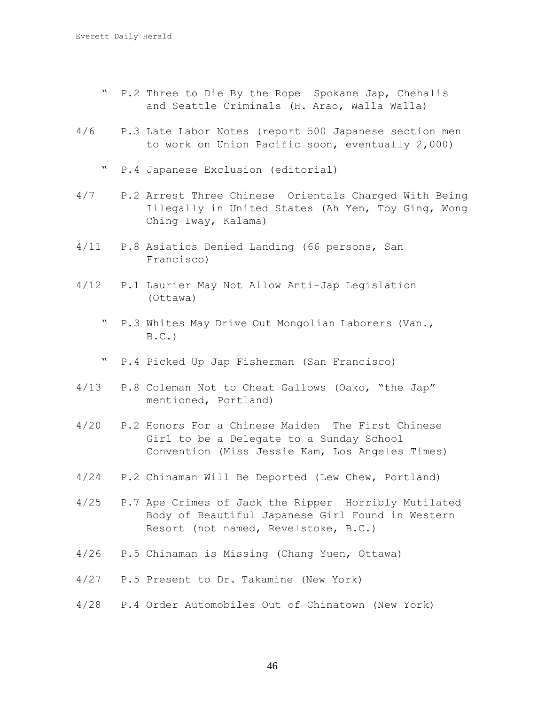- " P.2 Three to Die By the Rope Spokane Jap, Chehalis and Seattle Criminals (H. Arao, Walla Walla)
- 4/6 P.3 Late Labor Notes (report 500 Japanese section men to work on Union Pacific soon, eventually 2,000)
	- " P.4 Japanese Exclusion (editorial)
- 4/7 P.2 Arrest Three Chinese Orientals Charged With Being Illegally in United States (Ah Yen, Toy Ging, Wong Ching Iway, Kalama)
- 4/11 P.8 Asiatics Denied Landing (66 persons, San Francisco)
- 4/12 P.1 Laurier May Not Allow Anti-Jap Legislation (Ottawa)
	- " P.3 Whites May Drive Out Mongolian Laborers (Van.,  $B.C.$ )
	- " P.4 Picked Up Jap Fisherman (San Francisco)
- 4/13 P.8 Coleman Not to Cheat Gallows (Oako, "the Jap" mentioned, Portland)
- 4/20 P.2 Honors For a Chinese Maiden The First Chinese Girl to be a Delegate to a Sunday School Convention (Miss Jessie Kam, Los Angeles Times)
- 4/24 P.2 Chinaman Will Be Deported (Lew Chew, Portland)
- 4/25 P.7 Ape Crimes of Jack the Ripper Horribly Mutilated Body of Beautiful Japanese Girl Found in Western Resort (not named, Revelstoke, B.C.)
- 4/26 P.5 Chinaman is Missing (Chang Yuen, Ottawa)
- 4/27 P.5 Present to Dr. Takamine (New York)
- 4/28 P.4 Order Automobiles Out of Chinatown (New York)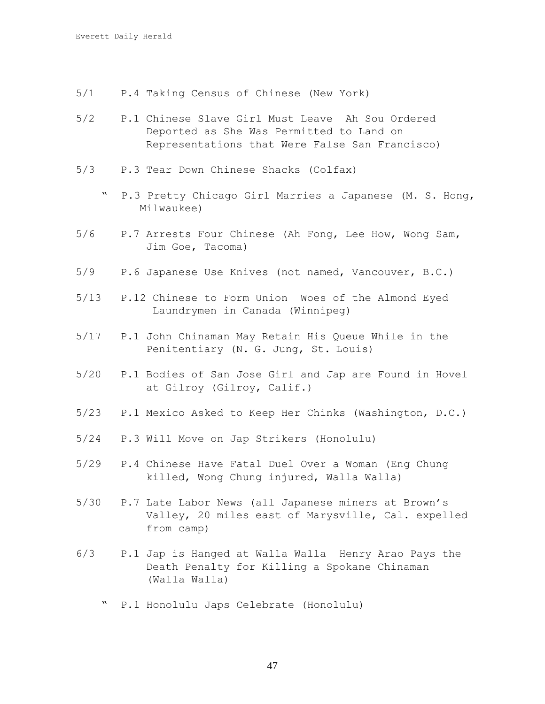- 5/1 P.4 Taking Census of Chinese (New York)
- 5/2 P.1 Chinese Slave Girl Must Leave Ah Sou Ordered Deported as She Was Permitted to Land on Representations that Were False San Francisco)
- 5/3 P.3 Tear Down Chinese Shacks (Colfax)
	- " P.3 Pretty Chicago Girl Marries a Japanese (M. S. Hong, Milwaukee)
- 5/6 P.7 Arrests Four Chinese (Ah Fong, Lee How, Wong Sam, Jim Goe, Tacoma)
- 5/9 P.6 Japanese Use Knives (not named, Vancouver, B.C.)
- 5/13 P.12 Chinese to Form Union Woes of the Almond Eyed Laundrymen in Canada (Winnipeg)
- 5/17 P.1 John Chinaman May Retain His Queue While in the Penitentiary (N. G. Jung, St. Louis)
- 5/20 P.1 Bodies of San Jose Girl and Jap are Found in Hovel at Gilroy (Gilroy, Calif.)
- 5/23 P.1 Mexico Asked to Keep Her Chinks (Washington, D.C.)
- 5/24 P.3 Will Move on Jap Strikers (Honolulu)
- 5/29 P.4 Chinese Have Fatal Duel Over a Woman (Eng Chung killed, Wong Chung injured, Walla Walla)
- 5/30 P.7 Late Labor News (all Japanese miners at Brown's Valley, 20 miles east of Marysville, Cal. expelled from camp)
- 6/3 P.1 Jap is Hanged at Walla Walla Henry Arao Pays the Death Penalty for Killing a Spokane Chinaman (Walla Walla)
	- P.1 Honolulu Japs Celebrate (Honolulu)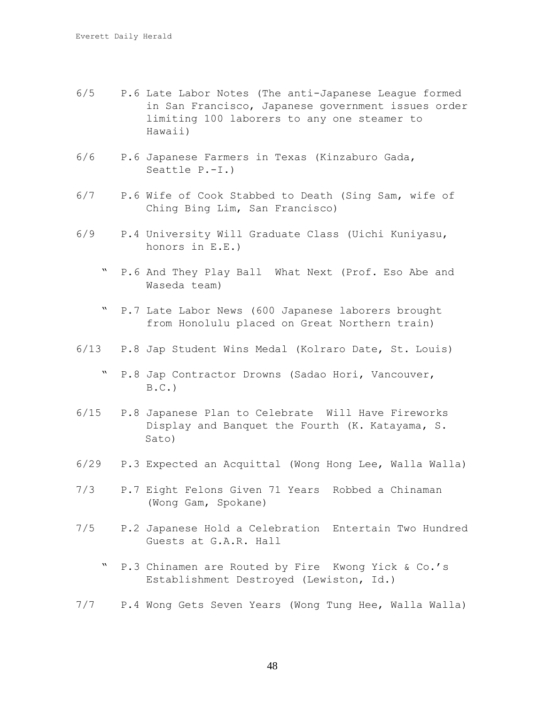- 6/5 P.6 Late Labor Notes (The anti-Japanese League formed in San Francisco, Japanese government issues order limiting 100 laborers to any one steamer to Hawaii)
- 6/6 P.6 Japanese Farmers in Texas (Kinzaburo Gada, Seattle P.-I.)
- 6/7 P.6 Wife of Cook Stabbed to Death (Sing Sam, wife of Ching Bing Lim, San Francisco)
- 6/9 P.4 University Will Graduate Class (Uichi Kuniyasu, honors in E.E.)
	- P.6 And They Play Ball What Next (Prof. Eso Abe and Waseda team)
	- " P.7 Late Labor News (600 Japanese laborers brought from Honolulu placed on Great Northern train)
- 6/13 P.8 Jap Student Wins Medal (Kolraro Date, St. Louis)
	- " P.8 Jap Contractor Drowns (Sadao Hori, Vancouver,  $B.C.$
- 6/15 P.8 Japanese Plan to Celebrate Will Have Fireworks Display and Banquet the Fourth (K. Katayama, S. Sato)
- 6/29 P.3 Expected an Acquittal (Wong Hong Lee, Walla Walla)
- 7/3 P.7 Eight Felons Given 71 Years Robbed a Chinaman (Wong Gam, Spokane)
- 7/5 P.2 Japanese Hold a Celebration Entertain Two Hundred Guests at G.A.R. Hall
	- P.3 Chinamen are Routed by Fire Kwong Yick & Co.'s Establishment Destroyed (Lewiston, Id.)
- 7/7 P.4 Wong Gets Seven Years (Wong Tung Hee, Walla Walla)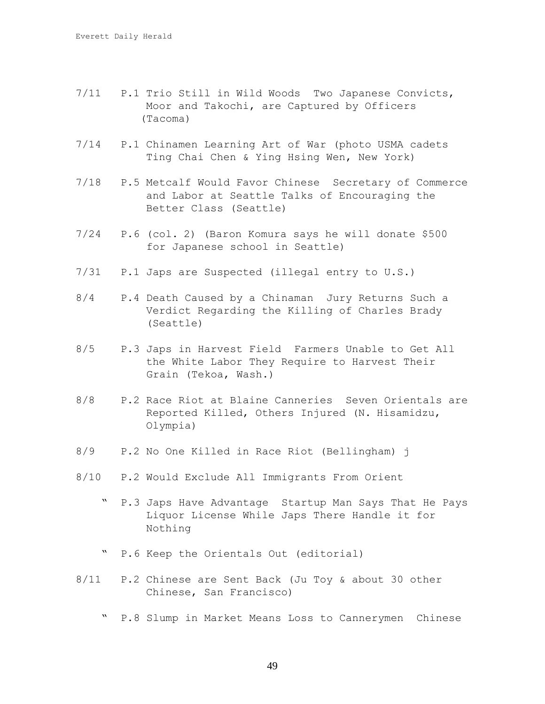- 7/11 P.1 Trio Still in Wild Woods Two Japanese Convicts, Moor and Takochi, are Captured by Officers (Tacoma)
- 7/14 P.1 Chinamen Learning Art of War (photo USMA cadets Ting Chai Chen & Ying Hsing Wen, New York)
- 7/18 P.5 Metcalf Would Favor Chinese Secretary of Commerce and Labor at Seattle Talks of Encouraging the Better Class (Seattle)
- 7/24 P.6 (col. 2) (Baron Komura says he will donate \$500 for Japanese school in Seattle)
- 7/31 P.1 Japs are Suspected (illegal entry to U.S.)
- 8/4 P.4 Death Caused by a Chinaman Jury Returns Such a Verdict Regarding the Killing of Charles Brady (Seattle)
- 8/5 P.3 Japs in Harvest Field Farmers Unable to Get All the White Labor They Require to Harvest Their Grain (Tekoa, Wash.)
- 8/8 P.2 Race Riot at Blaine Canneries Seven Orientals are Reported Killed, Others Injured (N. Hisamidzu, Olympia)
- 8/9 P.2 No One Killed in Race Riot (Bellingham) j
- 8/10 P.2 Would Exclude All Immigrants From Orient
	- " P.3 Japs Have Advantage Startup Man Says That He Pays Liquor License While Japs There Handle it for Nothing
	- " P.6 Keep the Orientals Out (editorial)
- 8/11 P.2 Chinese are Sent Back (Ju Toy & about 30 other Chinese, San Francisco)
	- " P.8 Slump in Market Means Loss to Cannerymen Chinese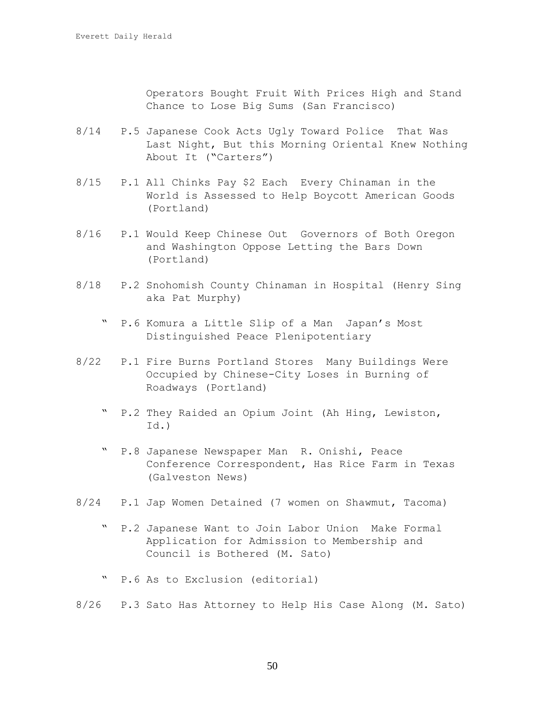Operators Bought Fruit With Prices High and Stand Chance to Lose Big Sums (San Francisco)

- 8/14 P.5 Japanese Cook Acts Ugly Toward Police That Was Last Night, But this Morning Oriental Knew Nothing About It ("Carters")
- 8/15 P.1 All Chinks Pay \$2 Each Every Chinaman in the World is Assessed to Help Boycott American Goods (Portland)
- 8/16 P.1 Would Keep Chinese Out Governors of Both Oregon and Washington Oppose Letting the Bars Down (Portland)
- 8/18 P.2 Snohomish County Chinaman in Hospital (Henry Sing aka Pat Murphy)
	- " P.6 Komura a Little Slip of a Man Japan's Most Distinguished Peace Plenipotentiary
- 8/22 P.1 Fire Burns Portland Stores Many Buildings Were Occupied by Chinese-City Loses in Burning of Roadways (Portland)
	- " P.2 They Raided an Opium Joint (Ah Hing, Lewiston, Id.)
	- " P.8 Japanese Newspaper Man R. Onishi, Peace Conference Correspondent, Has Rice Farm in Texas (Galveston News)
- 8/24 P.1 Jap Women Detained (7 women on Shawmut, Tacoma)
	- " P.2 Japanese Want to Join Labor Union Make Formal Application for Admission to Membership and Council is Bothered (M. Sato)
	- " P.6 As to Exclusion (editorial)
- 8/26 P.3 Sato Has Attorney to Help His Case Along (M. Sato)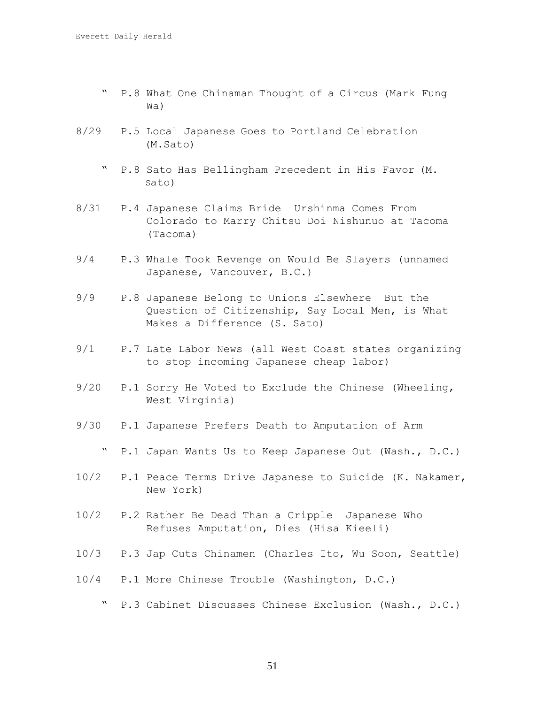- " P.8 What One Chinaman Thought of a Circus (Mark Fung Wa)
- 8/29 P.5 Local Japanese Goes to Portland Celebration (M.Sato)
	- " P.8 Sato Has Bellingham Precedent in His Favor (M. Sato)
- 8/31 P.4 Japanese Claims Bride Urshinma Comes From Colorado to Marry Chitsu Doi Nishunuo at Tacoma (Tacoma)
- 9/4 P.3 Whale Took Revenge on Would Be Slayers (unnamed Japanese, Vancouver, B.C.)
- 9/9 P.8 Japanese Belong to Unions Elsewhere But the Question of Citizenship, Say Local Men, is What Makes a Difference (S. Sato)
- 9/1 P.7 Late Labor News (all West Coast states organizing to stop incoming Japanese cheap labor)
- 9/20 P.1 Sorry He Voted to Exclude the Chinese (Wheeling, West Virginia)
- 9/30 P.1 Japanese Prefers Death to Amputation of Arm
	- " P.1 Japan Wants Us to Keep Japanese Out (Wash., D.C.)
- 10/2 P.1 Peace Terms Drive Japanese to Suicide (K. Nakamer, New York)
- 10/2 P.2 Rather Be Dead Than a Cripple Japanese Who Refuses Amputation, Dies (Hisa Kieeli)
- 10/3 P.3 Jap Cuts Chinamen (Charles Ito, Wu Soon, Seattle)
- 10/4 P.1 More Chinese Trouble (Washington, D.C.)
	- " P.3 Cabinet Discusses Chinese Exclusion (Wash., D.C.)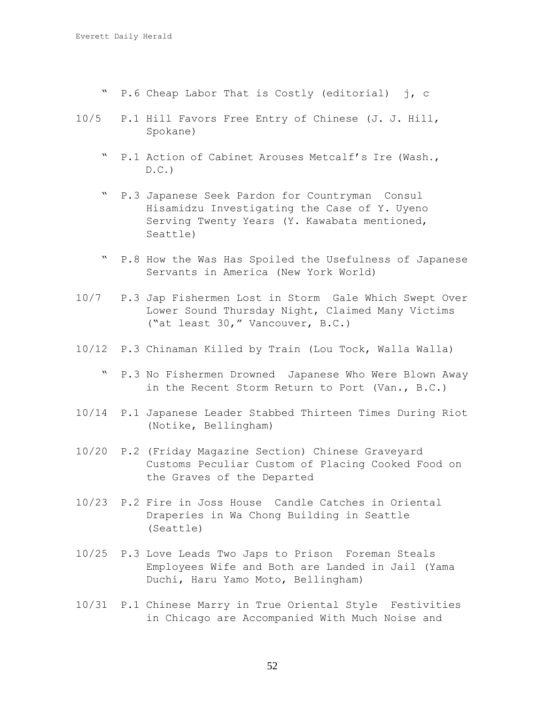- " P.6 Cheap Labor That is Costly (editorial) j, c
- 10/5 P.1 Hill Favors Free Entry of Chinese (J. J. Hill, Spokane)
	- " P.1 Action of Cabinet Arouses Metcalf's Ire (Wash.,  $D.C.$ )
	- " P.3 Japanese Seek Pardon for Countryman Consul Hisamidzu Investigating the Case of Y. Uyeno Serving Twenty Years (Y. Kawabata mentioned, Seattle)
	- " P.8 How the Was Has Spoiled the Usefulness of Japanese Servants in America (New York World)
- 10/7 P.3 Jap Fishermen Lost in Storm Gale Which Swept Over Lower Sound Thursday Night, Claimed Many Victims ("at least 30," Vancouver, B.C.)
- 10/12 P.3 Chinaman Killed by Train (Lou Tock, Walla Walla)
	- " P.3 No Fishermen Drowned Japanese Who Were Blown Away in the Recent Storm Return to Port (Van., B.C.)
- 10/14 P.1 Japanese Leader Stabbed Thirteen Times During Riot (Notike, Bellingham)
- 10/20 P.2 (Friday Magazine Section) Chinese Graveyard Customs Peculiar Custom of Placing Cooked Food on the Graves of the Departed
- 10/23 P.2 Fire in Joss House Candle Catches in Oriental Draperies in Wa Chong Building in Seattle (Seattle)
- 10/25 P.3 Love Leads Two Japs to Prison Foreman Steals Employees Wife and Both are Landed in Jail (Yama Duchi, Haru Yamo Moto, Bellingham)
- 10/31 P.1 Chinese Marry in True Oriental Style Festivities in Chicago are Accompanied With Much Noise and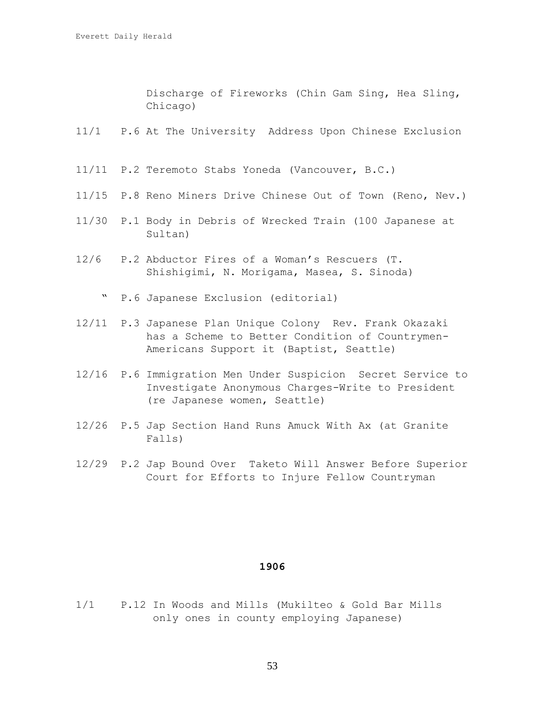Discharge of Fireworks (Chin Gam Sing, Hea Sling, Chicago)

- 11/1 P.6 At The University Address Upon Chinese Exclusion
- 11/11 P.2 Teremoto Stabs Yoneda (Vancouver, B.C.)
- 11/15 P.8 Reno Miners Drive Chinese Out of Town (Reno, Nev.)
- 11/30 P.1 Body in Debris of Wrecked Train (100 Japanese at Sultan)
- 12/6 P.2 Abductor Fires of a Woman's Rescuers (T. Shishigimi, N. Morigama, Masea, S. Sinoda)
	- " P.6 Japanese Exclusion (editorial)
- 12/11 P.3 Japanese Plan Unique Colony Rev. Frank Okazaki has a Scheme to Better Condition of Countrymen-Americans Support it (Baptist, Seattle)
- 12/16 P.6 Immigration Men Under Suspicion Secret Service to Investigate Anonymous Charges-Write to President (re Japanese women, Seattle)
- 12/26 P.5 Jap Section Hand Runs Amuck With Ax (at Granite Falls)
- 12/29 P.2 Jap Bound Over Taketo Will Answer Before Superior Court for Efforts to Injure Fellow Countryman

## **1906**

1/1 P.12 In Woods and Mills (Mukilteo & Gold Bar Mills only ones in county employing Japanese)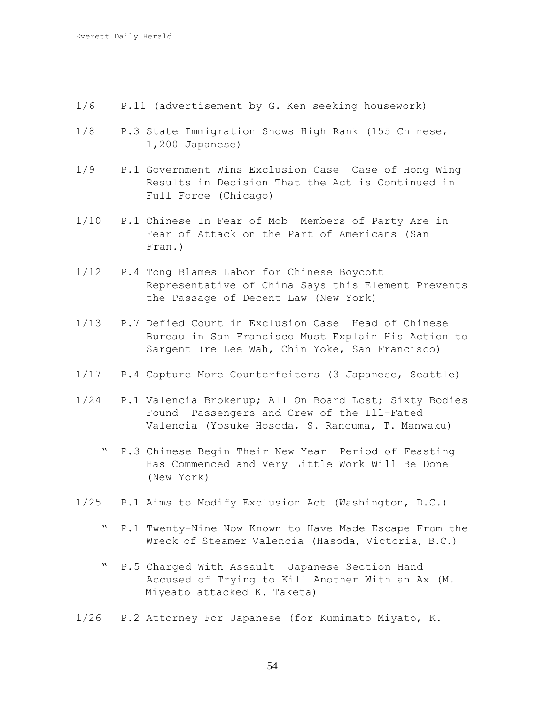- 1/6 P.11 (advertisement by G. Ken seeking housework)
- 1/8 P.3 State Immigration Shows High Rank (155 Chinese, 1,200 Japanese)
- 1/9 P.1 Government Wins Exclusion Case Case of Hong Wing Results in Decision That the Act is Continued in Full Force (Chicago)
- 1/10 P.1 Chinese In Fear of Mob Members of Party Are in Fear of Attack on the Part of Americans (San Fran.)
- 1/12 P.4 Tong Blames Labor for Chinese Boycott Representative of China Says this Element Prevents the Passage of Decent Law (New York)
- 1/13 P.7 Defied Court in Exclusion Case Head of Chinese Bureau in San Francisco Must Explain His Action to Sargent (re Lee Wah, Chin Yoke, San Francisco)
- 1/17 P.4 Capture More Counterfeiters (3 Japanese, Seattle)
- 1/24 P.1 Valencia Brokenup; All On Board Lost; Sixty Bodies Found Passengers and Crew of the Ill-Fated Valencia (Yosuke Hosoda, S. Rancuma, T. Manwaku)
	- " P.3 Chinese Begin Their New Year Period of Feasting Has Commenced and Very Little Work Will Be Done (New York)
- 1/25 P.1 Aims to Modify Exclusion Act (Washington, D.C.)
	- " P.1 Twenty-Nine Now Known to Have Made Escape From the Wreck of Steamer Valencia (Hasoda, Victoria, B.C.)
	- " P.5 Charged With Assault Japanese Section Hand Accused of Trying to Kill Another With an Ax (M. Miyeato attacked K. Taketa)
- 1/26 P.2 Attorney For Japanese (for Kumimato Miyato, K.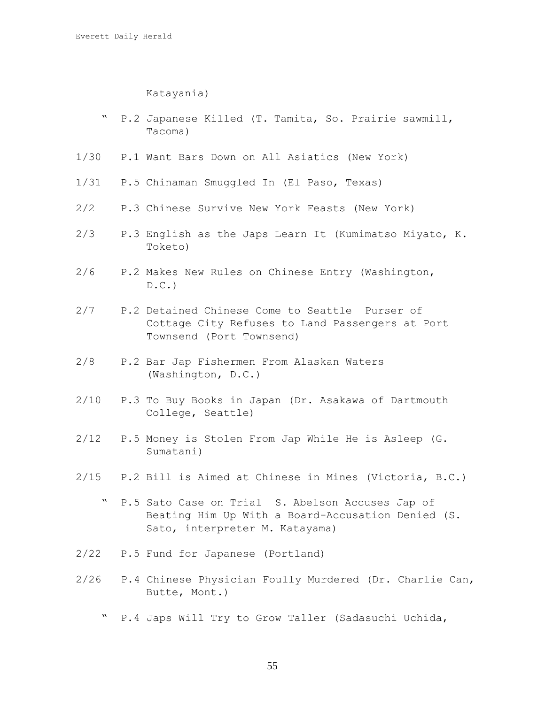Katayania)

- " P.2 Japanese Killed (T. Tamita, So. Prairie sawmill, Tacoma)
- 1/30 P.1 Want Bars Down on All Asiatics (New York)
- 1/31 P.5 Chinaman Smuggled In (El Paso, Texas)
- 2/2 P.3 Chinese Survive New York Feasts (New York)
- 2/3 P.3 English as the Japs Learn It (Kumimatso Miyato, K. Toketo)
- 2/6 P.2 Makes New Rules on Chinese Entry (Washington,  $D.C.$
- 2/7 P.2 Detained Chinese Come to Seattle Purser of Cottage City Refuses to Land Passengers at Port Townsend (Port Townsend)
- 2/8 P.2 Bar Jap Fishermen From Alaskan Waters (Washington, D.C.)
- 2/10 P.3 To Buy Books in Japan (Dr. Asakawa of Dartmouth College, Seattle)
- 2/12 P.5 Money is Stolen From Jap While He is Asleep (G. Sumatani)
- 2/15 P.2 Bill is Aimed at Chinese in Mines (Victoria, B.C.)
	- " P.5 Sato Case on Trial S. Abelson Accuses Jap of Beating Him Up With a Board-Accusation Denied (S. Sato, interpreter M. Katayama)
- 2/22 P.5 Fund for Japanese (Portland)
- 2/26 P.4 Chinese Physician Foully Murdered (Dr. Charlie Can, Butte, Mont.)
	- " P.4 Japs Will Try to Grow Taller (Sadasuchi Uchida,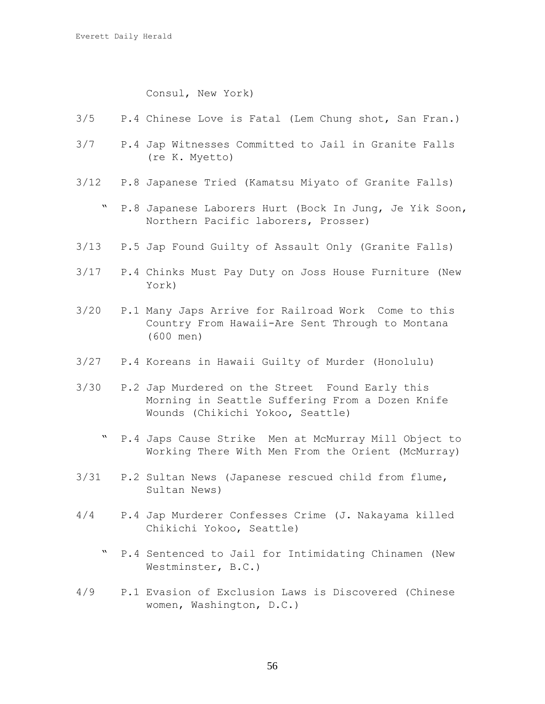## Consul, New York)

- 3/5 P.4 Chinese Love is Fatal (Lem Chung shot, San Fran.)
- 3/7 P.4 Jap Witnesses Committed to Jail in Granite Falls (re K. Myetto)
- 3/12 P.8 Japanese Tried (Kamatsu Miyato of Granite Falls)
	- " P.8 Japanese Laborers Hurt (Bock In Jung, Je Yik Soon, Northern Pacific laborers, Prosser)
- 3/13 P.5 Jap Found Guilty of Assault Only (Granite Falls)
- 3/17 P.4 Chinks Must Pay Duty on Joss House Furniture (New York)
- 3/20 P.1 Many Japs Arrive for Railroad Work Come to this Country From Hawaii-Are Sent Through to Montana (600 men)
- 3/27 P.4 Koreans in Hawaii Guilty of Murder (Honolulu)
- 3/30 P.2 Jap Murdered on the Street Found Early this Morning in Seattle Suffering From a Dozen Knife Wounds (Chikichi Yokoo, Seattle)
	- " P.4 Japs Cause Strike Men at McMurray Mill Object to Working There With Men From the Orient (McMurray)
- 3/31 P.2 Sultan News (Japanese rescued child from flume, Sultan News)
- 4/4 P.4 Jap Murderer Confesses Crime (J. Nakayama killed Chikichi Yokoo, Seattle)
	- P.4 Sentenced to Jail for Intimidating Chinamen (New Westminster, B.C.)
- 4/9 P.1 Evasion of Exclusion Laws is Discovered (Chinese women, Washington, D.C.)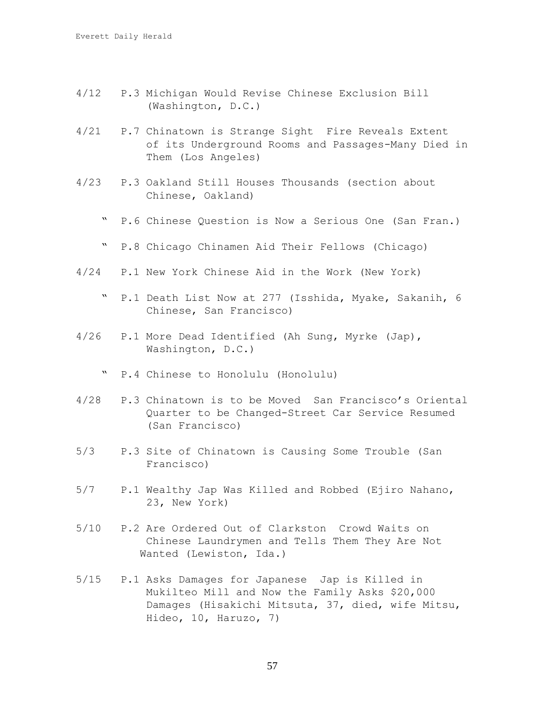- 4/12 P.3 Michigan Would Revise Chinese Exclusion Bill (Washington, D.C.)
- 4/21 P.7 Chinatown is Strange Sight Fire Reveals Extent of its Underground Rooms and Passages-Many Died in Them (Los Angeles)
- 4/23 P.3 Oakland Still Houses Thousands (section about Chinese, Oakland)
	- " P.6 Chinese Question is Now a Serious One (San Fran.)
	- " P.8 Chicago Chinamen Aid Their Fellows (Chicago)
- 4/24 P.1 New York Chinese Aid in the Work (New York)
	- " P.1 Death List Now at 277 (Isshida, Myake, Sakanih, 6 Chinese, San Francisco)
- 4/26 P.1 More Dead Identified (Ah Sung, Myrke (Jap), Washington, D.C.)
	- " P.4 Chinese to Honolulu (Honolulu)
- 4/28 P.3 Chinatown is to be Moved San Francisco's Oriental Quarter to be Changed-Street Car Service Resumed (San Francisco)
- 5/3 P.3 Site of Chinatown is Causing Some Trouble (San Francisco)
- 5/7 P.1 Wealthy Jap Was Killed and Robbed (Ejiro Nahano, 23, New York)
- 5/10 P.2 Are Ordered Out of Clarkston Crowd Waits on Chinese Laundrymen and Tells Them They Are Not Wanted (Lewiston, Ida.)
- 5/15 P.1 Asks Damages for Japanese Jap is Killed in Mukilteo Mill and Now the Family Asks \$20,000 Damages (Hisakichi Mitsuta, 37, died, wife Mitsu, Hideo, 10, Haruzo, 7)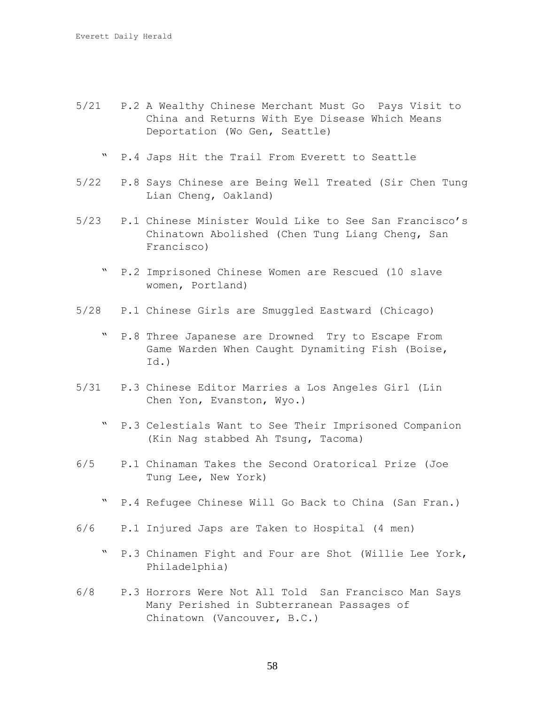- 5/21 P.2 A Wealthy Chinese Merchant Must Go Pays Visit to China and Returns With Eye Disease Which Means Deportation (Wo Gen, Seattle)
	- " P.4 Japs Hit the Trail From Everett to Seattle
- 5/22 P.8 Says Chinese are Being Well Treated (Sir Chen Tung Lian Cheng, Oakland)
- 5/23 P.1 Chinese Minister Would Like to See San Francisco's Chinatown Abolished (Chen Tung Liang Cheng, San Francisco)
	- P.2 Imprisoned Chinese Women are Rescued (10 slave women, Portland)
- 5/28 P.1 Chinese Girls are Smuggled Eastward (Chicago)
	- " P.8 Three Japanese are Drowned Try to Escape From Game Warden When Caught Dynamiting Fish (Boise, Id.)
- 5/31 P.3 Chinese Editor Marries a Los Angeles Girl (Lin Chen Yon, Evanston, Wyo.)
	- " P.3 Celestials Want to See Their Imprisoned Companion (Kin Nag stabbed Ah Tsung, Tacoma)
- 6/5 P.1 Chinaman Takes the Second Oratorical Prize (Joe Tung Lee, New York)
	- " P.4 Refugee Chinese Will Go Back to China (San Fran.)
- 6/6 P.1 Injured Japs are Taken to Hospital (4 men)
	- " P.3 Chinamen Fight and Four are Shot (Willie Lee York, Philadelphia)
- 6/8 P.3 Horrors Were Not All Told San Francisco Man Says Many Perished in Subterranean Passages of Chinatown (Vancouver, B.C.)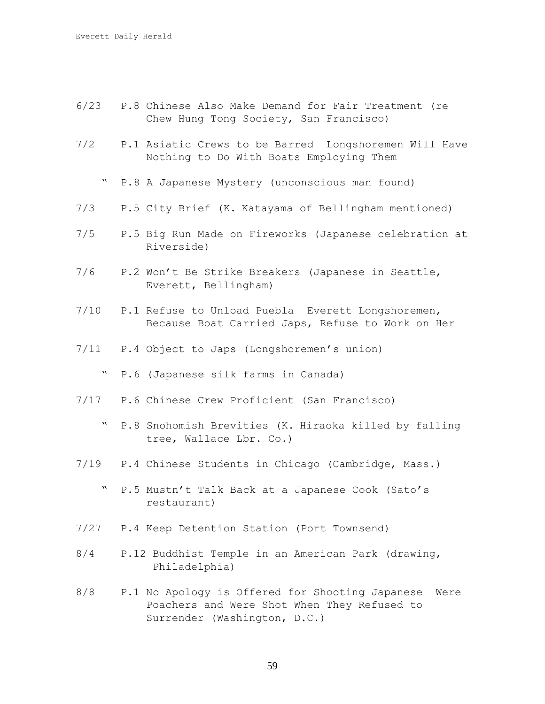- 6/23 P.8 Chinese Also Make Demand for Fair Treatment (re Chew Hung Tong Society, San Francisco)
- 7/2 P.1 Asiatic Crews to be Barred Longshoremen Will Have Nothing to Do With Boats Employing Them
	- " P.8 A Japanese Mystery (unconscious man found)
- 7/3 P.5 City Brief (K. Katayama of Bellingham mentioned)
- 7/5 P.5 Big Run Made on Fireworks (Japanese celebration at Riverside)
- 7/6 P.2 Won't Be Strike Breakers (Japanese in Seattle, Everett, Bellingham)
- 7/10 P.1 Refuse to Unload Puebla Everett Longshoremen, Because Boat Carried Japs, Refuse to Work on Her
- 7/11 P.4 Object to Japs (Longshoremen's union)
	- " P.6 (Japanese silk farms in Canada)
- 7/17 P.6 Chinese Crew Proficient (San Francisco)
	- " P.8 Snohomish Brevities (K. Hiraoka killed by falling tree, Wallace Lbr. Co.)
- 7/19 P.4 Chinese Students in Chicago (Cambridge, Mass.)
	- " P.5 Mustn't Talk Back at a Japanese Cook (Sato's restaurant)
- 7/27 P.4 Keep Detention Station (Port Townsend)
- 8/4 P.12 Buddhist Temple in an American Park (drawing, Philadelphia)
- 8/8 P.1 No Apology is Offered for Shooting Japanese Were Poachers and Were Shot When They Refused to Surrender (Washington, D.C.)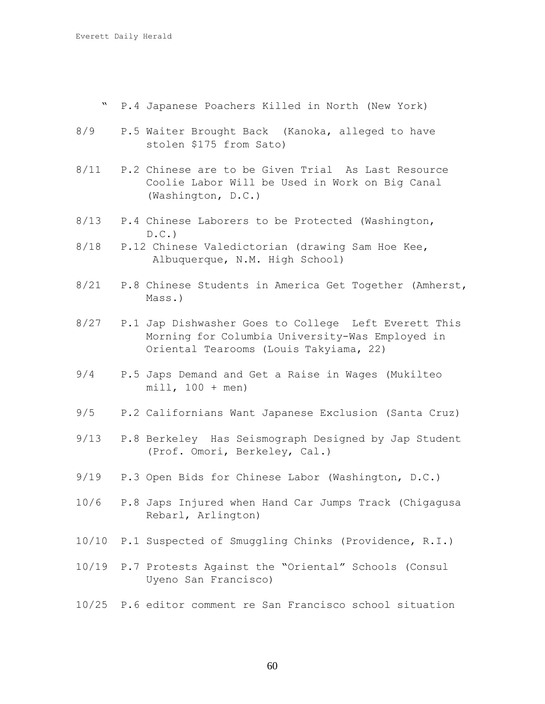- " P.4 Japanese Poachers Killed in North (New York)
- 8/9 P.5 Waiter Brought Back (Kanoka, alleged to have stolen \$175 from Sato)
- 8/11 P.2 Chinese are to be Given Trial As Last Resource Coolie Labor Will be Used in Work on Big Canal (Washington, D.C.)
- 8/13 P.4 Chinese Laborers to be Protected (Washington,  $D.C.$
- 8/18 P.12 Chinese Valedictorian (drawing Sam Hoe Kee, Albuquerque, N.M. High School)
- 8/21 P.8 Chinese Students in America Get Together (Amherst, Mass.)
- 8/27 P.1 Jap Dishwasher Goes to College Left Everett This Morning for Columbia University-Was Employed in Oriental Tearooms (Louis Takyiama, 22)
- 9/4 P.5 Japs Demand and Get a Raise in Wages (Mukilteo  $mill, 100 + men)$
- 9/5 P.2 Californians Want Japanese Exclusion (Santa Cruz)
- 9/13 P.8 Berkeley Has Seismograph Designed by Jap Student (Prof. Omori, Berkeley, Cal.)
- 9/19 P.3 Open Bids for Chinese Labor (Washington, D.C.)
- 10/6 P.8 Japs Injured when Hand Car Jumps Track (Chigagusa Rebarl, Arlington)
- 10/10 P.1 Suspected of Smuggling Chinks (Providence, R.I.)
- 10/19 P.7 Protests Against the "Oriental" Schools (Consul Uyeno San Francisco)
- 10/25 P.6 editor comment re San Francisco school situation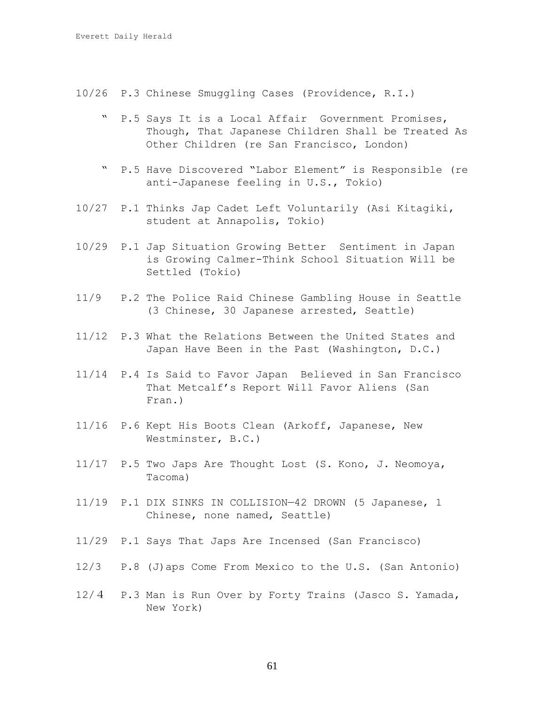- 10/26 P.3 Chinese Smuggling Cases (Providence, R.I.)
	- " P.5 Says It is a Local Affair Government Promises, Though, That Japanese Children Shall be Treated As Other Children (re San Francisco, London)
	- " P.5 Have Discovered "Labor Element" is Responsible (re anti-Japanese feeling in U.S., Tokio)
- 10/27 P.1 Thinks Jap Cadet Left Voluntarily (Asi Kitagiki, student at Annapolis, Tokio)
- 10/29 P.1 Jap Situation Growing Better Sentiment in Japan is Growing Calmer-Think School Situation Will be Settled (Tokio)
- 11/9 P.2 The Police Raid Chinese Gambling House in Seattle (3 Chinese, 30 Japanese arrested, Seattle)
- 11/12 P.3 What the Relations Between the United States and Japan Have Been in the Past (Washington, D.C.)
- 11/14 P.4 Is Said to Favor Japan Believed in San Francisco That Metcalf's Report Will Favor Aliens (San Fran.)
- 11/16 P.6 Kept His Boots Clean (Arkoff, Japanese, New Westminster, B.C.)
- 11/17 P.5 Two Japs Are Thought Lost (S. Kono, J. Neomoya, Tacoma)
- 11/19 P.1 DIX SINKS IN COLLISION—42 DROWN (5 Japanese, 1 Chinese, none named, Seattle)
- 11/29 P.1 Says That Japs Are Incensed (San Francisco)
- 12/3 P.8 (J)aps Come From Mexico to the U.S. (San Antonio)
- 12/4 P.3 Man is Run Over by Forty Trains (Jasco S. Yamada, New York)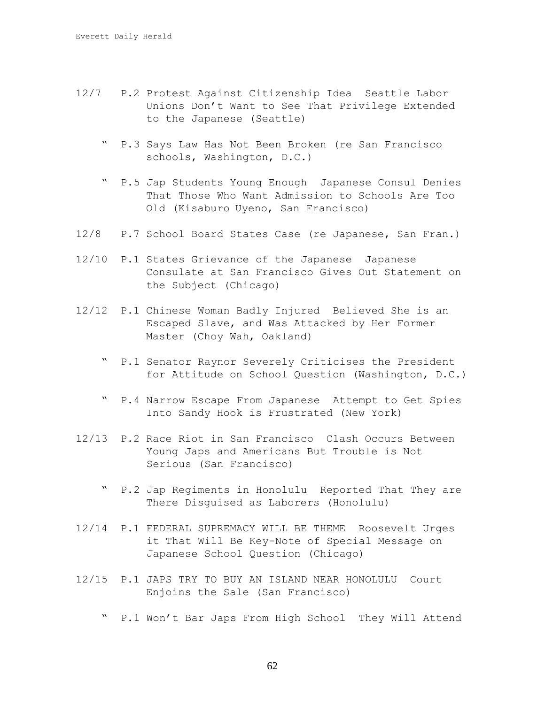- 12/7 P.2 Protest Against Citizenship Idea Seattle Labor Unions Don't Want to See That Privilege Extended to the Japanese (Seattle)
	- " P.3 Says Law Has Not Been Broken (re San Francisco schools, Washington, D.C.)
	- " P.5 Jap Students Young Enough Japanese Consul Denies That Those Who Want Admission to Schools Are Too Old (Kisaburo Uyeno, San Francisco)
- 12/8 P.7 School Board States Case (re Japanese, San Fran.)
- 12/10 P.1 States Grievance of the Japanese Japanese Consulate at San Francisco Gives Out Statement on the Subject (Chicago)
- 12/12 P.1 Chinese Woman Badly Injured Believed She is an Escaped Slave, and Was Attacked by Her Former Master (Choy Wah, Oakland)
	- " P.1 Senator Raynor Severely Criticises the President for Attitude on School Question (Washington, D.C.)
	- " P.4 Narrow Escape From Japanese Attempt to Get Spies Into Sandy Hook is Frustrated (New York)
- 12/13 P.2 Race Riot in San Francisco Clash Occurs Between Young Japs and Americans But Trouble is Not Serious (San Francisco)
	- " P.2 Jap Regiments in Honolulu Reported That They are There Disguised as Laborers (Honolulu)
- 12/14 P.1 FEDERAL SUPREMACY WILL BE THEME Roosevelt Urges it That Will Be Key-Note of Special Message on Japanese School Question (Chicago)
- 12/15 P.1 JAPS TRY TO BUY AN ISLAND NEAR HONOLULU Court Enjoins the Sale (San Francisco)
	- " P.1 Won't Bar Japs From High School They Will Attend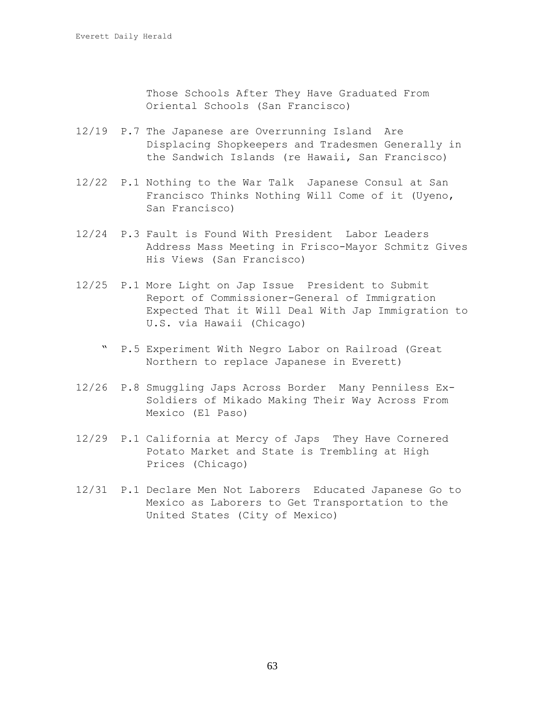Those Schools After They Have Graduated From Oriental Schools (San Francisco)

- 12/19 P.7 The Japanese are Overrunning Island Are Displacing Shopkeepers and Tradesmen Generally in the Sandwich Islands (re Hawaii, San Francisco)
- 12/22 P.1 Nothing to the War Talk Japanese Consul at San Francisco Thinks Nothing Will Come of it (Uyeno, San Francisco)
- 12/24 P.3 Fault is Found With President Labor Leaders Address Mass Meeting in Frisco-Mayor Schmitz Gives His Views (San Francisco)
- 12/25 P.1 More Light on Jap Issue President to Submit Report of Commissioner-General of Immigration Expected That it Will Deal With Jap Immigration to U.S. via Hawaii (Chicago)
	- " P.5 Experiment With Negro Labor on Railroad (Great Northern to replace Japanese in Everett)
- 12/26 P.8 Smuggling Japs Across Border Many Penniless Ex-Soldiers of Mikado Making Their Way Across From Mexico (El Paso)
- 12/29 P.1 California at Mercy of Japs They Have Cornered Potato Market and State is Trembling at High Prices (Chicago)
- 12/31 P.1 Declare Men Not Laborers Educated Japanese Go to Mexico as Laborers to Get Transportation to the United States (City of Mexico)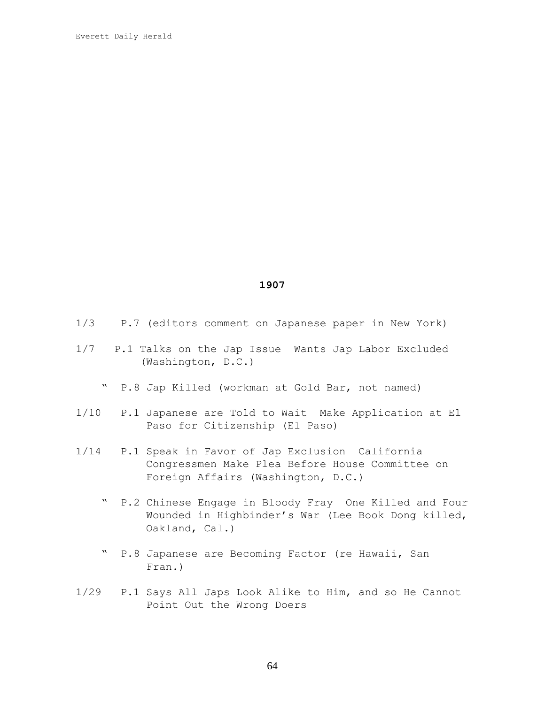| 1/3 |  |  |  |  | P.7 (editors comment on Japanese paper in New York) |  |  |  |  |
|-----|--|--|--|--|-----------------------------------------------------|--|--|--|--|
|-----|--|--|--|--|-----------------------------------------------------|--|--|--|--|

- 1/7 P.1 Talks on the Jap Issue Wants Jap Labor Excluded (Washington, D.C.)
	- " P.8 Jap Killed (workman at Gold Bar, not named)
- 1/10 P.1 Japanese are Told to Wait Make Application at El Paso for Citizenship (El Paso)
- 1/14 P.1 Speak in Favor of Jap Exclusion California Congressmen Make Plea Before House Committee on Foreign Affairs (Washington, D.C.)
	- " P.2 Chinese Engage in Bloody Fray One Killed and Four Wounded in Highbinder's War (Lee Book Dong killed, Oakland, Cal.)
	- " P.8 Japanese are Becoming Factor (re Hawaii, San Fran.)
- 1/29 P.1 Says All Japs Look Alike to Him, and so He Cannot Point Out the Wrong Doers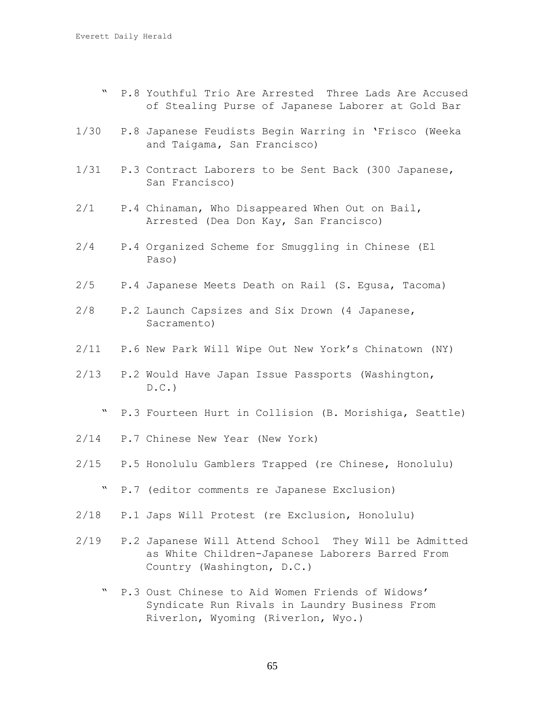- " P.8 Youthful Trio Are Arrested Three Lads Are Accused of Stealing Purse of Japanese Laborer at Gold Bar
- 1/30 P.8 Japanese Feudists Begin Warring in 'Frisco (Weeka and Taigama, San Francisco)
- 1/31 P.3 Contract Laborers to be Sent Back (300 Japanese, San Francisco)
- 2/1 P.4 Chinaman, Who Disappeared When Out on Bail, Arrested (Dea Don Kay, San Francisco)
- 2/4 P.4 Organized Scheme for Smuggling in Chinese (El Paso)
- 2/5 P.4 Japanese Meets Death on Rail (S. Egusa, Tacoma)
- 2/8 P.2 Launch Capsizes and Six Drown (4 Japanese, Sacramento)
- 2/11 P.6 New Park Will Wipe Out New York's Chinatown (NY)
- 2/13 P.2 Would Have Japan Issue Passports (Washington,  $D.C.$ 
	- " P.3 Fourteen Hurt in Collision (B. Morishiga, Seattle)
- 2/14 P.7 Chinese New Year (New York)
- 2/15 P.5 Honolulu Gamblers Trapped (re Chinese, Honolulu)
	- " P.7 (editor comments re Japanese Exclusion)
- 2/18 P.1 Japs Will Protest (re Exclusion, Honolulu)
- 2/19 P.2 Japanese Will Attend School They Will be Admitted as White Children-Japanese Laborers Barred From Country (Washington, D.C.)
	- P.3 Oust Chinese to Aid Women Friends of Widows' Syndicate Run Rivals in Laundry Business From Riverlon, Wyoming (Riverlon, Wyo.)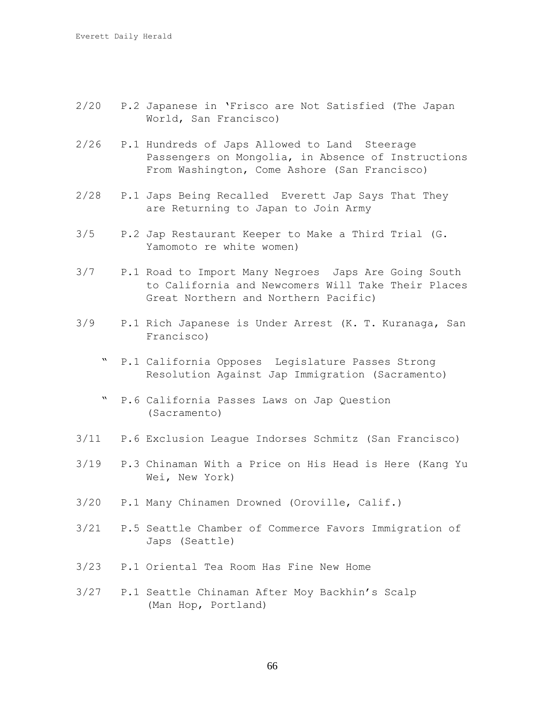- 2/20 P.2 Japanese in 'Frisco are Not Satisfied (The Japan World, San Francisco)
- 2/26 P.1 Hundreds of Japs Allowed to Land Steerage Passengers on Mongolia, in Absence of Instructions From Washington, Come Ashore (San Francisco)
- 2/28 P.1 Japs Being Recalled Everett Jap Says That They are Returning to Japan to Join Army
- 3/5 P.2 Jap Restaurant Keeper to Make a Third Trial (G. Yamomoto re white women)
- 3/7 P.1 Road to Import Many Negroes Japs Are Going South to California and Newcomers Will Take Their Places Great Northern and Northern Pacific)
- 3/9 P.1 Rich Japanese is Under Arrest (K. T. Kuranaga, San Francisco)
	- " P.1 California Opposes Legislature Passes Strong Resolution Against Jap Immigration (Sacramento)
	- " P.6 California Passes Laws on Jap Question (Sacramento)
- 3/11 P.6 Exclusion League Indorses Schmitz (San Francisco)
- 3/19 P.3 Chinaman With a Price on His Head is Here (Kang Yu Wei, New York)
- 3/20 P.1 Many Chinamen Drowned (Oroville, Calif.)
- 3/21 P.5 Seattle Chamber of Commerce Favors Immigration of Japs (Seattle)
- 3/23 P.1 Oriental Tea Room Has Fine New Home
- 3/27 P.1 Seattle Chinaman After Moy Backhin's Scalp (Man Hop, Portland)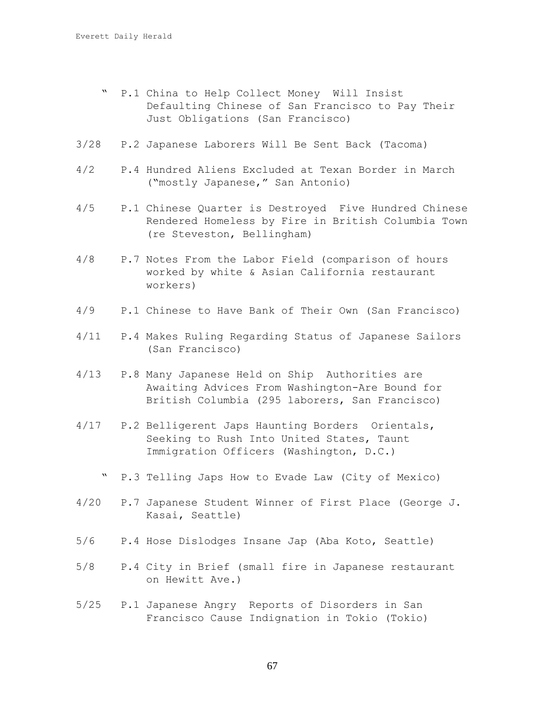- " P.1 China to Help Collect Money Will Insist Defaulting Chinese of San Francisco to Pay Their Just Obligations (San Francisco)
- 3/28 P.2 Japanese Laborers Will Be Sent Back (Tacoma)
- 4/2 P.4 Hundred Aliens Excluded at Texan Border in March ("mostly Japanese," San Antonio)
- 4/5 P.1 Chinese Quarter is Destroyed Five Hundred Chinese Rendered Homeless by Fire in British Columbia Town (re Steveston, Bellingham)
- 4/8 P.7 Notes From the Labor Field (comparison of hours worked by white & Asian California restaurant workers)
- 4/9 P.1 Chinese to Have Bank of Their Own (San Francisco)
- 4/11 P.4 Makes Ruling Regarding Status of Japanese Sailors (San Francisco)
- 4/13 P.8 Many Japanese Held on Ship Authorities are Awaiting Advices From Washington-Are Bound for British Columbia (295 laborers, San Francisco)
- 4/17 P.2 Belligerent Japs Haunting Borders Orientals, Seeking to Rush Into United States, Taunt Immigration Officers (Washington, D.C.)
	- " P.3 Telling Japs How to Evade Law (City of Mexico)
- 4/20 P.7 Japanese Student Winner of First Place (George J. Kasai, Seattle)
- 5/6 P.4 Hose Dislodges Insane Jap (Aba Koto, Seattle)
- 5/8 P.4 City in Brief (small fire in Japanese restaurant on Hewitt Ave.)
- 5/25 P.1 Japanese Angry Reports of Disorders in San Francisco Cause Indignation in Tokio (Tokio)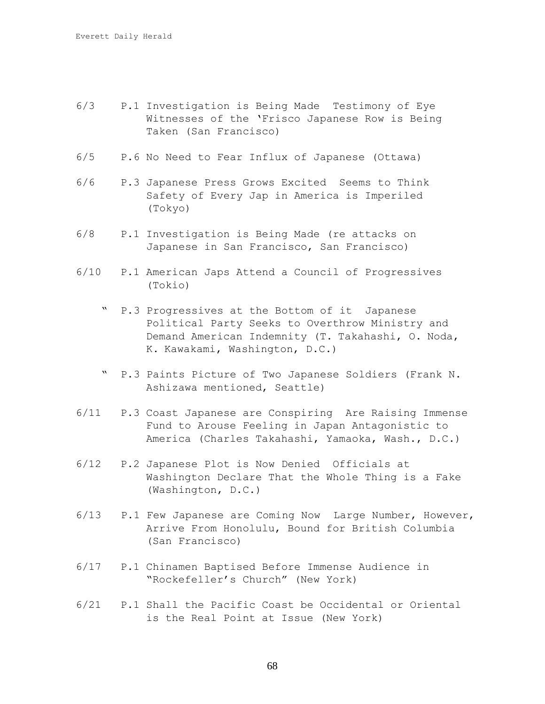- 6/3 P.1 Investigation is Being Made Testimony of Eye Witnesses of the 'Frisco Japanese Row is Being Taken (San Francisco)
- 6/5 P.6 No Need to Fear Influx of Japanese (Ottawa)
- 6/6 P.3 Japanese Press Grows Excited Seems to Think Safety of Every Jap in America is Imperiled (Tokyo)
- 6/8 P.1 Investigation is Being Made (re attacks on Japanese in San Francisco, San Francisco)
- 6/10 P.1 American Japs Attend a Council of Progressives (Tokio)
	- P.3 Progressives at the Bottom of it Japanese Political Party Seeks to Overthrow Ministry and Demand American Indemnity (T. Takahashi, O. Noda, K. Kawakami, Washington, D.C.)
	- " P.3 Paints Picture of Two Japanese Soldiers (Frank N. Ashizawa mentioned, Seattle)
- 6/11 P.3 Coast Japanese are Conspiring Are Raising Immense Fund to Arouse Feeling in Japan Antagonistic to America (Charles Takahashi, Yamaoka, Wash., D.C.)
- 6/12 P.2 Japanese Plot is Now Denied Officials at Washington Declare That the Whole Thing is a Fake (Washington, D.C.)
- 6/13 P.1 Few Japanese are Coming Now Large Number, However, Arrive From Honolulu, Bound for British Columbia (San Francisco)
- 6/17 P.1 Chinamen Baptised Before Immense Audience in "Rockefeller's Church" (New York)
- 6/21 P.1 Shall the Pacific Coast be Occidental or Oriental is the Real Point at Issue (New York)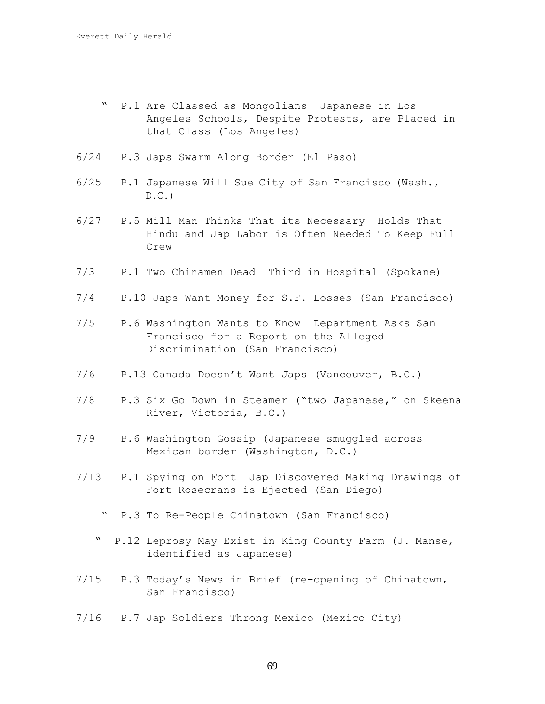- " P.1 Are Classed as Mongolians Japanese in Los Angeles Schools, Despite Protests, are Placed in that Class (Los Angeles)
- 6/24 P.3 Japs Swarm Along Border (El Paso)
- 6/25 P.1 Japanese Will Sue City of San Francisco (Wash.,  $D.C.$
- 6/27 P.5 Mill Man Thinks That its Necessary Holds That Hindu and Jap Labor is Often Needed To Keep Full Crew
- 7/3 P.1 Two Chinamen Dead Third in Hospital (Spokane)
- 7/4 P.10 Japs Want Money for S.F. Losses (San Francisco)
- 7/5 P.6 Washington Wants to Know Department Asks San Francisco for a Report on the Alleged Discrimination (San Francisco)
- 7/6 P.13 Canada Doesn't Want Japs (Vancouver, B.C.)
- 7/8 P.3 Six Go Down in Steamer ("two Japanese," on Skeena River, Victoria, B.C.)
- 7/9 P.6 Washington Gossip (Japanese smuggled across Mexican border (Washington, D.C.)
- 7/13 P.1 Spying on Fort Jap Discovered Making Drawings of Fort Rosecrans is Ejected (San Diego)
	- P.3 To Re-People Chinatown (San Francisco)
	- " P.l2 Leprosy May Exist in King County Farm (J. Manse, identified as Japanese)
- 7/15 P.3 Today's News in Brief (re-opening of Chinatown, San Francisco)
- 7/16 P.7 Jap Soldiers Throng Mexico (Mexico City)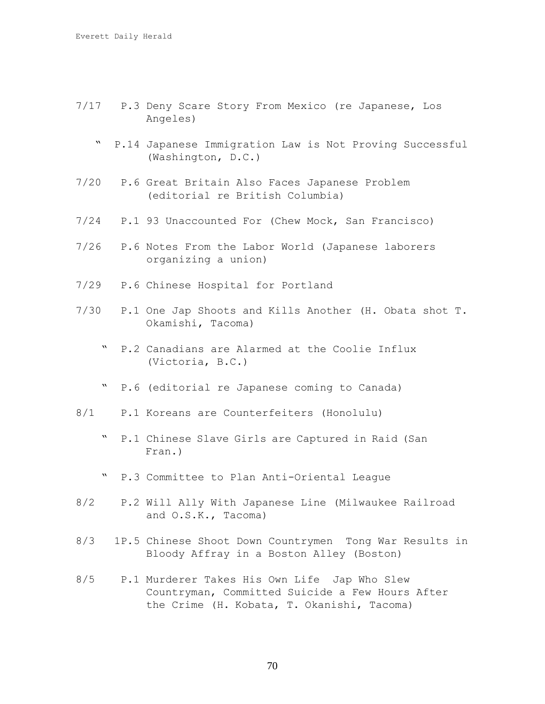- 7/17 P.3 Deny Scare Story From Mexico (re Japanese, Los Angeles)
	- " P.14 Japanese Immigration Law is Not Proving Successful (Washington, D.C.)
- 7/20 P.6 Great Britain Also Faces Japanese Problem (editorial re British Columbia)
- 7/24 P.1 93 Unaccounted For (Chew Mock, San Francisco)
- 7/26 P.6 Notes From the Labor World (Japanese laborers organizing a union)
- 7/29 P.6 Chinese Hospital for Portland
- 7/30 P.1 One Jap Shoots and Kills Another (H. Obata shot T. Okamishi, Tacoma)
	- " P.2 Canadians are Alarmed at the Coolie Influx (Victoria, B.C.)
	- " P.6 (editorial re Japanese coming to Canada)
- 8/1 P.1 Koreans are Counterfeiters (Honolulu)
	- " P.1 Chinese Slave Girls are Captured in Raid (San Fran.)
	- " P.3 Committee to Plan Anti-Oriental League
- 8/2 P.2 Will Ally With Japanese Line (Milwaukee Railroad and O.S.K., Tacoma)
- 8/3 1P.5 Chinese Shoot Down Countrymen Tong War Results in Bloody Affray in a Boston Alley (Boston)
- 8/5 P.1 Murderer Takes His Own Life Jap Who Slew Countryman, Committed Suicide a Few Hours After the Crime (H. Kobata, T. Okanishi, Tacoma)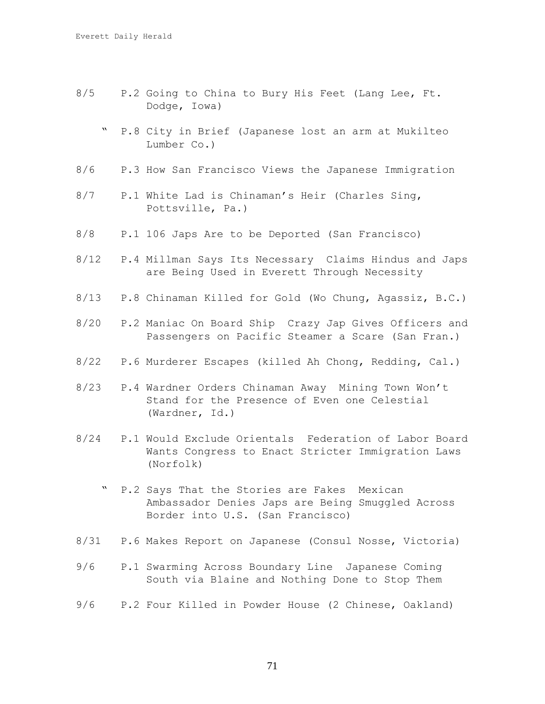- 8/5 P.2 Going to China to Bury His Feet (Lang Lee, Ft. Dodge, Iowa)
	- " P.8 City in Brief (Japanese lost an arm at Mukilteo Lumber Co.)
- 8/6 P.3 How San Francisco Views the Japanese Immigration
- 8/7 P.1 White Lad is Chinaman's Heir (Charles Sing, Pottsville, Pa.)
- 8/8 P.1 106 Japs Are to be Deported (San Francisco)
- 8/12 P.4 Millman Says Its Necessary Claims Hindus and Japs are Being Used in Everett Through Necessity
- 8/13 P.8 Chinaman Killed for Gold (Wo Chung, Agassiz, B.C.)
- 8/20 P.2 Maniac On Board Ship Crazy Jap Gives Officers and Passengers on Pacific Steamer a Scare (San Fran.)
- 8/22 P.6 Murderer Escapes (killed Ah Chong, Redding, Cal.)
- 8/23 P.4 Wardner Orders Chinaman Away Mining Town Won't Stand for the Presence of Even one Celestial (Wardner, Id.)
- 8/24 P.1 Would Exclude Orientals Federation of Labor Board Wants Congress to Enact Stricter Immigration Laws (Norfolk)
	- " P.2 Says That the Stories are Fakes Mexican Ambassador Denies Japs are Being Smuggled Across Border into U.S. (San Francisco)
- 8/31 P.6 Makes Report on Japanese (Consul Nosse, Victoria)
- 9/6 P.1 Swarming Across Boundary Line Japanese Coming South via Blaine and Nothing Done to Stop Them
- 9/6 P.2 Four Killed in Powder House (2 Chinese, Oakland)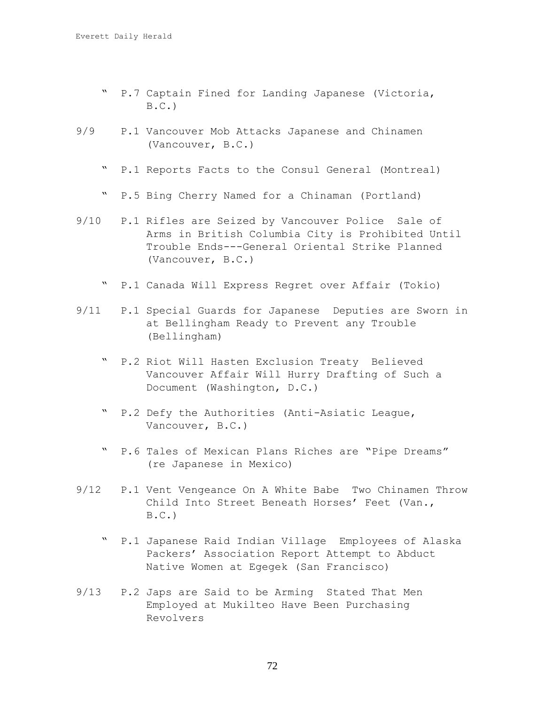- " P.7 Captain Fined for Landing Japanese (Victoria,  $B.C.$
- 9/9 P.1 Vancouver Mob Attacks Japanese and Chinamen (Vancouver, B.C.)
	- " P.1 Reports Facts to the Consul General (Montreal)
	- " P.5 Bing Cherry Named for a Chinaman (Portland)
- 9/10 P.1 Rifles are Seized by Vancouver Police Sale of Arms in British Columbia City is Prohibited Until Trouble Ends---General Oriental Strike Planned (Vancouver, B.C.)
	- " P.1 Canada Will Express Regret over Affair (Tokio)
- 9/11 P.1 Special Guards for Japanese Deputies are Sworn in at Bellingham Ready to Prevent any Trouble (Bellingham)
	- " P.2 Riot Will Hasten Exclusion Treaty Believed Vancouver Affair Will Hurry Drafting of Such a Document (Washington, D.C.)
	- " P.2 Defy the Authorities (Anti-Asiatic League, Vancouver, B.C.)
	- " P.6 Tales of Mexican Plans Riches are "Pipe Dreams" (re Japanese in Mexico)
- 9/12 P.1 Vent Vengeance On A White Babe Two Chinamen Throw Child Into Street Beneath Horses' Feet (Van.,  $B.C.$ )
	- " P.1 Japanese Raid Indian Village Employees of Alaska Packers' Association Report Attempt to Abduct Native Women at Egegek (San Francisco)
- 9/13 P.2 Japs are Said to be Arming Stated That Men Employed at Mukilteo Have Been Purchasing Revolvers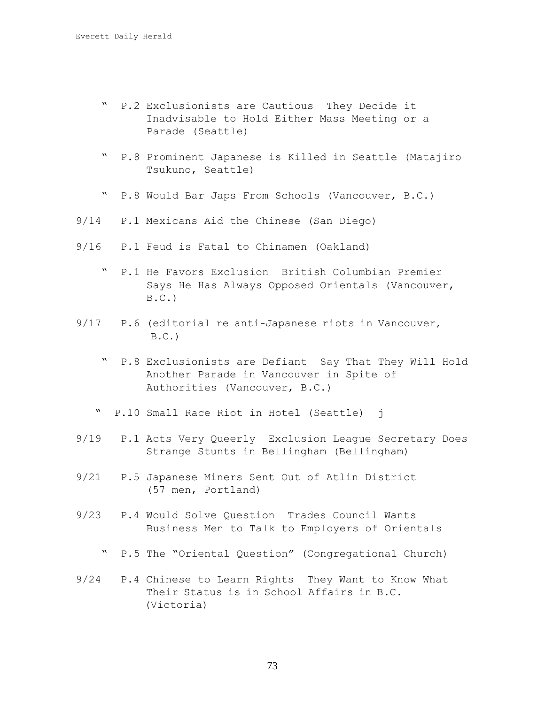- " P.2 Exclusionists are Cautious They Decide it Inadvisable to Hold Either Mass Meeting or a Parade (Seattle)
- " P.8 Prominent Japanese is Killed in Seattle (Matajiro Tsukuno, Seattle)
- " P.8 Would Bar Japs From Schools (Vancouver, B.C.)
- 9/14 P.1 Mexicans Aid the Chinese (San Diego)
- 9/16 P.1 Feud is Fatal to Chinamen (Oakland)
	- " P.1 He Favors Exclusion British Columbian Premier Says He Has Always Opposed Orientals (Vancouver,  $B.C.$ )
- 9/17 P.6 (editorial re anti-Japanese riots in Vancouver,  $B.C.$ )
	- " P.8 Exclusionists are Defiant Say That They Will Hold Another Parade in Vancouver in Spite of Authorities (Vancouver, B.C.)
	- " P.10 Small Race Riot in Hotel (Seattle) j
- 9/19 P.1 Acts Very Queerly Exclusion League Secretary Does Strange Stunts in Bellingham (Bellingham)
- 9/21 P.5 Japanese Miners Sent Out of Atlin District (57 men, Portland)
- 9/23 P.4 Would Solve Question Trades Council Wants Business Men to Talk to Employers of Orientals
	- " P.5 The "Oriental Question" (Congregational Church)
- 9/24 P.4 Chinese to Learn Rights They Want to Know What Their Status is in School Affairs in B.C. (Victoria)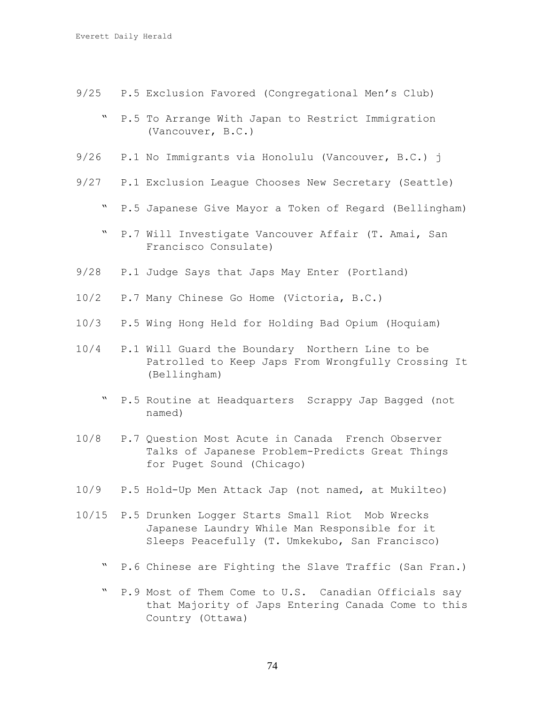- 9/25 P.5 Exclusion Favored (Congregational Men's Club)
	- " P.5 To Arrange With Japan to Restrict Immigration (Vancouver, B.C.)
- 9/26 P.1 No Immigrants via Honolulu (Vancouver, B.C.) j
- 9/27 P.1 Exclusion League Chooses New Secretary (Seattle)
	- " P.5 Japanese Give Mayor a Token of Regard (Bellingham)
	- " P.7 Will Investigate Vancouver Affair (T. Amai, San Francisco Consulate)
- 9/28 P.1 Judge Says that Japs May Enter (Portland)
- 10/2 P.7 Many Chinese Go Home (Victoria, B.C.)
- 10/3 P.5 Wing Hong Held for Holding Bad Opium (Hoquiam)
- 10/4 P.1 Will Guard the Boundary Northern Line to be Patrolled to Keep Japs From Wrongfully Crossing It (Bellingham)
	- " P.5 Routine at Headquarters Scrappy Jap Bagged (not named)
- 10/8 P.7 Question Most Acute in Canada French Observer Talks of Japanese Problem-Predicts Great Things for Puget Sound (Chicago)
- 10/9 P.5 Hold-Up Men Attack Jap (not named, at Mukilteo)
- 10/15 P.5 Drunken Logger Starts Small Riot Mob Wrecks Japanese Laundry While Man Responsible for it Sleeps Peacefully (T. Umkekubo, San Francisco)
	- " P.6 Chinese are Fighting the Slave Traffic (San Fran.)
	- " P.9 Most of Them Come to U.S. Canadian Officials say that Majority of Japs Entering Canada Come to this Country (Ottawa)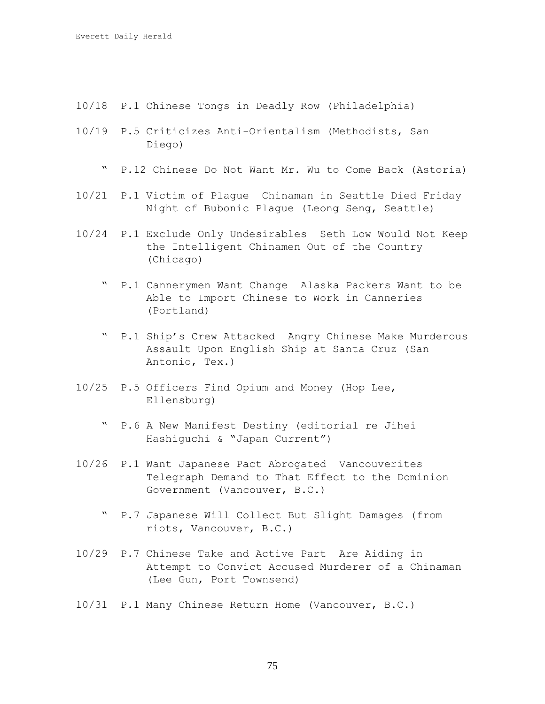- 10/18 P.1 Chinese Tongs in Deadly Row (Philadelphia)
- 10/19 P.5 Criticizes Anti-Orientalism (Methodists, San Diego)
	- " P.12 Chinese Do Not Want Mr. Wu to Come Back (Astoria)
- 10/21 P.1 Victim of Plague Chinaman in Seattle Died Friday Night of Bubonic Plague (Leong Seng, Seattle)
- 10/24 P.1 Exclude Only Undesirables Seth Low Would Not Keep the Intelligent Chinamen Out of the Country (Chicago)
	- " P.1 Cannerymen Want Change Alaska Packers Want to be Able to Import Chinese to Work in Canneries (Portland)
	- " P.1 Ship's Crew Attacked Angry Chinese Make Murderous Assault Upon English Ship at Santa Cruz (San Antonio, Tex.)
- 10/25 P.5 Officers Find Opium and Money (Hop Lee, Ellensburg)
	- " P.6 A New Manifest Destiny (editorial re Jihei Hashiguchi & "Japan Current")
- 10/26 P.1 Want Japanese Pact Abrogated Vancouverites Telegraph Demand to That Effect to the Dominion Government (Vancouver, B.C.)
	- " P.7 Japanese Will Collect But Slight Damages (from riots, Vancouver, B.C.)
- 10/29 P.7 Chinese Take and Active Part Are Aiding in Attempt to Convict Accused Murderer of a Chinaman (Lee Gun, Port Townsend)
- 10/31 P.1 Many Chinese Return Home (Vancouver, B.C.)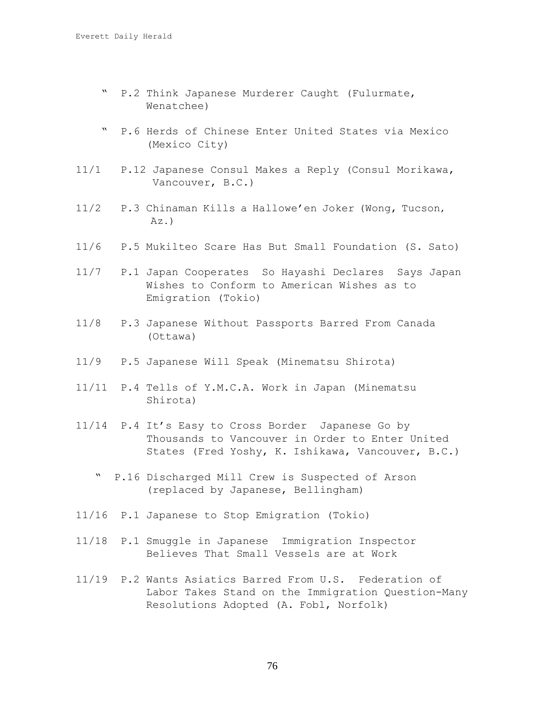- " P.2 Think Japanese Murderer Caught (Fulurmate, Wenatchee)
- " P.6 Herds of Chinese Enter United States via Mexico (Mexico City)
- 11/1 P.12 Japanese Consul Makes a Reply (Consul Morikawa, Vancouver, B.C.)
- 11/2 P.3 Chinaman Kills a Hallowe'en Joker (Wong, Tucson, Az.)
- 11/6 P.5 Mukilteo Scare Has But Small Foundation (S. Sato)

11/7 P.1 Japan Cooperates So Hayashi Declares Says Japan Wishes to Conform to American Wishes as to Emigration (Tokio)

- 11/8 P.3 Japanese Without Passports Barred From Canada (Ottawa)
- 11/9 P.5 Japanese Will Speak (Minematsu Shirota)
- 11/11 P.4 Tells of Y.M.C.A. Work in Japan (Minematsu Shirota)
- 11/14 P.4 It's Easy to Cross Border Japanese Go by Thousands to Vancouver in Order to Enter United States (Fred Yoshy, K. Ishikawa, Vancouver, B.C.)
	- " P.16 Discharged Mill Crew is Suspected of Arson (replaced by Japanese, Bellingham)
- 11/16 P.1 Japanese to Stop Emigration (Tokio)
- 11/18 P.1 Smuggle in Japanese Immigration Inspector Believes That Small Vessels are at Work
- 11/19 P.2 Wants Asiatics Barred From U.S. Federation of Labor Takes Stand on the Immigration Question-Many Resolutions Adopted (A. Fobl, Norfolk)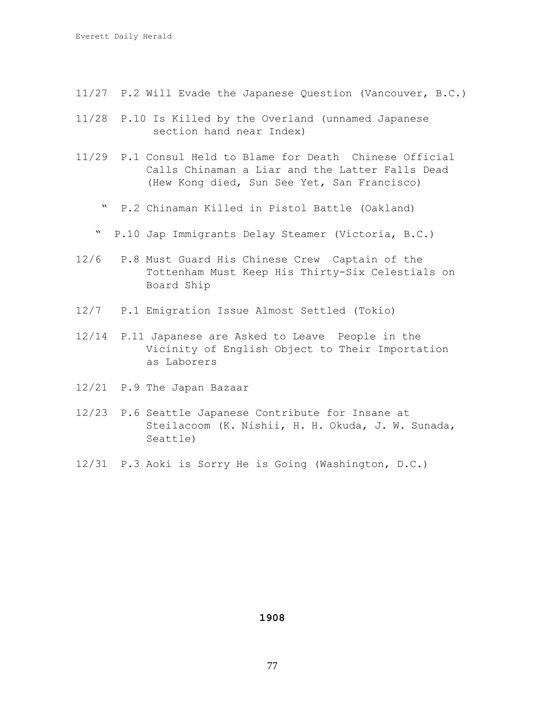- 11/27 P.2 Will Evade the Japanese Question (Vancouver, B.C.)
- 11/28 P.10 Is Killed by the Overland (unnamed Japanese section hand near Index)
- 11/29 P.1 Consul Held to Blame for Death Chinese Official Calls Chinaman a Liar and the Latter Falls Dead (Hew Kong died, Sun See Yet, San Francisco)
	- " P.2 Chinaman Killed in Pistol Battle (Oakland)
	- " P.10 Jap Immigrants Delay Steamer (Victoria, B.C.)
- 12/6 P.8 Must Guard His Chinese Crew Captain of the Tottenham Must Keep His Thirty-Six Celestials on Board Ship
- 12/7 P.1 Emigration Issue Almost Settled (Tokio)
- 12/14 P.11 Japanese are Asked to Leave People in the Vicinity of English Object to Their Importation as Laborers
- 12/21 P.9 The Japan Bazaar
- 12/23 P.6 Seattle Japanese Contribute for Insane at Steilacoom (K. Nishii, H. H. Okuda, J. W. Sunada, Seattle)
- 12/31 P.3 Aoki is Sorry He is Going (Washington, D.C.)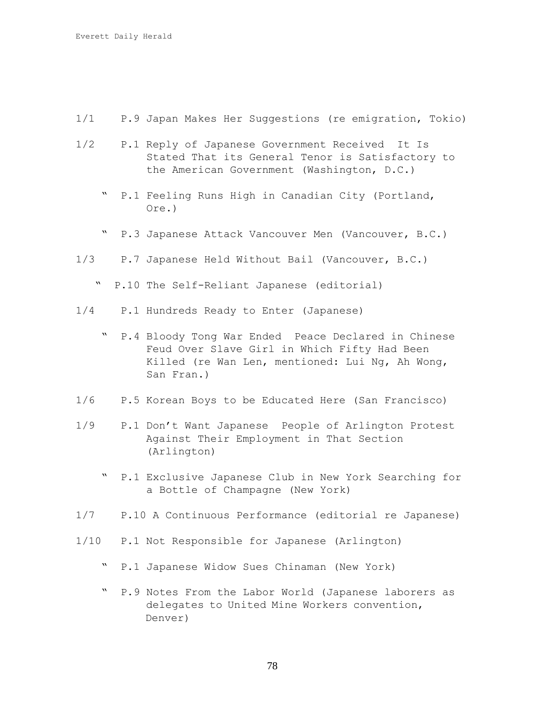- 1/1 P.9 Japan Makes Her Suggestions (re emigration, Tokio)
- 1/2 P.1 Reply of Japanese Government Received It Is Stated That its General Tenor is Satisfactory to the American Government (Washington, D.C.)
	- P.1 Feeling Runs High in Canadian City (Portland, Ore.)
	- " P.3 Japanese Attack Vancouver Men (Vancouver, B.C.)
- 1/3 P.7 Japanese Held Without Bail (Vancouver, B.C.)
	- " P.10 The Self-Reliant Japanese (editorial)
- 1/4 P.1 Hundreds Ready to Enter (Japanese)
	- " P.4 Bloody Tong War Ended Peace Declared in Chinese Feud Over Slave Girl in Which Fifty Had Been Killed (re Wan Len, mentioned: Lui Ng, Ah Wong, San Fran.)
- 1/6 P.5 Korean Boys to be Educated Here (San Francisco)
- 1/9 P.1 Don't Want Japanese People of Arlington Protest Against Their Employment in That Section (Arlington)
	- " P.1 Exclusive Japanese Club in New York Searching for a Bottle of Champagne (New York)
- 1/7 P.10 A Continuous Performance (editorial re Japanese)
- 1/10 P.1 Not Responsible for Japanese (Arlington)
	- " P.1 Japanese Widow Sues Chinaman (New York)
	- " P.9 Notes From the Labor World (Japanese laborers as delegates to United Mine Workers convention, Denver)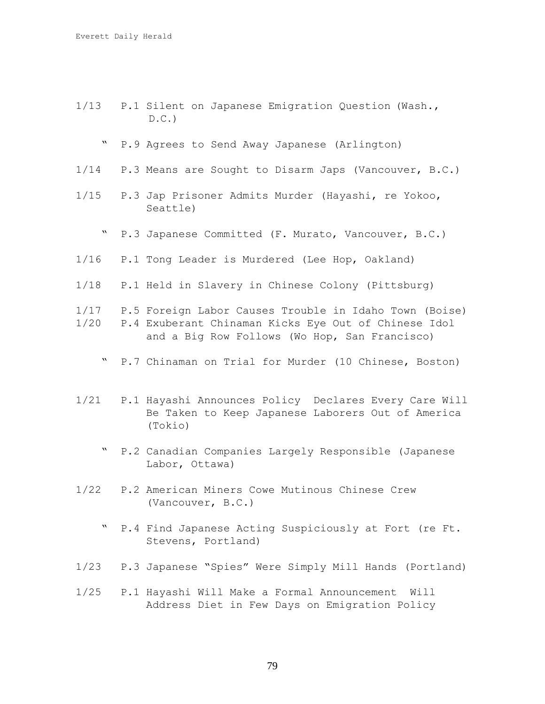- 1/13 P.1 Silent on Japanese Emigration Question (Wash.,  $D.C.$ 
	- " P.9 Agrees to Send Away Japanese (Arlington)
- 1/14 P.3 Means are Sought to Disarm Japs (Vancouver, B.C.)
- 1/15 P.3 Jap Prisoner Admits Murder (Hayashi, re Yokoo, Seattle)
	- " P.3 Japanese Committed (F. Murato, Vancouver, B.C.)
- 1/16 P.1 Tong Leader is Murdered (Lee Hop, Oakland)
- 1/18 P.1 Held in Slavery in Chinese Colony (Pittsburg)
- 1/17 P.5 Foreign Labor Causes Trouble in Idaho Town (Boise) 1/20 P.4 Exuberant Chinaman Kicks Eye Out of Chinese Idol and a Big Row Follows (Wo Hop, San Francisco)
	- " P.7 Chinaman on Trial for Murder (10 Chinese, Boston)
- 1/21 P.1 Hayashi Announces Policy Declares Every Care Will Be Taken to Keep Japanese Laborers Out of America (Tokio)
	- P.2 Canadian Companies Largely Responsible (Japanese Labor, Ottawa)
- 1/22 P.2 American Miners Cowe Mutinous Chinese Crew (Vancouver, B.C.)
	- " P.4 Find Japanese Acting Suspiciously at Fort (re Ft. Stevens, Portland)
- 1/23 P.3 Japanese "Spies" Were Simply Mill Hands (Portland)
- 1/25 P.1 Hayashi Will Make a Formal Announcement Will Address Diet in Few Days on Emigration Policy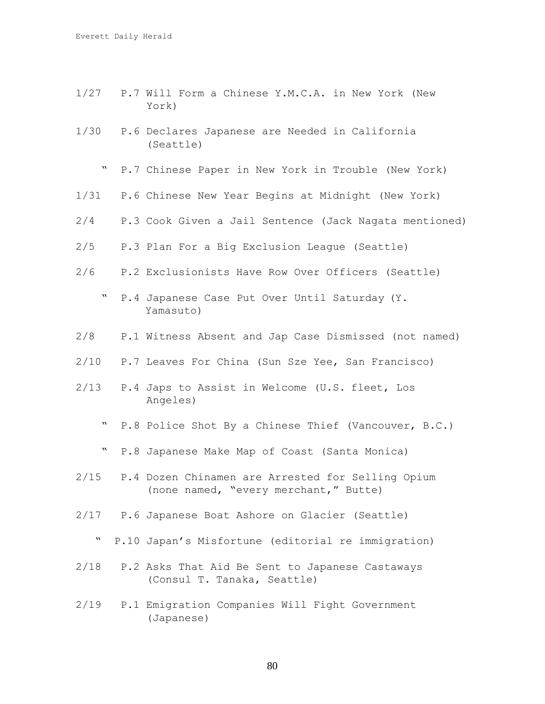- 1/27 P.7 Will Form a Chinese Y.M.C.A. in New York (New York)
- 1/30 P.6 Declares Japanese are Needed in California (Seattle)
	- " P.7 Chinese Paper in New York in Trouble (New York)
- 1/31 P.6 Chinese New Year Begins at Midnight (New York)
- 2/4 P.3 Cook Given a Jail Sentence (Jack Nagata mentioned)
- 2/5 P.3 Plan For a Big Exclusion League (Seattle)
- 2/6 P.2 Exclusionists Have Row Over Officers (Seattle)
	- " P.4 Japanese Case Put Over Until Saturday (Y. Yamasuto)
- 2/8 P.1 Witness Absent and Jap Case Dismissed (not named)
- 2/10 P.7 Leaves For China (Sun Sze Yee, San Francisco)
- 2/13 P.4 Japs to Assist in Welcome (U.S. fleet, Los Angeles)
	- " P.8 Police Shot By a Chinese Thief (Vancouver, B.C.)
	- " P.8 Japanese Make Map of Coast (Santa Monica)
- 2/15 P.4 Dozen Chinamen are Arrested for Selling Opium (none named, "every merchant," Butte)
- 2/17 P.6 Japanese Boat Ashore on Glacier (Seattle)
	- " P.10 Japan's Misfortune (editorial re immigration)
- 2/18 P.2 Asks That Aid Be Sent to Japanese Castaways (Consul T. Tanaka, Seattle)
- 2/19 P.1 Emigration Companies Will Fight Government (Japanese)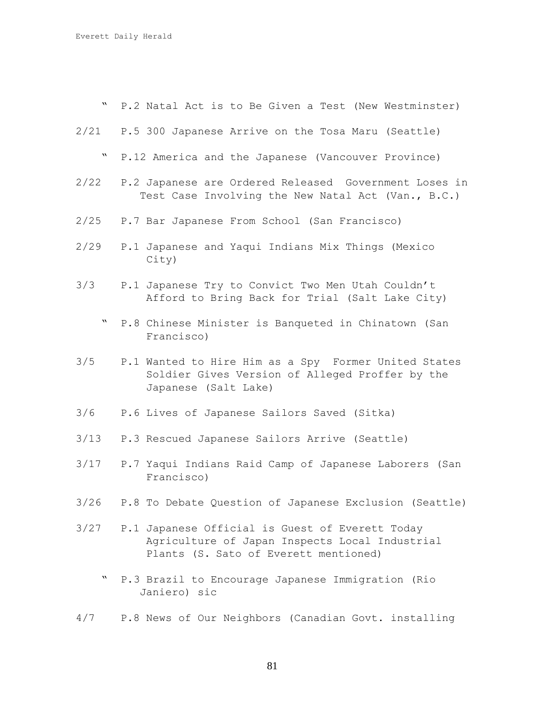" P.2 Natal Act is to Be Given a Test (New Westminster)

- 2/21 P.5 300 Japanese Arrive on the Tosa Maru (Seattle)
	- " P.12 America and the Japanese (Vancouver Province)
- 2/22 P.2 Japanese are Ordered Released Government Loses in Test Case Involving the New Natal Act (Van., B.C.)
- 2/25 P.7 Bar Japanese From School (San Francisco)
- 2/29 P.1 Japanese and Yaqui Indians Mix Things (Mexico City)
- 3/3 P.1 Japanese Try to Convict Two Men Utah Couldn't Afford to Bring Back for Trial (Salt Lake City)
	- " P.8 Chinese Minister is Banqueted in Chinatown (San Francisco)
- 3/5 P.1 Wanted to Hire Him as a Spy Former United States Soldier Gives Version of Alleged Proffer by the Japanese (Salt Lake)
- 3/6 P.6 Lives of Japanese Sailors Saved (Sitka)
- 3/13 P.3 Rescued Japanese Sailors Arrive (Seattle)
- 3/17 P.7 Yaqui Indians Raid Camp of Japanese Laborers (San Francisco)
- 3/26 P.8 To Debate Question of Japanese Exclusion (Seattle)
- 3/27 P.1 Japanese Official is Guest of Everett Today Agriculture of Japan Inspects Local Industrial Plants (S. Sato of Everett mentioned)
	- " P.3 Brazil to Encourage Japanese Immigration (Rio Janiero) sic
- 4/7 P.8 News of Our Neighbors (Canadian Govt. installing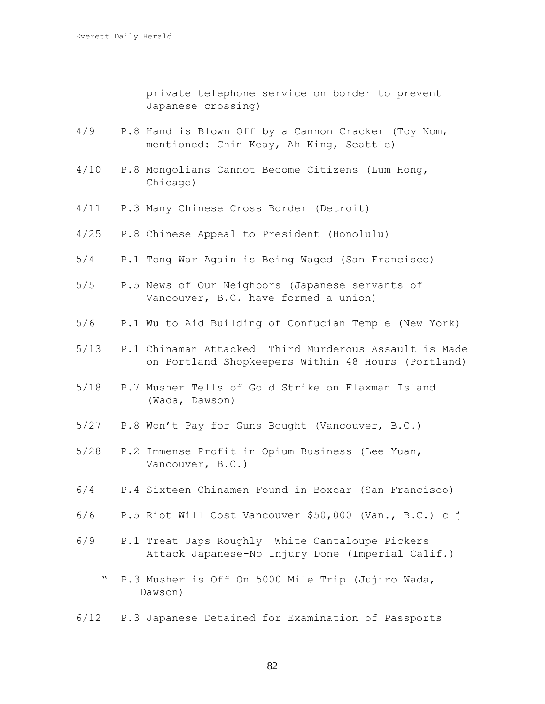private telephone service on border to prevent Japanese crossing)

- 4/9 P.8 Hand is Blown Off by a Cannon Cracker (Toy Nom, mentioned: Chin Keay, Ah King, Seattle)
- 4/10 P.8 Mongolians Cannot Become Citizens (Lum Hong, Chicago)
- 4/11 P.3 Many Chinese Cross Border (Detroit)
- 4/25 P.8 Chinese Appeal to President (Honolulu)
- 5/4 P.1 Tong War Again is Being Waged (San Francisco)
- 5/5 P.5 News of Our Neighbors (Japanese servants of Vancouver, B.C. have formed a union)
- 5/6 P.1 Wu to Aid Building of Confucian Temple (New York)
- 5/13 P.1 Chinaman Attacked Third Murderous Assault is Made on Portland Shopkeepers Within 48 Hours (Portland)
- 5/18 P.7 Musher Tells of Gold Strike on Flaxman Island (Wada, Dawson)
- 5/27 P.8 Won't Pay for Guns Bought (Vancouver, B.C.)
- 5/28 P.2 Immense Profit in Opium Business (Lee Yuan, Vancouver, B.C.)
- 6/4 P.4 Sixteen Chinamen Found in Boxcar (San Francisco)
- 6/6 P.5 Riot Will Cost Vancouver \$50,000 (Van., B.C.) c j
- 6/9 P.1 Treat Japs Roughly White Cantaloupe Pickers Attack Japanese-No Injury Done (Imperial Calif.)
	- " P.3 Musher is Off On 5000 Mile Trip (Jujiro Wada, Dawson)
- 6/12 P.3 Japanese Detained for Examination of Passports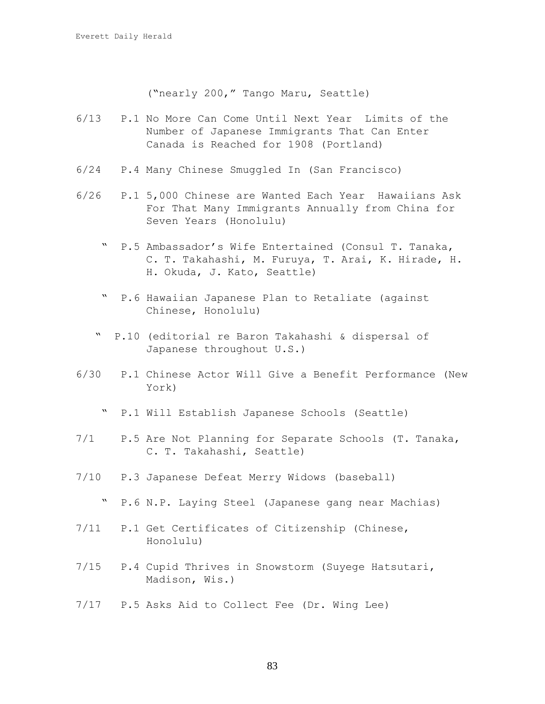("nearly 200," Tango Maru, Seattle)

- 6/13 P.1 No More Can Come Until Next Year Limits of the Number of Japanese Immigrants That Can Enter Canada is Reached for 1908 (Portland)
- 6/24 P.4 Many Chinese Smuggled In (San Francisco)
- 6/26 P.1 5,000 Chinese are Wanted Each Year Hawaiians Ask For That Many Immigrants Annually from China for Seven Years (Honolulu)
	- " P.5 Ambassador's Wife Entertained (Consul T. Tanaka, C. T. Takahashi, M. Furuya, T. Arai, K. Hirade, H. H. Okuda, J. Kato, Seattle)
	- " P.6 Hawaiian Japanese Plan to Retaliate (against Chinese, Honolulu)
	- " P.10 (editorial re Baron Takahashi & dispersal of Japanese throughout U.S.)
- 6/30 P.1 Chinese Actor Will Give a Benefit Performance (New York)
	- " P.1 Will Establish Japanese Schools (Seattle)
- 7/1 P.5 Are Not Planning for Separate Schools (T. Tanaka, C. T. Takahashi, Seattle)
- 7/10 P.3 Japanese Defeat Merry Widows (baseball)
	- " P.6 N.P. Laying Steel (Japanese gang near Machias)
- 7/11 P.1 Get Certificates of Citizenship (Chinese, Honolulu)
- 7/15 P.4 Cupid Thrives in Snowstorm (Suyege Hatsutari, Madison, Wis.)
- 7/17 P.5 Asks Aid to Collect Fee (Dr. Wing Lee)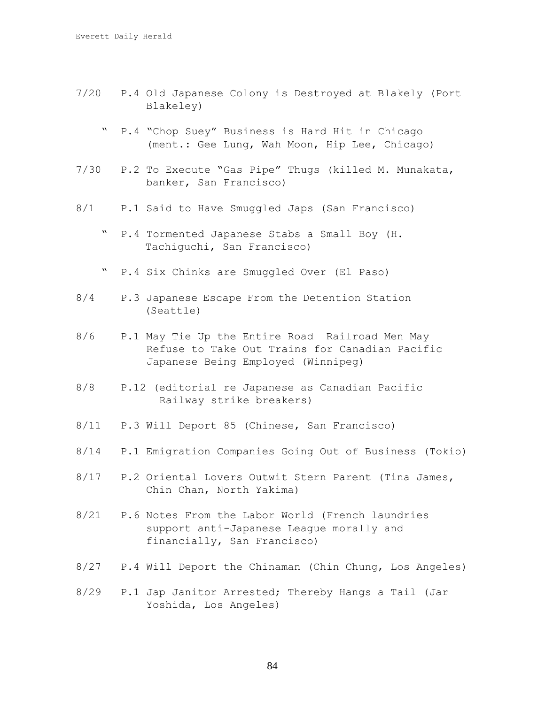- 7/20 P.4 Old Japanese Colony is Destroyed at Blakely (Port Blakeley)
	- " P.4 "Chop Suey" Business is Hard Hit in Chicago (ment.: Gee Lung, Wah Moon, Hip Lee, Chicago)
- 7/30 P.2 To Execute "Gas Pipe" Thugs (killed M. Munakata, banker, San Francisco)
- 8/1 P.1 Said to Have Smuggled Japs (San Francisco)
	- " P.4 Tormented Japanese Stabs a Small Boy (H. Tachiguchi, San Francisco)
	- " P.4 Six Chinks are Smuggled Over (El Paso)
- 8/4 P.3 Japanese Escape From the Detention Station (Seattle)
- 8/6 P.1 May Tie Up the Entire Road Railroad Men May Refuse to Take Out Trains for Canadian Pacific Japanese Being Employed (Winnipeg)
- 8/8 P.12 (editorial re Japanese as Canadian Pacific Railway strike breakers)
- 8/11 P.3 Will Deport 85 (Chinese, San Francisco)
- 8/14 P.1 Emigration Companies Going Out of Business (Tokio)
- 8/17 P.2 Oriental Lovers Outwit Stern Parent (Tina James, Chin Chan, North Yakima)
- 8/21 P.6 Notes From the Labor World (French laundries support anti-Japanese League morally and financially, San Francisco)
- 8/27 P.4 Will Deport the Chinaman (Chin Chung, Los Angeles)
- 8/29 P.1 Jap Janitor Arrested; Thereby Hangs a Tail (Jar Yoshida, Los Angeles)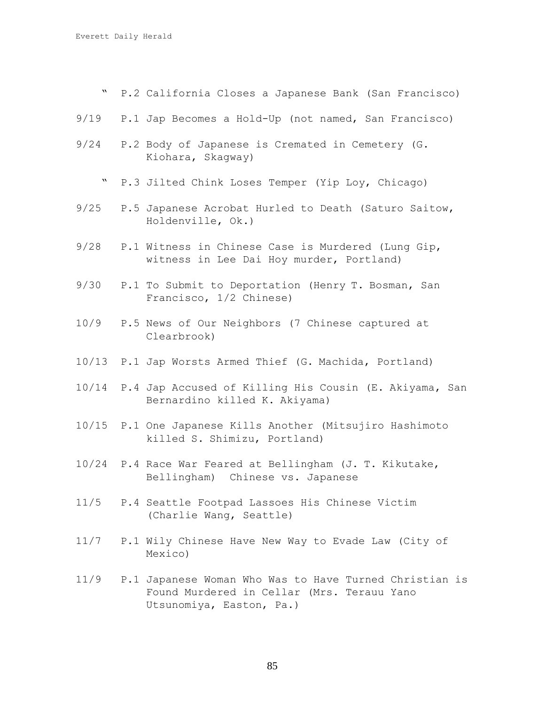- " P.2 California Closes a Japanese Bank (San Francisco)
- 9/19 P.1 Jap Becomes a Hold-Up (not named, San Francisco)
- 9/24 P.2 Body of Japanese is Cremated in Cemetery (G. Kiohara, Skagway)
	- " P.3 Jilted Chink Loses Temper (Yip Loy, Chicago)
- 9/25 P.5 Japanese Acrobat Hurled to Death (Saturo Saitow, Holdenville, Ok.)
- 9/28 P.1 Witness in Chinese Case is Murdered (Lung Gip, witness in Lee Dai Hoy murder, Portland)
- 9/30 P.1 To Submit to Deportation (Henry T. Bosman, San Francisco, 1/2 Chinese)
- 10/9 P.5 News of Our Neighbors (7 Chinese captured at Clearbrook)
- 10/13 P.1 Jap Worsts Armed Thief (G. Machida, Portland)
- 10/14 P.4 Jap Accused of Killing His Cousin (E. Akiyama, San Bernardino killed K. Akiyama)
- 10/15 P.1 One Japanese Kills Another (Mitsujiro Hashimoto killed S. Shimizu, Portland)
- 10/24 P.4 Race War Feared at Bellingham (J. T. Kikutake, Bellingham) Chinese vs. Japanese
- 11/5 P.4 Seattle Footpad Lassoes His Chinese Victim (Charlie Wang, Seattle)
- 11/7 P.1 Wily Chinese Have New Way to Evade Law (City of Mexico)
- 11/9 P.1 Japanese Woman Who Was to Have Turned Christian is Found Murdered in Cellar (Mrs. Terauu Yano Utsunomiya, Easton, Pa.)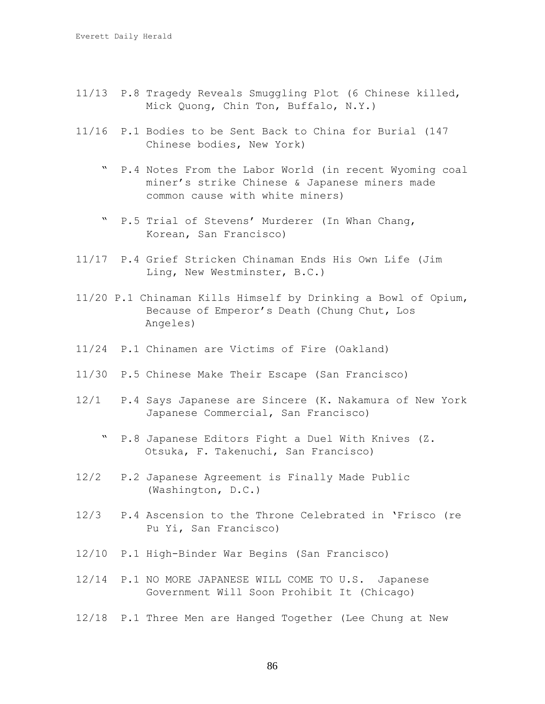- 11/13 P.8 Tragedy Reveals Smuggling Plot (6 Chinese killed, Mick Quong, Chin Ton, Buffalo, N.Y.)
- 11/16 P.1 Bodies to be Sent Back to China for Burial (147 Chinese bodies, New York)
	- " P.4 Notes From the Labor World (in recent Wyoming coal miner's strike Chinese & Japanese miners made common cause with white miners)
	- " P.5 Trial of Stevens' Murderer (In Whan Chang, Korean, San Francisco)
- 11/17 P.4 Grief Stricken Chinaman Ends His Own Life (Jim Ling, New Westminster, B.C.)
- 11/20 P.1 Chinaman Kills Himself by Drinking a Bowl of Opium, Because of Emperor's Death (Chung Chut, Los Angeles)
- 11/24 P.1 Chinamen are Victims of Fire (Oakland)
- 11/30 P.5 Chinese Make Their Escape (San Francisco)
- 12/1 P.4 Says Japanese are Sincere (K. Nakamura of New York Japanese Commercial, San Francisco)
	- " P.8 Japanese Editors Fight a Duel With Knives (Z. Otsuka, F. Takenuchi, San Francisco)
- 12/2 P.2 Japanese Agreement is Finally Made Public (Washington, D.C.)
- 12/3 P.4 Ascension to the Throne Celebrated in 'Frisco (re Pu Yi, San Francisco)
- 12/10 P.1 High-Binder War Begins (San Francisco)
- 12/14 P.1 NO MORE JAPANESE WILL COME TO U.S. Japanese Government Will Soon Prohibit It (Chicago)
- 12/18 P.1 Three Men are Hanged Together (Lee Chung at New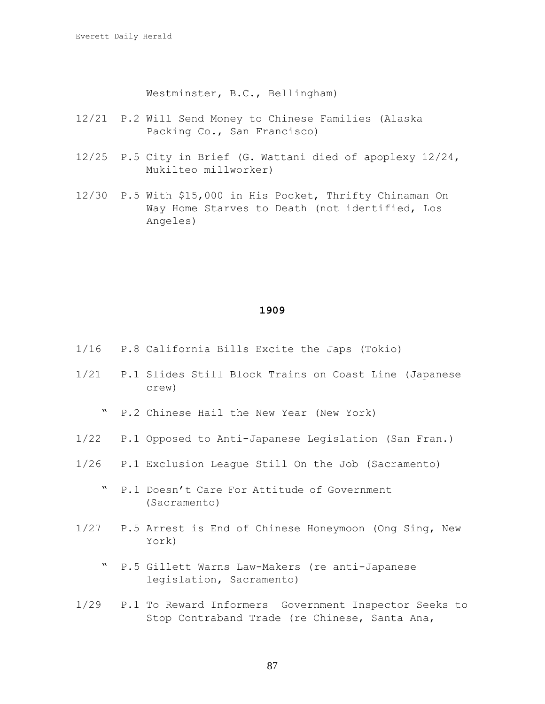Westminster, B.C., Bellingham)

- 12/21 P.2 Will Send Money to Chinese Families (Alaska Packing Co., San Francisco)
- 12/25 P.5 City in Brief (G. Wattani died of apoplexy 12/24, Mukilteo millworker)
- 12/30 P.5 With \$15,000 in His Pocket, Thrifty Chinaman On Way Home Starves to Death (not identified, Los Angeles)

- 1/16 P.8 California Bills Excite the Japs (Tokio)
- 1/21 P.1 Slides Still Block Trains on Coast Line (Japanese crew)
	- " P.2 Chinese Hail the New Year (New York)
- 1/22 P.1 Opposed to Anti-Japanese Legislation (San Fran.)
- 1/26 P.1 Exclusion League Still On the Job (Sacramento)
	- " P.1 Doesn't Care For Attitude of Government (Sacramento)
- 1/27 P.5 Arrest is End of Chinese Honeymoon (Ong Sing, New York)
	- " P.5 Gillett Warns Law-Makers (re anti-Japanese legislation, Sacramento)
- 1/29 P.1 To Reward Informers Government Inspector Seeks to Stop Contraband Trade (re Chinese, Santa Ana,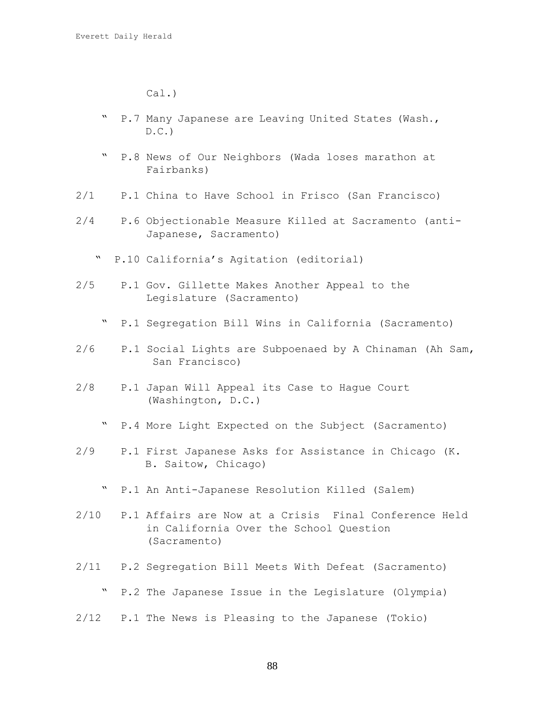Cal.)

- " P.7 Many Japanese are Leaving United States (Wash.,  $D.C.$
- " P.8 News of Our Neighbors (Wada loses marathon at Fairbanks)
- 2/1 P.1 China to Have School in Frisco (San Francisco)
- 2/4 P.6 Objectionable Measure Killed at Sacramento (anti-Japanese, Sacramento)
	- " P.10 California's Agitation (editorial)
- 2/5 P.1 Gov. Gillette Makes Another Appeal to the Legislature (Sacramento)
	- " P.1 Segregation Bill Wins in California (Sacramento)
- 2/6 P.1 Social Lights are Subpoenaed by A Chinaman (Ah Sam, San Francisco)
- 2/8 P.1 Japan Will Appeal its Case to Hague Court (Washington, D.C.)
	- " P.4 More Light Expected on the Subject (Sacramento)
- 2/9 P.1 First Japanese Asks for Assistance in Chicago (K. B. Saitow, Chicago)
	- " P.1 An Anti-Japanese Resolution Killed (Salem)
- 2/10 P.1 Affairs are Now at a Crisis Final Conference Held in California Over the School Question (Sacramento)
- 2/11 P.2 Segregation Bill Meets With Defeat (Sacramento)
	- " P.2 The Japanese Issue in the Legislature (Olympia)
- 2/12 P.1 The News is Pleasing to the Japanese (Tokio)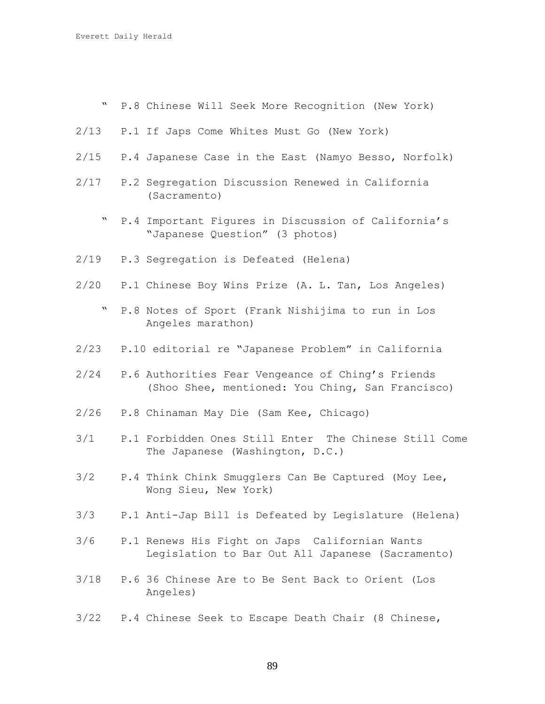" P.8 Chinese Will Seek More Recognition (New York)

- 2/13 P.1 If Japs Come Whites Must Go (New York)
- 2/15 P.4 Japanese Case in the East (Namyo Besso, Norfolk)
- 2/17 P.2 Segregation Discussion Renewed in California (Sacramento)
	- " P.4 Important Figures in Discussion of California's "Japanese Question" (3 photos)
- 2/19 P.3 Segregation is Defeated (Helena)
- 2/20 P.1 Chinese Boy Wins Prize (A. L. Tan, Los Angeles)
	- " P.8 Notes of Sport (Frank Nishijima to run in Los Angeles marathon)
- 2/23 P.10 editorial re "Japanese Problem" in California
- 2/24 P.6 Authorities Fear Vengeance of Ching's Friends (Shoo Shee, mentioned: You Ching, San Francisco)
- 2/26 P.8 Chinaman May Die (Sam Kee, Chicago)
- 3/1 P.1 Forbidden Ones Still Enter The Chinese Still Come The Japanese (Washington, D.C.)
- 3/2 P.4 Think Chink Smugglers Can Be Captured (Moy Lee, Wong Sieu, New York)
- 3/3 P.1 Anti-Jap Bill is Defeated by Legislature (Helena)
- 3/6 P.1 Renews His Fight on Japs Californian Wants Legislation to Bar Out All Japanese (Sacramento)
- 3/18 P.6 36 Chinese Are to Be Sent Back to Orient (Los Angeles)
- 3/22 P.4 Chinese Seek to Escape Death Chair (8 Chinese,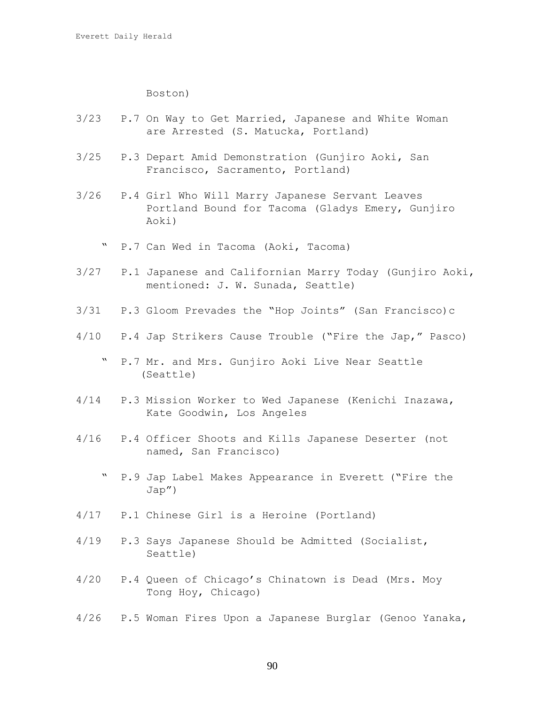Boston)

- 3/23 P.7 On Way to Get Married, Japanese and White Woman are Arrested (S. Matucka, Portland)
- 3/25 P.3 Depart Amid Demonstration (Gunjiro Aoki, San Francisco, Sacramento, Portland)
- 3/26 P.4 Girl Who Will Marry Japanese Servant Leaves Portland Bound for Tacoma (Gladys Emery, Gunjiro Aoki)
	- " P.7 Can Wed in Tacoma (Aoki, Tacoma)
- 3/27 P.1 Japanese and Californian Marry Today (Gunjiro Aoki, mentioned: J. W. Sunada, Seattle)
- 3/31 P.3 Gloom Prevades the "Hop Joints" (San Francisco)c
- 4/10 P.4 Jap Strikers Cause Trouble ("Fire the Jap," Pasco)
	- " P.7 Mr. and Mrs. Gunjiro Aoki Live Near Seattle (Seattle)
- 4/14 P.3 Mission Worker to Wed Japanese (Kenichi Inazawa, Kate Goodwin, Los Angeles
- 4/16 P.4 Officer Shoots and Kills Japanese Deserter (not named, San Francisco)
	- " P.9 Jap Label Makes Appearance in Everett ("Fire the Jap")
- 4/17 P.1 Chinese Girl is a Heroine (Portland)
- 4/19 P.3 Says Japanese Should be Admitted (Socialist, Seattle)
- 4/20 P.4 Queen of Chicago's Chinatown is Dead (Mrs. Moy Tong Hoy, Chicago)
- 4/26 P.5 Woman Fires Upon a Japanese Burglar (Genoo Yanaka,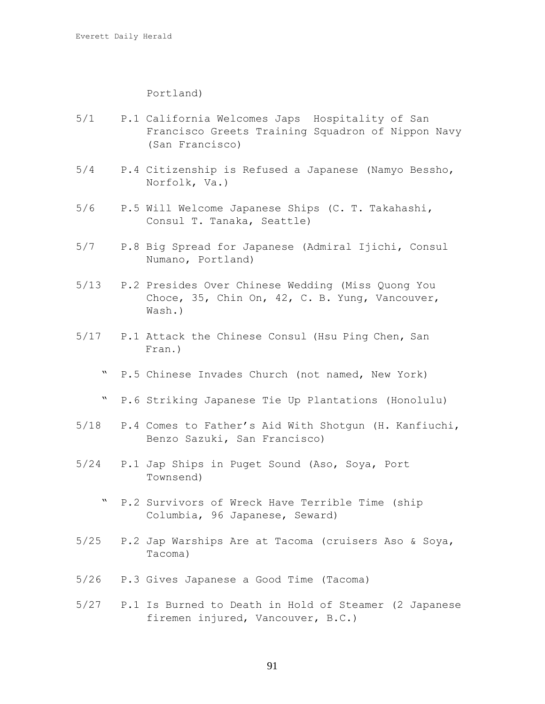## Portland)

- 5/1 P.1 California Welcomes Japs Hospitality of San Francisco Greets Training Squadron of Nippon Navy (San Francisco)
- 5/4 P.4 Citizenship is Refused a Japanese (Namyo Bessho, Norfolk, Va.)
- 5/6 P.5 Will Welcome Japanese Ships (C. T. Takahashi, Consul T. Tanaka, Seattle)
- 5/7 P.8 Big Spread for Japanese (Admiral Ijichi, Consul Numano, Portland)
- 5/13 P.2 Presides Over Chinese Wedding (Miss Quong You Choce, 35, Chin On, 42, C. B. Yung, Vancouver, Wash.)
- 5/17 P.1 Attack the Chinese Consul (Hsu Ping Chen, San Fran.)
	- " P.5 Chinese Invades Church (not named, New York)
	- " P.6 Striking Japanese Tie Up Plantations (Honolulu)
- 5/18 P.4 Comes to Father's Aid With Shotgun (H. Kanfiuchi, Benzo Sazuki, San Francisco)
- 5/24 P.1 Jap Ships in Puget Sound (Aso, Soya, Port Townsend)
	- " P.2 Survivors of Wreck Have Terrible Time (ship Columbia, 96 Japanese, Seward)
- 5/25 P.2 Jap Warships Are at Tacoma (cruisers Aso & Soya, Tacoma)
- 5/26 P.3 Gives Japanese a Good Time (Tacoma)
- 5/27 P.1 Is Burned to Death in Hold of Steamer (2 Japanese firemen injured, Vancouver, B.C.)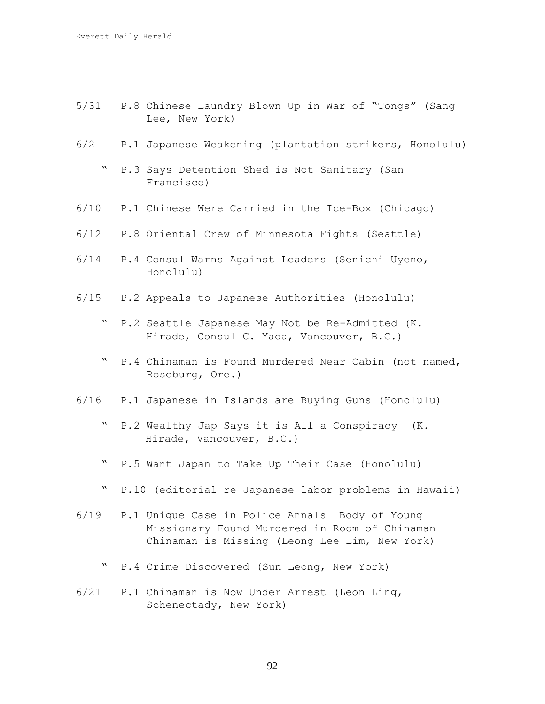- 5/31 P.8 Chinese Laundry Blown Up in War of "Tongs" (Sang Lee, New York)
- 6/2 P.1 Japanese Weakening (plantation strikers, Honolulu)
	- " P.3 Says Detention Shed is Not Sanitary (San Francisco)
- 6/10 P.1 Chinese Were Carried in the Ice-Box (Chicago)
- 6/12 P.8 Oriental Crew of Minnesota Fights (Seattle)
- 6/14 P.4 Consul Warns Against Leaders (Senichi Uyeno, Honolulu)
- 6/15 P.2 Appeals to Japanese Authorities (Honolulu)
	- " P.2 Seattle Japanese May Not be Re-Admitted (K. Hirade, Consul C. Yada, Vancouver, B.C.)
	- " P.4 Chinaman is Found Murdered Near Cabin (not named, Roseburg, Ore.)
- 6/16 P.1 Japanese in Islands are Buying Guns (Honolulu)
	- " P.2 Wealthy Jap Says it is All a Conspiracy (K. Hirade, Vancouver, B.C.)
	- " P.5 Want Japan to Take Up Their Case (Honolulu)
	- " P.10 (editorial re Japanese labor problems in Hawaii)
- 6/19 P.1 Unique Case in Police Annals Body of Young Missionary Found Murdered in Room of Chinaman Chinaman is Missing (Leong Lee Lim, New York)
	- " P.4 Crime Discovered (Sun Leong, New York)
- 6/21 P.1 Chinaman is Now Under Arrest (Leon Ling, Schenectady, New York)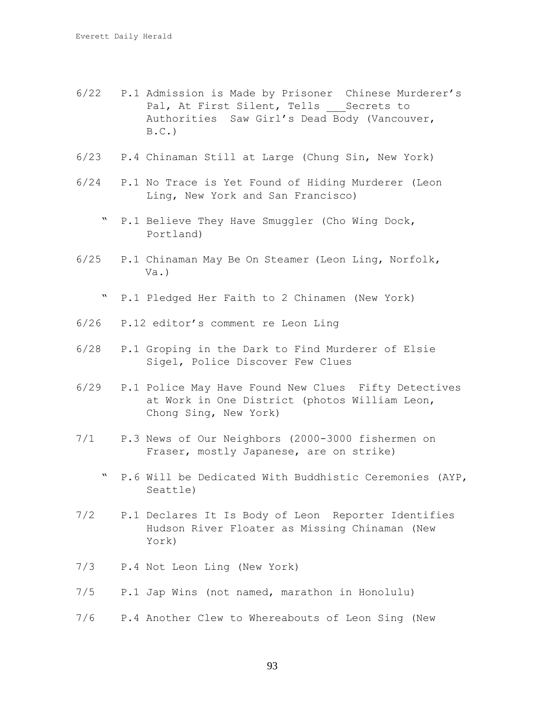- 6/22 P.1 Admission is Made by Prisoner Chinese Murderer's Pal, At First Silent, Tells Secrets to Authorities Saw Girl's Dead Body (Vancouver,  $B.C.$ )
- 6/23 P.4 Chinaman Still at Large (Chung Sin, New York)
- 6/24 P.1 No Trace is Yet Found of Hiding Murderer (Leon Ling, New York and San Francisco)
	- " P.1 Believe They Have Smuggler (Cho Wing Dock, Portland)
- 6/25 P.1 Chinaman May Be On Steamer (Leon Ling, Norfolk, Va.)
	- " P.1 Pledged Her Faith to 2 Chinamen (New York)
- 6/26 P.12 editor's comment re Leon Ling
- 6/28 P.1 Groping in the Dark to Find Murderer of Elsie Sigel, Police Discover Few Clues
- 6/29 P.1 Police May Have Found New Clues Fifty Detectives at Work in One District (photos William Leon, Chong Sing, New York)
- 7/1 P.3 News of Our Neighbors (2000-3000 fishermen on Fraser, mostly Japanese, are on strike)
	- " P.6 Will be Dedicated With Buddhistic Ceremonies (AYP, Seattle)
- 7/2 P.1 Declares It Is Body of Leon Reporter Identifies Hudson River Floater as Missing Chinaman (New York)
- 7/3 P.4 Not Leon Ling (New York)
- 7/5 P.1 Jap Wins (not named, marathon in Honolulu)
- 7/6 P.4 Another Clew to Whereabouts of Leon Sing (New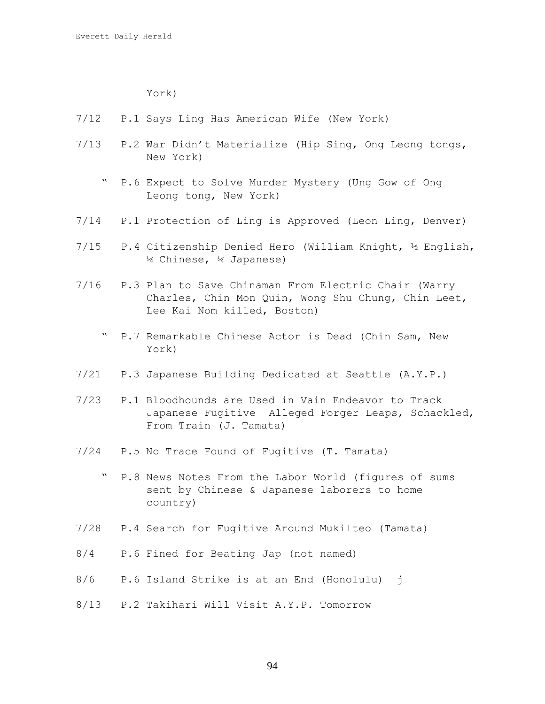York)

- 7/12 P.1 Says Ling Has American Wife (New York)
- 7/13 P.2 War Didn't Materialize (Hip Sing, Ong Leong tongs, New York)
	- " P.6 Expect to Solve Murder Mystery (Ung Gow of Ong Leong tong, New York)
- 7/14 P.1 Protection of Ling is Approved (Leon Ling, Denver)
- 7/15 P.4 Citizenship Denied Hero (William Knight, ½ English, ¼ Chinese, ¼ Japanese)
- 7/16 P.3 Plan to Save Chinaman From Electric Chair (Warry Charles, Chin Mon Quin, Wong Shu Chung, Chin Leet, Lee Kai Nom killed, Boston)
	- " P.7 Remarkable Chinese Actor is Dead (Chin Sam, New York)
- 7/21 P.3 Japanese Building Dedicated at Seattle (A.Y.P.)
- 7/23 P.1 Bloodhounds are Used in Vain Endeavor to Track Japanese Fugitive Alleged Forger Leaps, Schackled, From Train (J. Tamata)
- 7/24 P.5 No Trace Found of Fugitive (T. Tamata)
	- " P.8 News Notes From the Labor World (figures of sums sent by Chinese & Japanese laborers to home country)
- 7/28 P.4 Search for Fugitive Around Mukilteo (Tamata)
- 8/4 P.6 Fined for Beating Jap (not named)
- 8/6 P.6 Island Strike is at an End (Honolulu) j
- 8/13 P.2 Takihari Will Visit A.Y.P. Tomorrow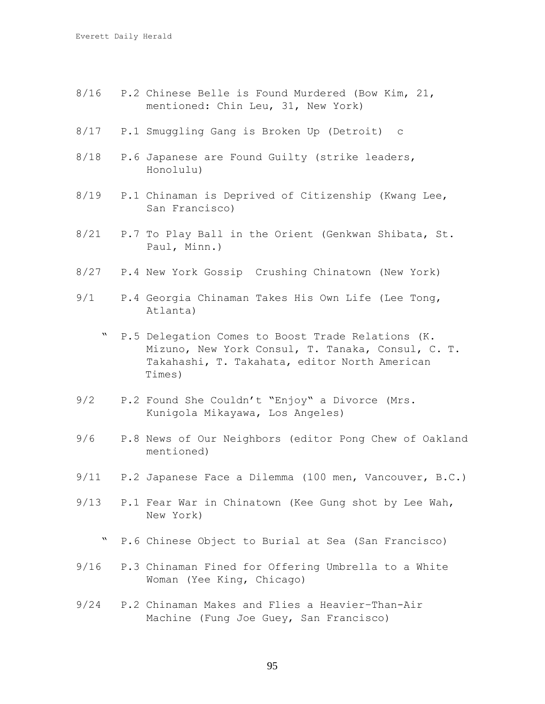- 8/16 P.2 Chinese Belle is Found Murdered (Bow Kim, 21, mentioned: Chin Leu, 31, New York)
- 8/17 P.1 Smuggling Gang is Broken Up (Detroit) c
- 8/18 P.6 Japanese are Found Guilty (strike leaders, Honolulu)
- 8/19 P.1 Chinaman is Deprived of Citizenship (Kwang Lee, San Francisco)
- 8/21 P.7 To Play Ball in the Orient (Genkwan Shibata, St. Paul, Minn.)
- 8/27 P.4 New York Gossip Crushing Chinatown (New York)
- 9/1 P.4 Georgia Chinaman Takes His Own Life (Lee Tong, Atlanta)
	- " P.5 Delegation Comes to Boost Trade Relations (K. Mizuno, New York Consul, T. Tanaka, Consul, C. T. Takahashi, T. Takahata, editor North American Times)
- 9/2 P.2 Found She Couldn't "Enjoy" a Divorce (Mrs. Kunigola Mikayawa, Los Angeles)
- 9/6 P.8 News of Our Neighbors (editor Pong Chew of Oakland mentioned)
- 9/11 P.2 Japanese Face a Dilemma (100 men, Vancouver, B.C.)
- 9/13 P.1 Fear War in Chinatown (Kee Gung shot by Lee Wah, New York)
	- " P.6 Chinese Object to Burial at Sea (San Francisco)
- 9/16 P.3 Chinaman Fined for Offering Umbrella to a White Woman (Yee King, Chicago)
- 9/24 P.2 Chinaman Makes and Flies a Heavier–Than-Air Machine (Fung Joe Guey, San Francisco)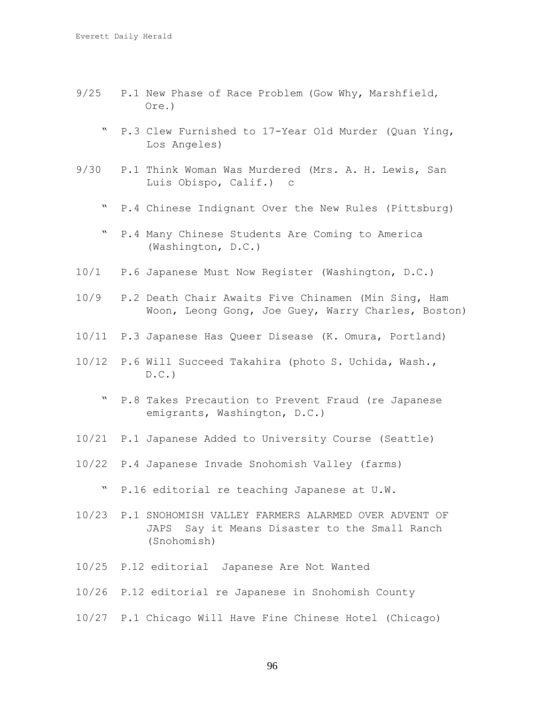- 9/25 P.1 New Phase of Race Problem (Gow Why, Marshfield, Ore.)
	- " P.3 Clew Furnished to 17-Year Old Murder (Quan Ying, Los Angeles)
- 9/30 P.1 Think Woman Was Murdered (Mrs. A. H. Lewis, San Luis Obispo, Calif.) c
	- " P.4 Chinese Indignant Over the New Rules (Pittsburg)
	- " P.4 Many Chinese Students Are Coming to America (Washington, D.C.)
- 10/1 P.6 Japanese Must Now Register (Washington, D.C.)
- 10/9 P.2 Death Chair Awaits Five Chinamen (Min Sing, Ham Woon, Leong Gong, Joe Guey, Warry Charles, Boston)
- 10/11 P.3 Japanese Has Queer Disease (K. Omura, Portland)
- 10/12 P.6 Will Succeed Takahira (photo S. Uchida, Wash.,  $D.C.$ )
	- " P.8 Takes Precaution to Prevent Fraud (re Japanese emigrants, Washington, D.C.)
- 10/21 P.1 Japanese Added to University Course (Seattle)
- 10/22 P.4 Japanese Invade Snohomish Valley (farms)
	- " P.16 editorial re teaching Japanese at U.W.
- 10/23 P.1 SNOHOMISH VALLEY FARMERS ALARMED OVER ADVENT OF JAPS Say it Means Disaster to the Small Ranch (Snohomish)
- 10/25 P.12 editorial Japanese Are Not Wanted
- 10/26 P.12 editorial re Japanese in Snohomish County
- 10/27 P.1 Chicago Will Have Fine Chinese Hotel (Chicago)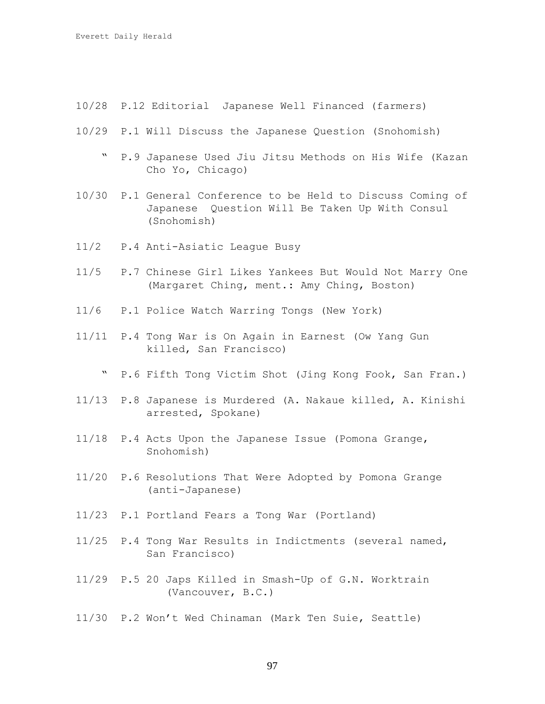- 10/28 P.12 Editorial Japanese Well Financed (farmers)
- 10/29 P.1 Will Discuss the Japanese Question (Snohomish)
	- " P.9 Japanese Used Jiu Jitsu Methods on His Wife (Kazan Cho Yo, Chicago)
- 10/30 P.1 General Conference to be Held to Discuss Coming of Japanese Question Will Be Taken Up With Consul (Snohomish)
- 11/2 P.4 Anti-Asiatic League Busy
- 11/5 P.7 Chinese Girl Likes Yankees But Would Not Marry One (Margaret Ching, ment.: Amy Ching, Boston)
- 11/6 P.1 Police Watch Warring Tongs (New York)
- 11/11 P.4 Tong War is On Again in Earnest (Ow Yang Gun killed, San Francisco)
	- " P.6 Fifth Tong Victim Shot (Jing Kong Fook, San Fran.)
- 11/13 P.8 Japanese is Murdered (A. Nakaue killed, A. Kinishi arrested, Spokane)
- 11/18 P.4 Acts Upon the Japanese Issue (Pomona Grange, Snohomish)
- 11/20 P.6 Resolutions That Were Adopted by Pomona Grange (anti-Japanese)
- 11/23 P.1 Portland Fears a Tong War (Portland)
- 11/25 P.4 Tong War Results in Indictments (several named, San Francisco)
- 11/29 P.5 20 Japs Killed in Smash-Up of G.N. Worktrain (Vancouver, B.C.)
- 11/30 P.2 Won't Wed Chinaman (Mark Ten Suie, Seattle)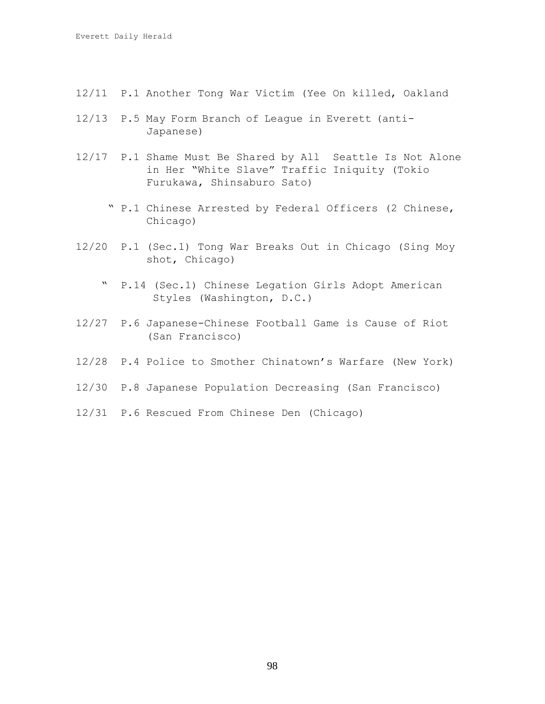- 12/11 P.1 Another Tong War Victim (Yee On killed, Oakland
- 12/13 P.5 May Form Branch of League in Everett (anti- Japanese)
- 12/17 P.1 Shame Must Be Shared by All Seattle Is Not Alone in Her "White Slave" Traffic Iniquity (Tokio Furukawa, Shinsaburo Sato)
	- " P.1 Chinese Arrested by Federal Officers (2 Chinese, Chicago)
- 12/20 P.1 (Sec.1) Tong War Breaks Out in Chicago (Sing Moy shot, Chicago)
	- " P.14 (Sec.1) Chinese Legation Girls Adopt American Styles (Washington, D.C.)
- 12/27 P.6 Japanese-Chinese Football Game is Cause of Riot (San Francisco)
- 12/28 P.4 Police to Smother Chinatown's Warfare (New York)
- 12/30 P.8 Japanese Population Decreasing (San Francisco)
- 12/31 P.6 Rescued From Chinese Den (Chicago)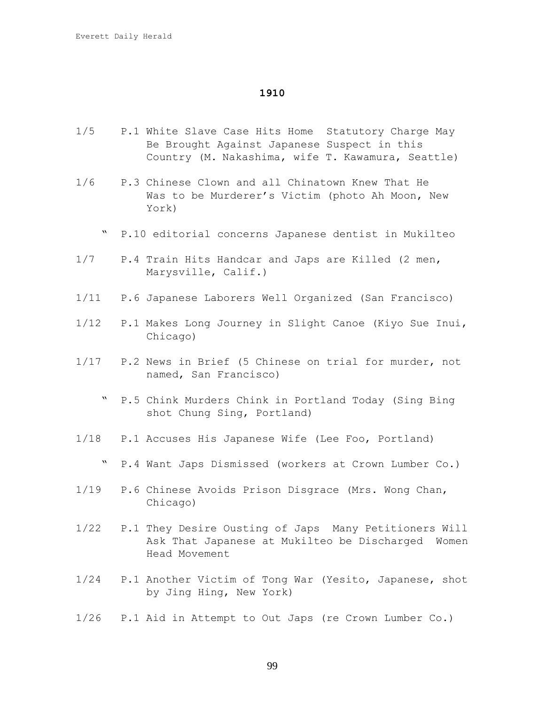- 1/5 P.1 White Slave Case Hits Home Statutory Charge May Be Brought Against Japanese Suspect in this Country (M. Nakashima, wife T. Kawamura, Seattle)
- 1/6 P.3 Chinese Clown and all Chinatown Knew That He Was to be Murderer's Victim (photo Ah Moon, New York)
	- " P.10 editorial concerns Japanese dentist in Mukilteo
- 1/7 P.4 Train Hits Handcar and Japs are Killed (2 men, Marysville, Calif.)
- 1/11 P.6 Japanese Laborers Well Organized (San Francisco)
- 1/12 P.1 Makes Long Journey in Slight Canoe (Kiyo Sue Inui, Chicago)
- 1/17 P.2 News in Brief (5 Chinese on trial for murder, not named, San Francisco)
	- " P.5 Chink Murders Chink in Portland Today (Sing Bing shot Chung Sing, Portland)
- 1/18 P.1 Accuses His Japanese Wife (Lee Foo, Portland)
	- " P.4 Want Japs Dismissed (workers at Crown Lumber Co.)
- 1/19 P.6 Chinese Avoids Prison Disgrace (Mrs. Wong Chan, Chicago)
- 1/22 P.1 They Desire Ousting of Japs Many Petitioners Will Ask That Japanese at Mukilteo be Discharged Women Head Movement
- 1/24 P.1 Another Victim of Tong War (Yesito, Japanese, shot by Jing Hing, New York)
- 1/26 P.1 Aid in Attempt to Out Japs (re Crown Lumber Co.)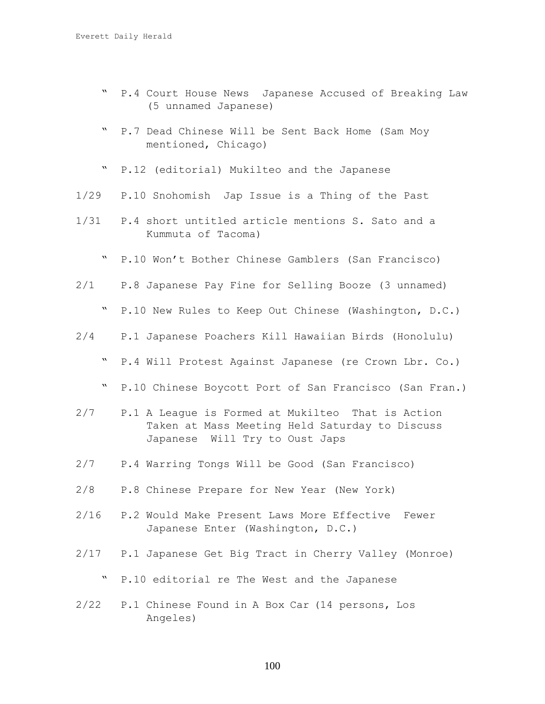- " P.4 Court House News Japanese Accused of Breaking Law (5 unnamed Japanese)
- " P.7 Dead Chinese Will be Sent Back Home (Sam Moy mentioned, Chicago)
- " P.12 (editorial) Mukilteo and the Japanese
- 1/29 P.10 Snohomish Jap Issue is a Thing of the Past
- 1/31 P.4 short untitled article mentions S. Sato and a Kummuta of Tacoma)
	- " P.10 Won't Bother Chinese Gamblers (San Francisco)
- 2/1 P.8 Japanese Pay Fine for Selling Booze (3 unnamed)
	- " P.10 New Rules to Keep Out Chinese (Washington, D.C.)
- 2/4 P.1 Japanese Poachers Kill Hawaiian Birds (Honolulu)
	- " P.4 Will Protest Against Japanese (re Crown Lbr. Co.)
	- " P.10 Chinese Boycott Port of San Francisco (San Fran.)
- 2/7 P.1 A League is Formed at Mukilteo That is Action Taken at Mass Meeting Held Saturday to Discuss Japanese Will Try to Oust Japs
- 2/7 P.4 Warring Tongs Will be Good (San Francisco)
- 2/8 P.8 Chinese Prepare for New Year (New York)
- 2/16 P.2 Would Make Present Laws More Effective Fewer Japanese Enter (Washington, D.C.)
- 2/17 P.1 Japanese Get Big Tract in Cherry Valley (Monroe)
	- " P.10 editorial re The West and the Japanese
- 2/22 P.1 Chinese Found in A Box Car (14 persons, Los Angeles)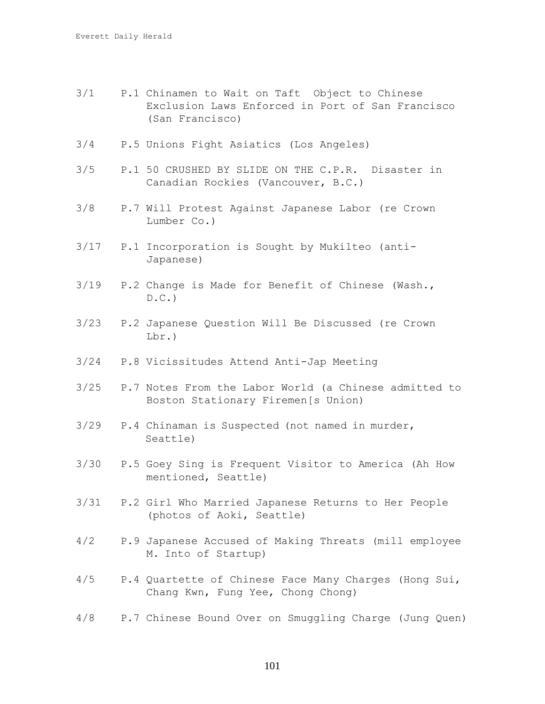- 3/1 P.1 Chinamen to Wait on Taft Object to Chinese Exclusion Laws Enforced in Port of San Francisco (San Francisco)
- 3/4 P.5 Unions Fight Asiatics (Los Angeles)
- 3/5 P.1 50 CRUSHED BY SLIDE ON THE C.P.R. Disaster in Canadian Rockies (Vancouver, B.C.)
- 3/8 P.7 Will Protest Against Japanese Labor (re Crown Lumber Co.)
- 3/17 P.1 Incorporation is Sought by Mukilteo (anti- Japanese)
- 3/19 P.2 Change is Made for Benefit of Chinese (Wash.,  $D.C.$
- 3/23 P.2 Japanese Question Will Be Discussed (re Crown Lbr.)
- 3/24 P.8 Vicissitudes Attend Anti-Jap Meeting
- 3/25 P.7 Notes From the Labor World (a Chinese admitted to Boston Stationary Firemen[s Union)
- 3/29 P.4 Chinaman is Suspected (not named in murder, Seattle)
- 3/30 P.5 Goey Sing is Frequent Visitor to America (Ah How mentioned, Seattle)
- 3/31 P.2 Girl Who Married Japanese Returns to Her People (photos of Aoki, Seattle)
- 4/2 P.9 Japanese Accused of Making Threats (mill employee M. Into of Startup)
- 4/5 P.4 Quartette of Chinese Face Many Charges (Hong Sui, Chang Kwn, Fung Yee, Chong Chong)
- 4/8 P.7 Chinese Bound Over on Smuggling Charge (Jung Quen)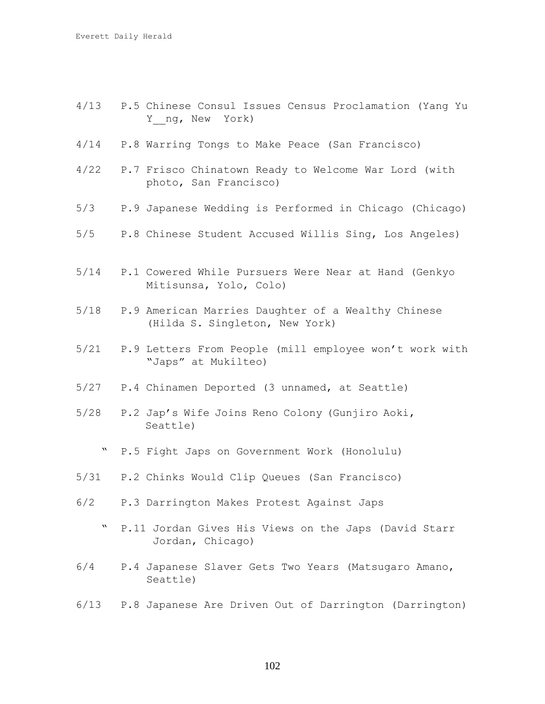- 4/13 P.5 Chinese Consul Issues Census Proclamation (Yang Yu Y ng, New York)
- 4/14 P.8 Warring Tongs to Make Peace (San Francisco)
- 4/22 P.7 Frisco Chinatown Ready to Welcome War Lord (with photo, San Francisco)
- 5/3 P.9 Japanese Wedding is Performed in Chicago (Chicago)
- 5/5 P.8 Chinese Student Accused Willis Sing, Los Angeles)
- 5/14 P.1 Cowered While Pursuers Were Near at Hand (Genkyo Mitisunsa, Yolo, Colo)
- 5/18 P.9 American Marries Daughter of a Wealthy Chinese (Hilda S. Singleton, New York)
- 5/21 P.9 Letters From People (mill employee won't work with "Japs" at Mukilteo)
- 5/27 P.4 Chinamen Deported (3 unnamed, at Seattle)
- 5/28 P.2 Jap's Wife Joins Reno Colony (Gunjiro Aoki, Seattle)
	- " P.5 Fight Japs on Government Work (Honolulu)
- 5/31 P.2 Chinks Would Clip Queues (San Francisco)
- 6/2 P.3 Darrington Makes Protest Against Japs
	- " P.11 Jordan Gives His Views on the Japs (David Starr Jordan, Chicago)
- 6/4 P.4 Japanese Slaver Gets Two Years (Matsugaro Amano, Seattle)
- 6/13 P.8 Japanese Are Driven Out of Darrington (Darrington)